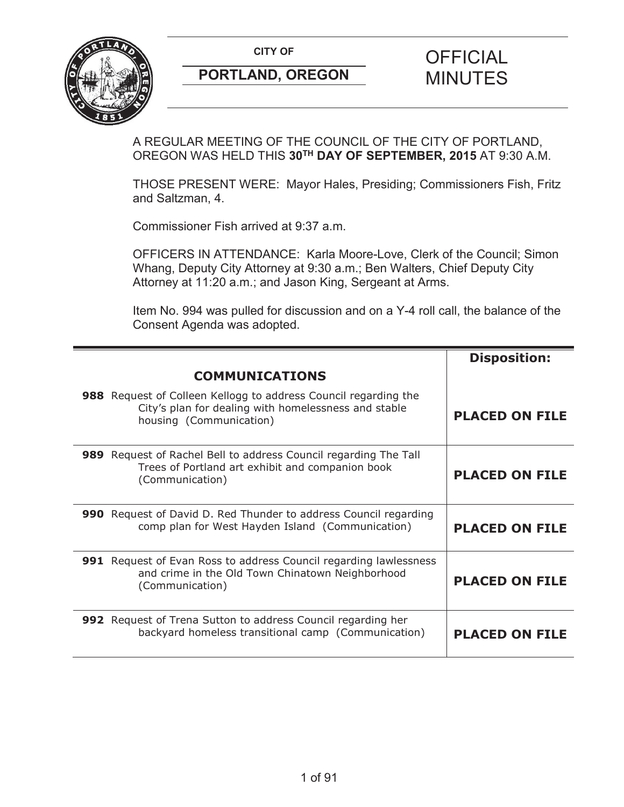**CITY OF CITY OF STRIPS OF FICIAL** 



# **PORTLAND, OREGON MINUTES**

# A REGULAR MEETING OF THE COUNCIL OF THE CITY OF PORTLAND, OREGON WAS HELD THIS **30TH DAY OF SEPTEMBER, 2015** AT 9:30 A.M.

THOSE PRESENT WERE: Mayor Hales, Presiding; Commissioners Fish, Fritz and Saltzman, 4.

Commissioner Fish arrived at 9:37 a.m.

OFFICERS IN ATTENDANCE: Karla Moore-Love, Clerk of the Council; Simon Whang, Deputy City Attorney at 9:30 a.m.; Ben Walters, Chief Deputy City Attorney at 11:20 a.m.; and Jason King, Sergeant at Arms.

Item No. 994 was pulled for discussion and on a Y-4 roll call, the balance of the Consent Agenda was adopted.

|                                                                                                                                                    | <b>Disposition:</b>   |
|----------------------------------------------------------------------------------------------------------------------------------------------------|-----------------------|
| <b>COMMUNICATIONS</b>                                                                                                                              |                       |
| 988 Request of Colleen Kellogg to address Council regarding the<br>City's plan for dealing with homelessness and stable<br>housing (Communication) | <b>PLACED ON FILE</b> |
| 989 Request of Rachel Bell to address Council regarding The Tall<br>Trees of Portland art exhibit and companion book<br>(Communication)            | <b>PLACED ON FILE</b> |
| 990 Request of David D. Red Thunder to address Council regarding<br>comp plan for West Hayden Island (Communication)                               | <b>PLACED ON FILE</b> |
| 991 Request of Evan Ross to address Council regarding lawlessness<br>and crime in the Old Town Chinatown Neighborhood<br>(Communication)           | <b>PLACED ON FILE</b> |
| 992 Request of Trena Sutton to address Council regarding her<br>backyard homeless transitional camp (Communication)                                | <b>PLACED ON FILE</b> |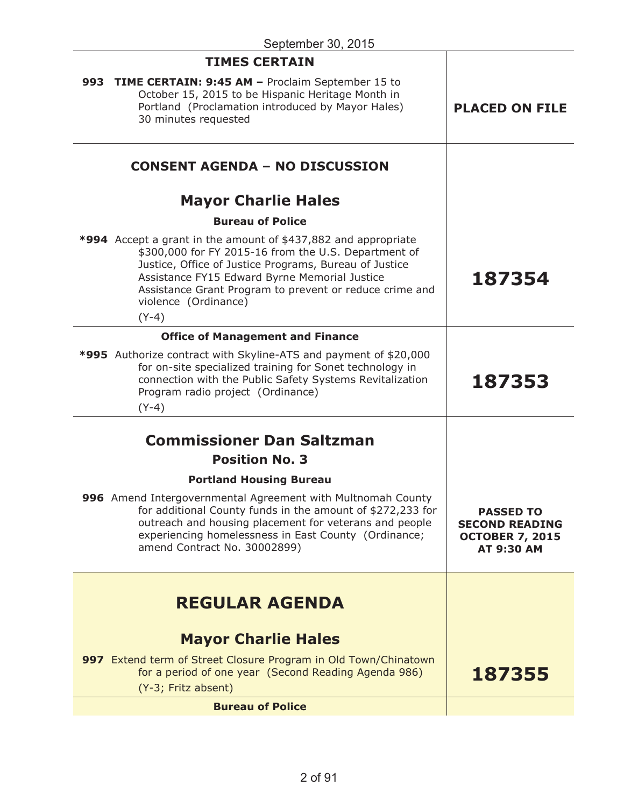| <b>TIMES CERTAIN</b>                                                                                                                                                                                                                                                                                                                   |                                                                                          |
|----------------------------------------------------------------------------------------------------------------------------------------------------------------------------------------------------------------------------------------------------------------------------------------------------------------------------------------|------------------------------------------------------------------------------------------|
| 993 TIME CERTAIN: 9:45 AM - Proclaim September 15 to<br>October 15, 2015 to be Hispanic Heritage Month in<br>Portland (Proclamation introduced by Mayor Hales)<br>30 minutes requested                                                                                                                                                 | <b>PLACED ON FILE</b>                                                                    |
| <b>CONSENT AGENDA - NO DISCUSSION</b>                                                                                                                                                                                                                                                                                                  |                                                                                          |
| <b>Mayor Charlie Hales</b>                                                                                                                                                                                                                                                                                                             |                                                                                          |
| <b>Bureau of Police</b>                                                                                                                                                                                                                                                                                                                |                                                                                          |
| <b>*994</b> Accept a grant in the amount of \$437,882 and appropriate<br>\$300,000 for FY 2015-16 from the U.S. Department of<br>Justice, Office of Justice Programs, Bureau of Justice<br>Assistance FY15 Edward Byrne Memorial Justice<br>Assistance Grant Program to prevent or reduce crime and<br>violence (Ordinance)<br>$(Y-4)$ | 187354                                                                                   |
| <b>Office of Management and Finance</b>                                                                                                                                                                                                                                                                                                |                                                                                          |
| *995 Authorize contract with Skyline-ATS and payment of \$20,000<br>for on-site specialized training for Sonet technology in<br>connection with the Public Safety Systems Revitalization<br>Program radio project (Ordinance)<br>$(Y-4)$                                                                                               | 187353                                                                                   |
| <b>Commissioner Dan Saltzman</b>                                                                                                                                                                                                                                                                                                       |                                                                                          |
| <b>Position No. 3</b>                                                                                                                                                                                                                                                                                                                  |                                                                                          |
| <b>Portland Housing Bureau</b>                                                                                                                                                                                                                                                                                                         |                                                                                          |
| 996 Amend Intergovernmental Agreement with Multnomah County<br>for additional County funds in the amount of \$272,233 for<br>outreach and housing placement for veterans and people<br>experiencing homelessness in East County (Ordinance;<br>amend Contract No. 30002899)                                                            | <b>PASSED TO</b><br><b>SECOND READING</b><br><b>OCTOBER 7, 2015</b><br><b>AT 9:30 AM</b> |
| <b>REGULAR AGENDA</b>                                                                                                                                                                                                                                                                                                                  |                                                                                          |
| <b>Mayor Charlie Hales</b>                                                                                                                                                                                                                                                                                                             |                                                                                          |
| 997 Extend term of Street Closure Program in Old Town/Chinatown<br>for a period of one year (Second Reading Agenda 986)<br>(Y-3; Fritz absent)                                                                                                                                                                                         | 187355                                                                                   |
| <b>Bureau of Police</b>                                                                                                                                                                                                                                                                                                                |                                                                                          |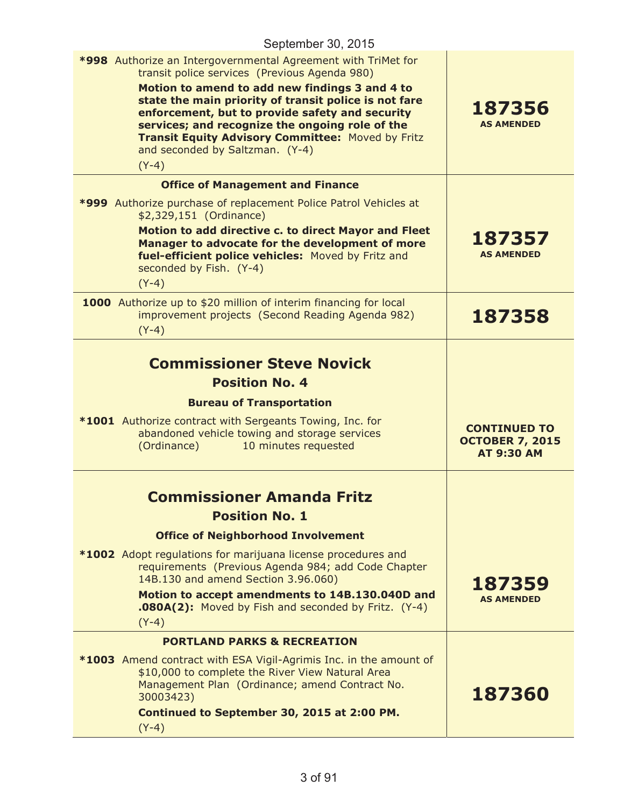| September 30, 2015                                                                                                                                                                                                                                                                                                                                                                                                                        |                                                                    |
|-------------------------------------------------------------------------------------------------------------------------------------------------------------------------------------------------------------------------------------------------------------------------------------------------------------------------------------------------------------------------------------------------------------------------------------------|--------------------------------------------------------------------|
| *998 Authorize an Intergovernmental Agreement with TriMet for<br>transit police services (Previous Agenda 980)<br>Motion to amend to add new findings 3 and 4 to<br>state the main priority of transit police is not fare<br>enforcement, but to provide safety and security<br>services; and recognize the ongoing role of the<br><b>Transit Equity Advisory Committee: Moved by Fritz</b><br>and seconded by Saltzman. (Y-4)<br>$(Y-4)$ | 187356<br><b>AS AMENDED</b>                                        |
| <b>Office of Management and Finance</b>                                                                                                                                                                                                                                                                                                                                                                                                   |                                                                    |
| *999 Authorize purchase of replacement Police Patrol Vehicles at<br>\$2,329,151 (Ordinance)                                                                                                                                                                                                                                                                                                                                               |                                                                    |
| Motion to add directive c. to direct Mayor and Fleet<br>Manager to advocate for the development of more<br>fuel-efficient police vehicles: Moved by Fritz and<br>seconded by Fish. (Y-4)<br>$(Y-4)$                                                                                                                                                                                                                                       | 187357<br><b>AS AMENDED</b>                                        |
| 1000 Authorize up to \$20 million of interim financing for local<br>improvement projects (Second Reading Agenda 982)<br>$(Y-4)$                                                                                                                                                                                                                                                                                                           | 187358                                                             |
| <b>Commissioner Steve Novick</b><br><b>Position No. 4</b><br><b>Bureau of Transportation</b><br><b>*1001</b> Authorize contract with Sergeants Towing, Inc. for<br>abandoned vehicle towing and storage services<br>(Ordinance)<br>10 minutes requested                                                                                                                                                                                   | <b>CONTINUED TO</b><br><b>OCTOBER 7, 2015</b><br><b>AT 9:30 AM</b> |
| <b>Commissioner Amanda Fritz</b><br><b>Position No. 1</b><br><b>Office of Neighborhood Involvement</b><br><b>*1002</b> Adopt regulations for marijuana license procedures and<br>requirements (Previous Agenda 984; add Code Chapter<br>14B.130 and amend Section 3.96.060)<br>Motion to accept amendments to 14B.130.040D and<br><b>.080A(2):</b> Moved by Fish and seconded by Fritz. (Y-4)<br>$(Y-4)$                                  | 187359<br><b>AS AMENDED</b>                                        |
| <b>PORTLAND PARKS &amp; RECREATION</b><br><b>*1003</b> Amend contract with ESA Vigil-Agrimis Inc. in the amount of<br>\$10,000 to complete the River View Natural Area<br>Management Plan (Ordinance; amend Contract No.<br>30003423)<br>Continued to September 30, 2015 at 2:00 PM.<br>$(Y-4)$                                                                                                                                           | 187360                                                             |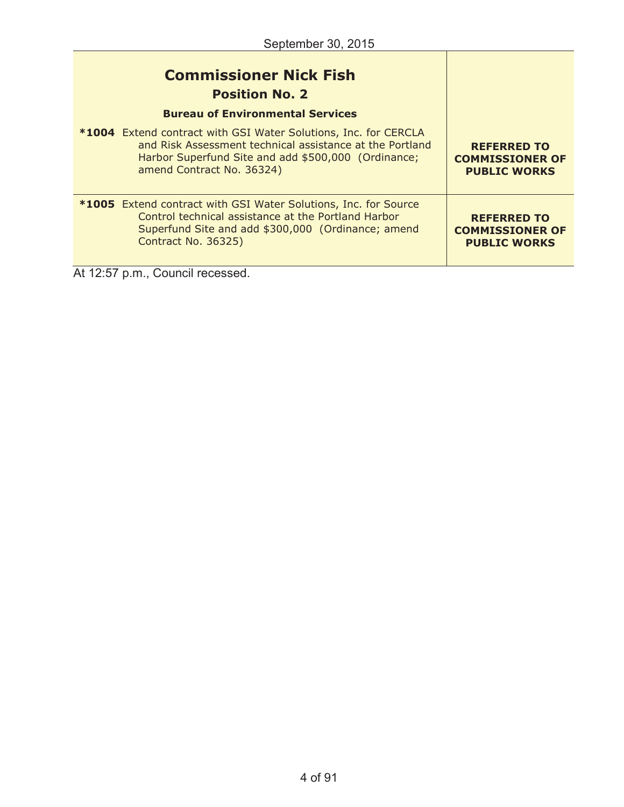| <b>Commissioner Nick Fish</b><br><b>Position No. 2</b><br><b>Bureau of Environmental Services</b>                                                                                                                      |                                                                     |
|------------------------------------------------------------------------------------------------------------------------------------------------------------------------------------------------------------------------|---------------------------------------------------------------------|
| <b>*1004</b> Extend contract with GSI Water Solutions, Inc. for CERCLA<br>and Risk Assessment technical assistance at the Portland<br>Harbor Superfund Site and add \$500,000 (Ordinance;<br>amend Contract No. 36324) | <b>REFERRED TO</b><br><b>COMMISSIONER OF</b><br><b>PUBLIC WORKS</b> |
| *1005 Extend contract with GSI Water Solutions, Inc. for Source<br>Control technical assistance at the Portland Harbor<br>Superfund Site and add \$300,000 (Ordinance; amend<br><b>Contract No. 36325)</b>             | <b>REFERRED TO</b><br><b>COMMISSIONER OF</b><br><b>PUBLIC WORKS</b> |

At 12:57 p.m., Council recessed.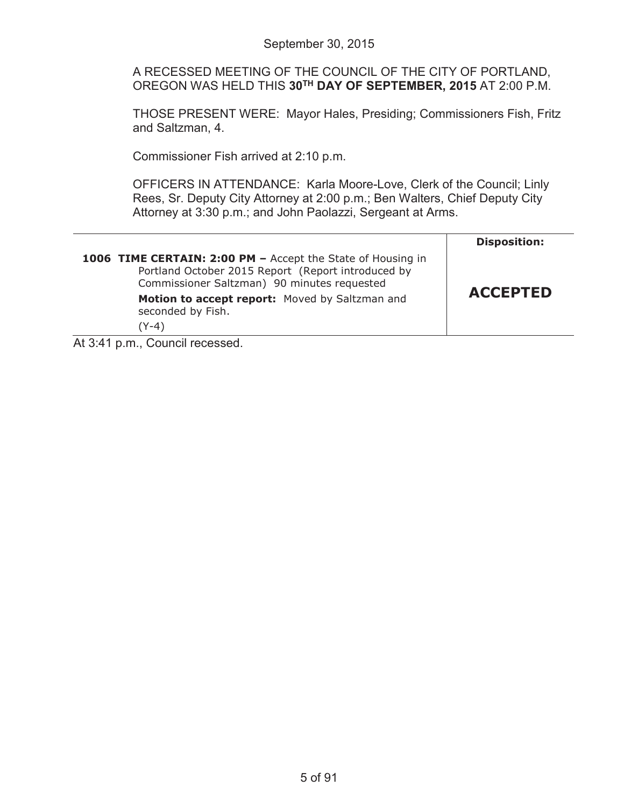A RECESSED MEETING OF THE COUNCIL OF THE CITY OF PORTLAND, OREGON WAS HELD THIS **30TH DAY OF SEPTEMBER, 2015** AT 2:00 P.M.

THOSE PRESENT WERE: Mayor Hales, Presiding; Commissioners Fish, Fritz and Saltzman, 4.

Commissioner Fish arrived at 2:10 p.m.

OFFICERS IN ATTENDANCE: Karla Moore-Love, Clerk of the Council; Linly Rees, Sr. Deputy City Attorney at 2:00 p.m.; Ben Walters, Chief Deputy City Attorney at 3:30 p.m.; and John Paolazzi, Sergeant at Arms.

|                                                                                                                                                                  | <b>Disposition:</b> |
|------------------------------------------------------------------------------------------------------------------------------------------------------------------|---------------------|
| 1006 TIME CERTAIN: 2:00 PM - Accept the State of Housing in<br>Portland October 2015 Report (Report introduced by<br>Commissioner Saltzman) 90 minutes requested |                     |
| Motion to accept report: Moved by Saltzman and<br>seconded by Fish.<br>(Y-4)                                                                                     | <b>ACCEPTED</b>     |
| $\mathbf{A}$ is $\mathbf{A}$ in $\mathbf{A}$ in $\mathbf{A}$ in $\mathbf{A}$ is a set of $\mathbf{A}$                                                            |                     |

At 3:41 p.m., Council recessed.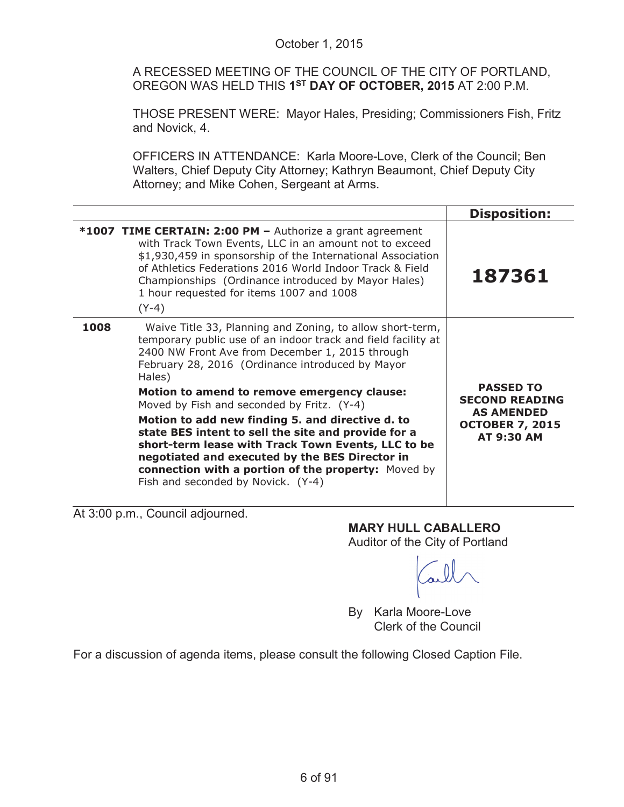|      | October 1, 2015                                                                                                                                                                                                                                                                                                                                                                                                                                                                                                                                                                                                                                          |                                                                                                               |  |
|------|----------------------------------------------------------------------------------------------------------------------------------------------------------------------------------------------------------------------------------------------------------------------------------------------------------------------------------------------------------------------------------------------------------------------------------------------------------------------------------------------------------------------------------------------------------------------------------------------------------------------------------------------------------|---------------------------------------------------------------------------------------------------------------|--|
|      | A RECESSED MEETING OF THE COUNCIL OF THE CITY OF PORTLAND,<br>OREGON WAS HELD THIS 1ST DAY OF OCTOBER, 2015 AT 2:00 P.M.                                                                                                                                                                                                                                                                                                                                                                                                                                                                                                                                 |                                                                                                               |  |
|      | THOSE PRESENT WERE: Mayor Hales, Presiding; Commissioners Fish, Fritz<br>and Novick, 4.                                                                                                                                                                                                                                                                                                                                                                                                                                                                                                                                                                  |                                                                                                               |  |
|      | OFFICERS IN ATTENDANCE: Karla Moore-Love, Clerk of the Council; Ben<br>Walters, Chief Deputy City Attorney; Kathryn Beaumont, Chief Deputy City<br>Attorney; and Mike Cohen, Sergeant at Arms.                                                                                                                                                                                                                                                                                                                                                                                                                                                           |                                                                                                               |  |
|      |                                                                                                                                                                                                                                                                                                                                                                                                                                                                                                                                                                                                                                                          | <b>Disposition:</b>                                                                                           |  |
|      | *1007 TIME CERTAIN: 2:00 PM - Authorize a grant agreement<br>with Track Town Events, LLC in an amount not to exceed<br>\$1,930,459 in sponsorship of the International Association<br>of Athletics Federations 2016 World Indoor Track & Field<br>Championships (Ordinance introduced by Mayor Hales)<br>1 hour requested for items 1007 and 1008<br>$(Y-4)$                                                                                                                                                                                                                                                                                             | 187361                                                                                                        |  |
| 1008 | Waive Title 33, Planning and Zoning, to allow short-term,<br>temporary public use of an indoor track and field facility at<br>2400 NW Front Ave from December 1, 2015 through<br>February 28, 2016 (Ordinance introduced by Mayor<br>Hales)<br>Motion to amend to remove emergency clause:<br>Moved by Fish and seconded by Fritz. (Y-4)<br>Motion to add new finding 5. and directive d. to<br>state BES intent to sell the site and provide for a<br>short-term lease with Track Town Events, LLC to be<br>negotiated and executed by the BES Director in<br>connection with a portion of the property: Moved by<br>Fish and seconded by Novick. (Y-4) | <b>PASSED TO</b><br><b>SECOND READING</b><br><b>AS AMENDED</b><br><b>OCTOBER 7, 2015</b><br><b>AT 9:30 AM</b> |  |

At 3:00 p.m., Council adjourned.

**MARY HULL CABALLERO** Auditor of the City of Portland

all

By Karla Moore-Love Clerk of the Council

For a discussion of agenda items, please consult the following Closed Caption File.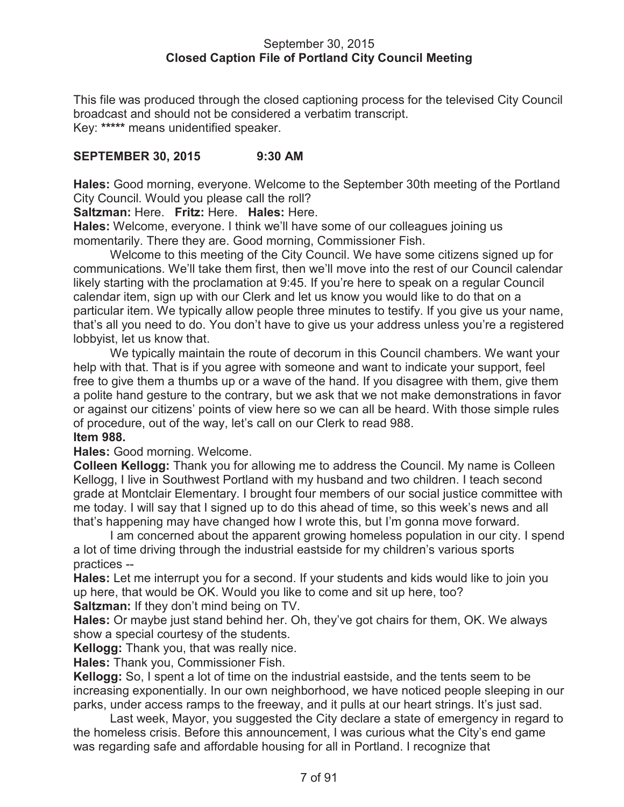#### September 30, 2015 **Closed Caption File of Portland City Council Meeting**

This file was produced through the closed captioning process for the televised City Council broadcast and should not be considered a verbatim transcript. Key: **\*\*\*\*\*** means unidentified speaker.

#### **SEPTEMBER 30, 2015 9:30 AM**

**Hales:** Good morning, everyone. Welcome to the September 30th meeting of the Portland City Council. Would you please call the roll?

**Saltzman:** Here. **Fritz:** Here. **Hales:** Here.

**Hales:** Welcome, everyone. I think we'll have some of our colleagues joining us momentarily. There they are. Good morning, Commissioner Fish.

Welcome to this meeting of the City Council. We have some citizens signed up for communications. We'll take them first, then we'll move into the rest of our Council calendar likely starting with the proclamation at 9:45. If you're here to speak on a regular Council calendar item, sign up with our Clerk and let us know you would like to do that on a particular item. We typically allow people three minutes to testify. If you give us your name, that's all you need to do. You don't have to give us your address unless you're a registered lobbyist, let us know that.

We typically maintain the route of decorum in this Council chambers. We want your help with that. That is if you agree with someone and want to indicate your support, feel free to give them a thumbs up or a wave of the hand. If you disagree with them, give them a polite hand gesture to the contrary, but we ask that we not make demonstrations in favor or against our citizens' points of view here so we can all be heard. With those simple rules of procedure, out of the way, let's call on our Clerk to read 988. **Item 988.**

**Hales:** Good morning. Welcome.

**Colleen Kellogg:** Thank you for allowing me to address the Council. My name is Colleen Kellogg, I live in Southwest Portland with my husband and two children. I teach second grade at Montclair Elementary. I brought four members of our social justice committee with me today. I will say that I signed up to do this ahead of time, so this week's news and all that's happening may have changed how I wrote this, but I'm gonna move forward.

I am concerned about the apparent growing homeless population in our city. I spend a lot of time driving through the industrial eastside for my children's various sports practices --

**Hales:** Let me interrupt you for a second. If your students and kids would like to join you up here, that would be OK. Would you like to come and sit up here, too?

**Saltzman:** If they don't mind being on TV.

**Hales:** Or maybe just stand behind her. Oh, they've got chairs for them, OK. We always show a special courtesy of the students.

**Kellogg:** Thank you, that was really nice.

**Hales:** Thank you, Commissioner Fish.

**Kellogg:** So, I spent a lot of time on the industrial eastside, and the tents seem to be increasing exponentially. In our own neighborhood, we have noticed people sleeping in our parks, under access ramps to the freeway, and it pulls at our heart strings. It's just sad.

Last week, Mayor, you suggested the City declare a state of emergency in regard to the homeless crisis. Before this announcement, I was curious what the City's end game was regarding safe and affordable housing for all in Portland. I recognize that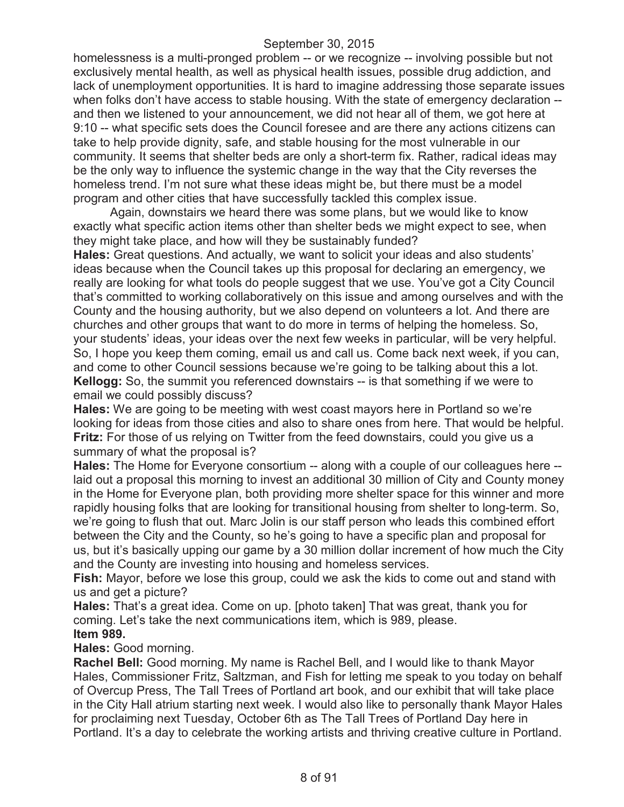homelessness is a multi-pronged problem -- or we recognize -- involving possible but not exclusively mental health, as well as physical health issues, possible drug addiction, and lack of unemployment opportunities. It is hard to imagine addressing those separate issues when folks don't have access to stable housing. With the state of emergency declaration - and then we listened to your announcement, we did not hear all of them, we got here at 9:10 -- what specific sets does the Council foresee and are there any actions citizens can take to help provide dignity, safe, and stable housing for the most vulnerable in our community. It seems that shelter beds are only a short-term fix. Rather, radical ideas may be the only way to influence the systemic change in the way that the City reverses the homeless trend. I'm not sure what these ideas might be, but there must be a model program and other cities that have successfully tackled this complex issue.

Again, downstairs we heard there was some plans, but we would like to know exactly what specific action items other than shelter beds we might expect to see, when they might take place, and how will they be sustainably funded?

**Hales:** Great questions. And actually, we want to solicit your ideas and also students' ideas because when the Council takes up this proposal for declaring an emergency, we really are looking for what tools do people suggest that we use. You've got a City Council that's committed to working collaboratively on this issue and among ourselves and with the County and the housing authority, but we also depend on volunteers a lot. And there are churches and other groups that want to do more in terms of helping the homeless. So, your students' ideas, your ideas over the next few weeks in particular, will be very helpful. So, I hope you keep them coming, email us and call us. Come back next week, if you can, and come to other Council sessions because we're going to be talking about this a lot. **Kellogg:** So, the summit you referenced downstairs -- is that something if we were to email we could possibly discuss?

**Hales:** We are going to be meeting with west coast mayors here in Portland so we're looking for ideas from those cities and also to share ones from here. That would be helpful. **Fritz:** For those of us relying on Twitter from the feed downstairs, could you give us a summary of what the proposal is?

**Hales:** The Home for Everyone consortium -- along with a couple of our colleagues here - laid out a proposal this morning to invest an additional 30 million of City and County money in the Home for Everyone plan, both providing more shelter space for this winner and more rapidly housing folks that are looking for transitional housing from shelter to long-term. So, we're going to flush that out. Marc Jolin is our staff person who leads this combined effort between the City and the County, so he's going to have a specific plan and proposal for us, but it's basically upping our game by a 30 million dollar increment of how much the City and the County are investing into housing and homeless services.

**Fish:** Mayor, before we lose this group, could we ask the kids to come out and stand with us and get a picture?

**Hales:** That's a great idea. Come on up. [photo taken] That was great, thank you for coming. Let's take the next communications item, which is 989, please. **Item 989.**

**Hales:** Good morning.

**Rachel Bell:** Good morning. My name is Rachel Bell, and I would like to thank Mayor Hales, Commissioner Fritz, Saltzman, and Fish for letting me speak to you today on behalf of Overcup Press, The Tall Trees of Portland art book, and our exhibit that will take place in the City Hall atrium starting next week. I would also like to personally thank Mayor Hales for proclaiming next Tuesday, October 6th as The Tall Trees of Portland Day here in Portland. It's a day to celebrate the working artists and thriving creative culture in Portland.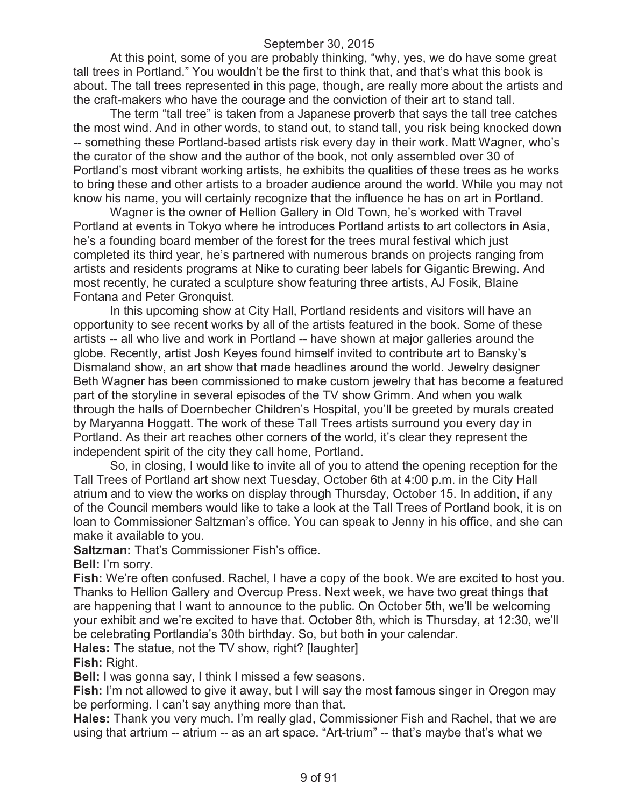At this point, some of you are probably thinking, "why, yes, we do have some great tall trees in Portland." You wouldn't be the first to think that, and that's what this book is about. The tall trees represented in this page, though, are really more about the artists and the craft-makers who have the courage and the conviction of their art to stand tall.

The term "tall tree" is taken from a Japanese proverb that says the tall tree catches the most wind. And in other words, to stand out, to stand tall, you risk being knocked down -- something these Portland-based artists risk every day in their work. Matt Wagner, who's the curator of the show and the author of the book, not only assembled over 30 of Portland's most vibrant working artists, he exhibits the qualities of these trees as he works to bring these and other artists to a broader audience around the world. While you may not know his name, you will certainly recognize that the influence he has on art in Portland.

Wagner is the owner of Hellion Gallery in Old Town, he's worked with Travel Portland at events in Tokyo where he introduces Portland artists to art collectors in Asia, he's a founding board member of the forest for the trees mural festival which just completed its third year, he's partnered with numerous brands on projects ranging from artists and residents programs at Nike to curating beer labels for Gigantic Brewing. And most recently, he curated a sculpture show featuring three artists, AJ Fosik, Blaine Fontana and Peter Gronquist.

In this upcoming show at City Hall, Portland residents and visitors will have an opportunity to see recent works by all of the artists featured in the book. Some of these artists -- all who live and work in Portland -- have shown at major galleries around the globe. Recently, artist Josh Keyes found himself invited to contribute art to Bansky's Dismaland show, an art show that made headlines around the world. Jewelry designer Beth Wagner has been commissioned to make custom jewelry that has become a featured part of the storyline in several episodes of the TV show Grimm. And when you walk through the halls of Doernbecher Children's Hospital, you'll be greeted by murals created by Maryanna Hoggatt. The work of these Tall Trees artists surround you every day in Portland. As their art reaches other corners of the world, it's clear they represent the independent spirit of the city they call home, Portland.

So, in closing, I would like to invite all of you to attend the opening reception for the Tall Trees of Portland art show next Tuesday, October 6th at 4:00 p.m. in the City Hall atrium and to view the works on display through Thursday, October 15. In addition, if any of the Council members would like to take a look at the Tall Trees of Portland book, it is on loan to Commissioner Saltzman's office. You can speak to Jenny in his office, and she can make it available to you.

**Saltzman:** That's Commissioner Fish's office.

**Bell:** I'm sorry.

**Fish:** We're often confused. Rachel, I have a copy of the book. We are excited to host you. Thanks to Hellion Gallery and Overcup Press. Next week, we have two great things that are happening that I want to announce to the public. On October 5th, we'll be welcoming your exhibit and we're excited to have that. October 8th, which is Thursday, at 12:30, we'll be celebrating Portlandia's 30th birthday. So, but both in your calendar.

**Hales:** The statue, not the TV show, right? [laughter]

**Fish:** Right.

**Bell:** I was gonna say, I think I missed a few seasons.

**Fish:** I'm not allowed to give it away, but I will say the most famous singer in Oregon may be performing. I can't say anything more than that.

**Hales:** Thank you very much. I'm really glad, Commissioner Fish and Rachel, that we are using that artrium -- atrium -- as an art space. "Art-trium" -- that's maybe that's what we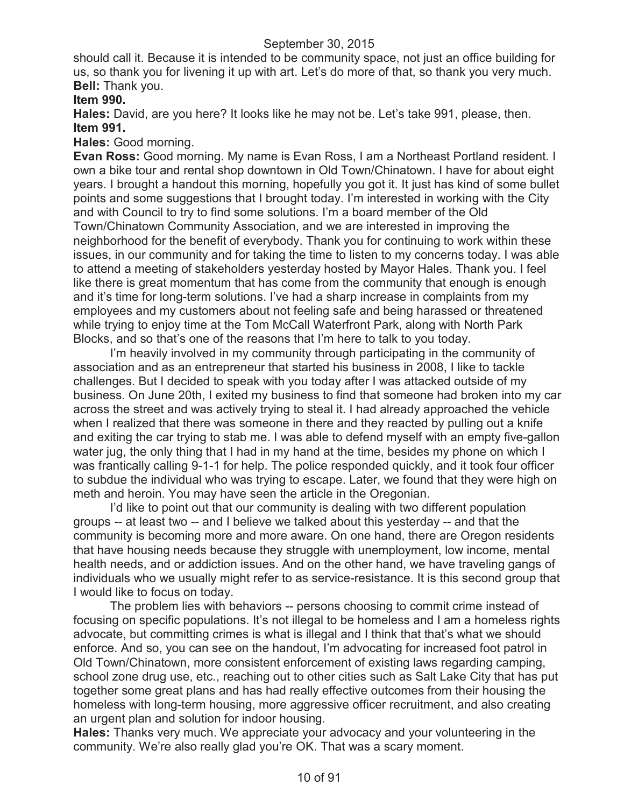should call it. Because it is intended to be community space, not just an office building for us, so thank you for livening it up with art. Let's do more of that, so thank you very much. **Bell:** Thank you.

# **Item 990.**

**Hales:** David, are you here? It looks like he may not be. Let's take 991, please, then. **Item 991.**

#### **Hales:** Good morning.

**Evan Ross:** Good morning. My name is Evan Ross, I am a Northeast Portland resident. I own a bike tour and rental shop downtown in Old Town/Chinatown. I have for about eight years. I brought a handout this morning, hopefully you got it. It just has kind of some bullet points and some suggestions that I brought today. I'm interested in working with the City and with Council to try to find some solutions. I'm a board member of the Old Town/Chinatown Community Association, and we are interested in improving the neighborhood for the benefit of everybody. Thank you for continuing to work within these issues, in our community and for taking the time to listen to my concerns today. I was able to attend a meeting of stakeholders yesterday hosted by Mayor Hales. Thank you. I feel like there is great momentum that has come from the community that enough is enough and it's time for long-term solutions. I've had a sharp increase in complaints from my employees and my customers about not feeling safe and being harassed or threatened while trying to enjoy time at the Tom McCall Waterfront Park, along with North Park Blocks, and so that's one of the reasons that I'm here to talk to you today.

I'm heavily involved in my community through participating in the community of association and as an entrepreneur that started his business in 2008, I like to tackle challenges. But I decided to speak with you today after I was attacked outside of my business. On June 20th, I exited my business to find that someone had broken into my car across the street and was actively trying to steal it. I had already approached the vehicle when I realized that there was someone in there and they reacted by pulling out a knife and exiting the car trying to stab me. I was able to defend myself with an empty five-gallon water jug, the only thing that I had in my hand at the time, besides my phone on which I was frantically calling 9-1-1 for help. The police responded quickly, and it took four officer to subdue the individual who was trying to escape. Later, we found that they were high on meth and heroin. You may have seen the article in the Oregonian.

I'd like to point out that our community is dealing with two different population groups -- at least two -- and I believe we talked about this yesterday -- and that the community is becoming more and more aware. On one hand, there are Oregon residents that have housing needs because they struggle with unemployment, low income, mental health needs, and or addiction issues. And on the other hand, we have traveling gangs of individuals who we usually might refer to as service-resistance. It is this second group that I would like to focus on today.

The problem lies with behaviors -- persons choosing to commit crime instead of focusing on specific populations. It's not illegal to be homeless and I am a homeless rights advocate, but committing crimes is what is illegal and I think that that's what we should enforce. And so, you can see on the handout, I'm advocating for increased foot patrol in Old Town/Chinatown, more consistent enforcement of existing laws regarding camping, school zone drug use, etc., reaching out to other cities such as Salt Lake City that has put together some great plans and has had really effective outcomes from their housing the homeless with long-term housing, more aggressive officer recruitment, and also creating an urgent plan and solution for indoor housing.

**Hales:** Thanks very much. We appreciate your advocacy and your volunteering in the community. We're also really glad you're OK. That was a scary moment.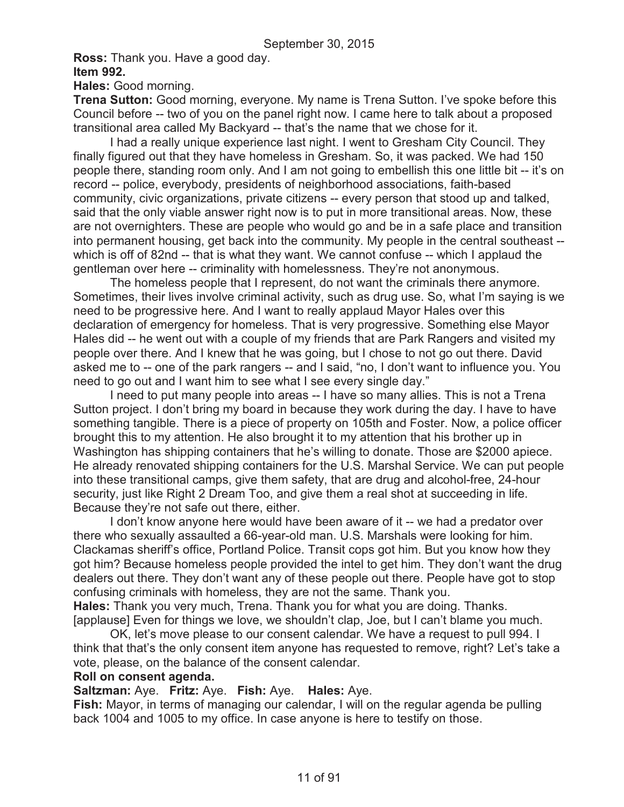**Ross:** Thank you. Have a good day.

**Item 992.**

**Hales:** Good morning.

**Trena Sutton:** Good morning, everyone. My name is Trena Sutton. I've spoke before this Council before -- two of you on the panel right now. I came here to talk about a proposed transitional area called My Backyard -- that's the name that we chose for it.

I had a really unique experience last night. I went to Gresham City Council. They finally figured out that they have homeless in Gresham. So, it was packed. We had 150 people there, standing room only. And I am not going to embellish this one little bit -- it's on record -- police, everybody, presidents of neighborhood associations, faith-based community, civic organizations, private citizens -- every person that stood up and talked, said that the only viable answer right now is to put in more transitional areas. Now, these are not overnighters. These are people who would go and be in a safe place and transition into permanent housing, get back into the community. My people in the central southeast - which is off of 82nd -- that is what they want. We cannot confuse -- which I applaud the gentleman over here -- criminality with homelessness. They're not anonymous.

The homeless people that I represent, do not want the criminals there anymore. Sometimes, their lives involve criminal activity, such as drug use. So, what I'm saying is we need to be progressive here. And I want to really applaud Mayor Hales over this declaration of emergency for homeless. That is very progressive. Something else Mayor Hales did -- he went out with a couple of my friends that are Park Rangers and visited my people over there. And I knew that he was going, but I chose to not go out there. David asked me to -- one of the park rangers -- and I said, "no, I don't want to influence you. You need to go out and I want him to see what I see every single day."

I need to put many people into areas -- I have so many allies. This is not a Trena Sutton project. I don't bring my board in because they work during the day. I have to have something tangible. There is a piece of property on 105th and Foster. Now, a police officer brought this to my attention. He also brought it to my attention that his brother up in Washington has shipping containers that he's willing to donate. Those are \$2000 apiece. He already renovated shipping containers for the U.S. Marshal Service. We can put people into these transitional camps, give them safety, that are drug and alcohol-free, 24-hour security, just like Right 2 Dream Too, and give them a real shot at succeeding in life. Because they're not safe out there, either.

I don't know anyone here would have been aware of it -- we had a predator over there who sexually assaulted a 66-year-old man. U.S. Marshals were looking for him. Clackamas sheriff's office, Portland Police. Transit cops got him. But you know how they got him? Because homeless people provided the intel to get him. They don't want the drug dealers out there. They don't want any of these people out there. People have got to stop confusing criminals with homeless, they are not the same. Thank you. **Hales:** Thank you very much, Trena. Thank you for what you are doing. Thanks. [applause] Even for things we love, we shouldn't clap, Joe, but I can't blame you much.

OK, let's move please to our consent calendar. We have a request to pull 994. I think that that's the only consent item anyone has requested to remove, right? Let's take a vote, please, on the balance of the consent calendar.

#### **Roll on consent agenda.**

**Saltzman:** Aye. **Fritz:** Aye. **Fish:** Aye. **Hales:** Aye.

**Fish:** Mayor, in terms of managing our calendar, I will on the regular agenda be pulling back 1004 and 1005 to my office. In case anyone is here to testify on those.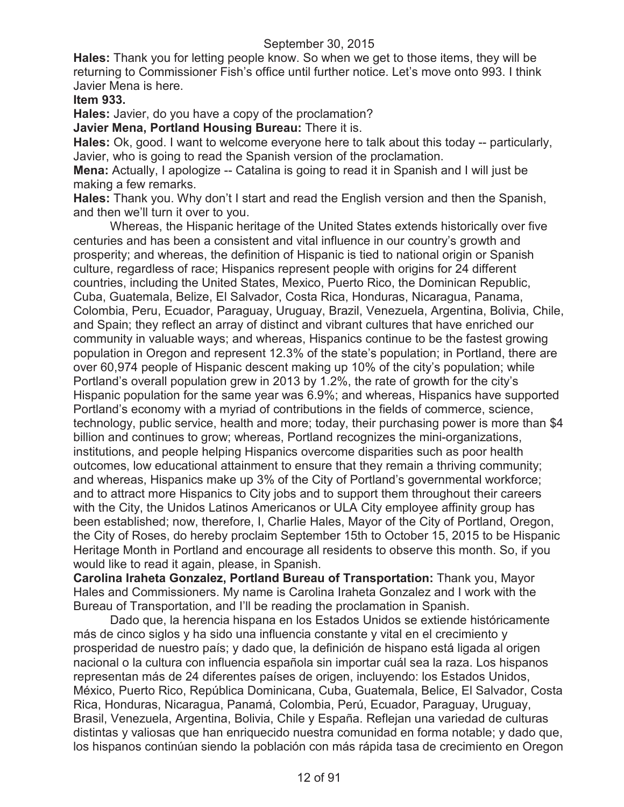**Hales:** Thank you for letting people know. So when we get to those items, they will be returning to Commissioner Fish's office until further notice. Let's move onto 993. I think Javier Mena is here.

**Item 933.**

**Hales:** Javier, do you have a copy of the proclamation?

**Javier Mena, Portland Housing Bureau:** There it is.

**Hales:** Ok, good. I want to welcome everyone here to talk about this today -- particularly, Javier, who is going to read the Spanish version of the proclamation.

**Mena:** Actually, I apologize -- Catalina is going to read it in Spanish and I will just be making a few remarks.

**Hales:** Thank you. Why don't I start and read the English version and then the Spanish, and then we'll turn it over to you.

Whereas, the Hispanic heritage of the United States extends historically over five centuries and has been a consistent and vital influence in our country's growth and prosperity; and whereas, the definition of Hispanic is tied to national origin or Spanish culture, regardless of race; Hispanics represent people with origins for 24 different countries, including the United States, Mexico, Puerto Rico, the Dominican Republic, Cuba, Guatemala, Belize, El Salvador, Costa Rica, Honduras, Nicaragua, Panama, Colombia, Peru, Ecuador, Paraguay, Uruguay, Brazil, Venezuela, Argentina, Bolivia, Chile, and Spain; they reflect an array of distinct and vibrant cultures that have enriched our community in valuable ways; and whereas, Hispanics continue to be the fastest growing population in Oregon and represent 12.3% of the state's population; in Portland, there are over 60,974 people of Hispanic descent making up 10% of the city's population; while Portland's overall population grew in 2013 by 1.2%, the rate of growth for the city's Hispanic population for the same year was 6.9%; and whereas, Hispanics have supported Portland's economy with a myriad of contributions in the fields of commerce, science, technology, public service, health and more; today, their purchasing power is more than \$4 billion and continues to grow; whereas, Portland recognizes the mini-organizations, institutions, and people helping Hispanics overcome disparities such as poor health outcomes, low educational attainment to ensure that they remain a thriving community; and whereas, Hispanics make up 3% of the City of Portland's governmental workforce; and to attract more Hispanics to City jobs and to support them throughout their careers with the City, the Unidos Latinos Americanos or ULA City employee affinity group has been established; now, therefore, I, Charlie Hales, Mayor of the City of Portland, Oregon, the City of Roses, do hereby proclaim September 15th to October 15, 2015 to be Hispanic Heritage Month in Portland and encourage all residents to observe this month. So, if you would like to read it again, please, in Spanish.

**Carolina Iraheta Gonzalez, Portland Bureau of Transportation:** Thank you, Mayor Hales and Commissioners. My name is Carolina Iraheta Gonzalez and I work with the Bureau of Transportation, and I'll be reading the proclamation in Spanish.

Dado que, la herencia hispana en los Estados Unidos se extiende históricamente más de cinco siglos y ha sido una influencia constante y vital en el crecimiento y prosperidad de nuestro país; y dado que, la definición de hispano está ligada al origen nacional o la cultura con influencia española sin importar cuál sea la raza. Los hispanos representan más de 24 diferentes países de origen, incluyendo: los Estados Unidos, México, Puerto Rico, República Dominicana, Cuba, Guatemala, Belice, El Salvador, Costa Rica, Honduras, Nicaragua, Panamá, Colombia, Perú, Ecuador, Paraguay, Uruguay, Brasil, Venezuela, Argentina, Bolivia, Chile y España. Reflejan una variedad de culturas distintas y valiosas que han enriquecido nuestra comunidad en forma notable; y dado que, los hispanos continúan siendo la población con más rápida tasa de crecimiento en Oregon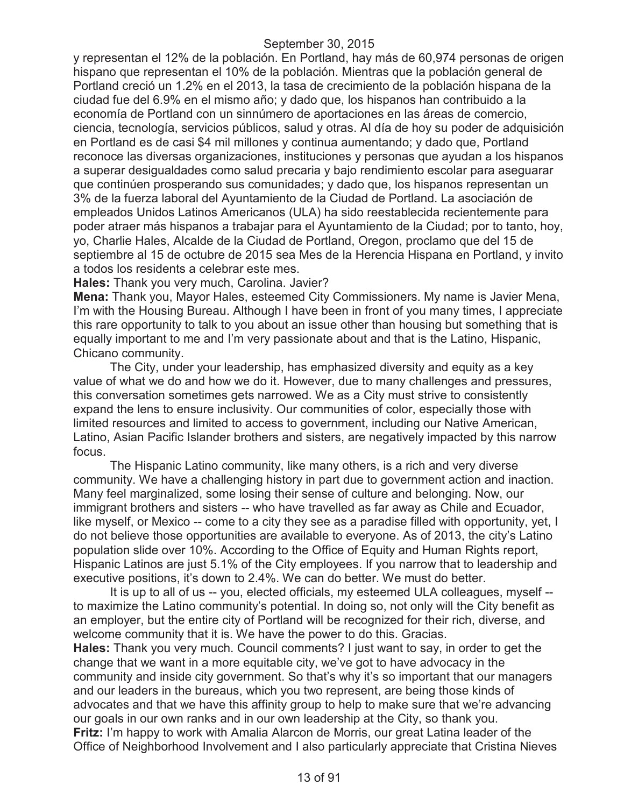y representan el 12% de la población. En Portland, hay más de 60,974 personas de origen hispano que representan el 10% de la población. Mientras que la población general de Portland creció un 1.2% en el 2013, la tasa de crecimiento de la población hispana de la ciudad fue del 6.9% en el mismo año; y dado que, los hispanos han contribuido a la economía de Portland con un sinnúmero de aportaciones en las áreas de comercio, ciencia, tecnología, servicios públicos, salud y otras. Al día de hoy su poder de adquisición en Portland es de casi \$4 mil millones y continua aumentando; y dado que, Portland reconoce las diversas organizaciones, instituciones y personas que ayudan a los hispanos a superar desigualdades como salud precaria y bajo rendimiento escolar para aseguarar que continúen prosperando sus comunidades; y dado que, los hispanos representan un 3% de la fuerza laboral del Ayuntamiento de la Ciudad de Portland. La asociación de empleados Unidos Latinos Americanos (ULA) ha sido reestablecida recientemente para poder atraer más hispanos a trabajar para el Ayuntamiento de la Ciudad; por to tanto, hoy, yo, Charlie Hales, Alcalde de la Ciudad de Portland, Oregon, proclamo que del 15 de septiembre al 15 de octubre de 2015 sea Mes de la Herencia Hispana en Portland, y invito a todos los residents a celebrar este mes.

**Hales:** Thank you very much, Carolina. Javier?

**Mena:** Thank you, Mayor Hales, esteemed City Commissioners. My name is Javier Mena, I'm with the Housing Bureau. Although I have been in front of you many times, I appreciate this rare opportunity to talk to you about an issue other than housing but something that is equally important to me and I'm very passionate about and that is the Latino, Hispanic, Chicano community.

The City, under your leadership, has emphasized diversity and equity as a key value of what we do and how we do it. However, due to many challenges and pressures, this conversation sometimes gets narrowed. We as a City must strive to consistently expand the lens to ensure inclusivity. Our communities of color, especially those with limited resources and limited to access to government, including our Native American, Latino, Asian Pacific Islander brothers and sisters, are negatively impacted by this narrow focus.

The Hispanic Latino community, like many others, is a rich and very diverse community. We have a challenging history in part due to government action and inaction. Many feel marginalized, some losing their sense of culture and belonging. Now, our immigrant brothers and sisters -- who have travelled as far away as Chile and Ecuador, like myself, or Mexico -- come to a city they see as a paradise filled with opportunity, yet, I do not believe those opportunities are available to everyone. As of 2013, the city's Latino population slide over 10%. According to the Office of Equity and Human Rights report, Hispanic Latinos are just 5.1% of the City employees. If you narrow that to leadership and executive positions, it's down to 2.4%. We can do better. We must do better.

It is up to all of us -- you, elected officials, my esteemed ULA colleagues, myself - to maximize the Latino community's potential. In doing so, not only will the City benefit as an employer, but the entire city of Portland will be recognized for their rich, diverse, and welcome community that it is. We have the power to do this. Gracias.

**Hales:** Thank you very much. Council comments? I just want to say, in order to get the change that we want in a more equitable city, we've got to have advocacy in the community and inside city government. So that's why it's so important that our managers and our leaders in the bureaus, which you two represent, are being those kinds of advocates and that we have this affinity group to help to make sure that we're advancing our goals in our own ranks and in our own leadership at the City, so thank you. **Fritz:** I'm happy to work with Amalia Alarcon de Morris, our great Latina leader of the Office of Neighborhood Involvement and I also particularly appreciate that Cristina Nieves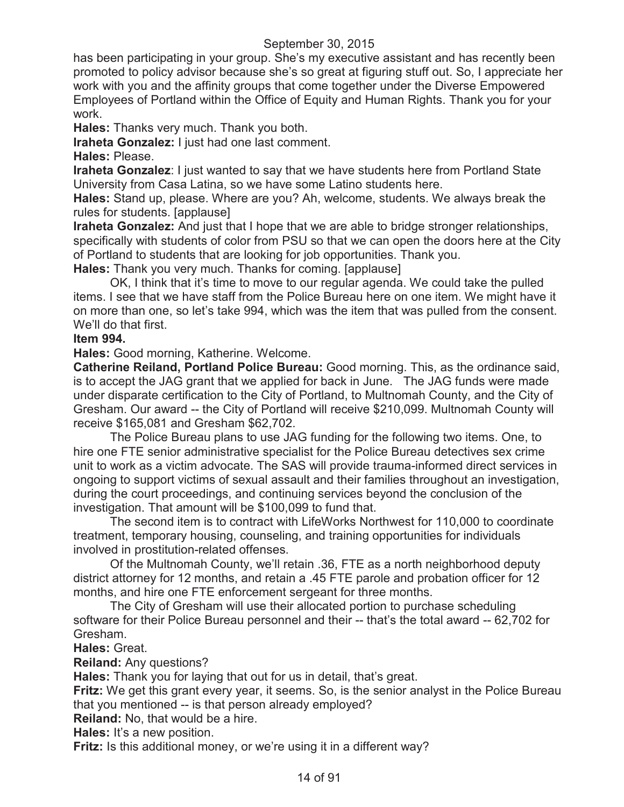has been participating in your group. She's my executive assistant and has recently been promoted to policy advisor because she's so great at figuring stuff out. So, I appreciate her work with you and the affinity groups that come together under the Diverse Empowered Employees of Portland within the Office of Equity and Human Rights. Thank you for your work.

**Hales:** Thanks very much. Thank you both.

**Iraheta Gonzalez:** I just had one last comment.

**Hales:** Please.

**Iraheta Gonzalez**: I just wanted to say that we have students here from Portland State University from Casa Latina, so we have some Latino students here.

**Hales:** Stand up, please. Where are you? Ah, welcome, students. We always break the rules for students. [applause]

**Iraheta Gonzalez:** And just that I hope that we are able to bridge stronger relationships, specifically with students of color from PSU so that we can open the doors here at the City of Portland to students that are looking for job opportunities. Thank you.

**Hales:** Thank you very much. Thanks for coming. [applause]

OK, I think that it's time to move to our regular agenda. We could take the pulled items. I see that we have staff from the Police Bureau here on one item. We might have it on more than one, so let's take 994, which was the item that was pulled from the consent. We'll do that first.

#### **Item 994.**

**Hales:** Good morning, Katherine. Welcome.

**Catherine Reiland, Portland Police Bureau:** Good morning. This, as the ordinance said, is to accept the JAG grant that we applied for back in June. The JAG funds were made under disparate certification to the City of Portland, to Multnomah County, and the City of Gresham. Our award -- the City of Portland will receive \$210,099. Multnomah County will receive \$165,081 and Gresham \$62,702.

The Police Bureau plans to use JAG funding for the following two items. One, to hire one FTE senior administrative specialist for the Police Bureau detectives sex crime unit to work as a victim advocate. The SAS will provide trauma-informed direct services in ongoing to support victims of sexual assault and their families throughout an investigation, during the court proceedings, and continuing services beyond the conclusion of the investigation. That amount will be \$100,099 to fund that.

The second item is to contract with LifeWorks Northwest for 110,000 to coordinate treatment, temporary housing, counseling, and training opportunities for individuals involved in prostitution-related offenses.

Of the Multnomah County, we'll retain .36, FTE as a north neighborhood deputy district attorney for 12 months, and retain a .45 FTE parole and probation officer for 12 months, and hire one FTE enforcement sergeant for three months.

The City of Gresham will use their allocated portion to purchase scheduling software for their Police Bureau personnel and their -- that's the total award -- 62,702 for Gresham.

**Hales:** Great.

**Reiland:** Any questions?

**Hales:** Thank you for laying that out for us in detail, that's great.

**Fritz:** We get this grant every year, it seems. So, is the senior analyst in the Police Bureau that you mentioned -- is that person already employed?

**Reiland:** No, that would be a hire.

**Hales:** It's a new position.

**Fritz:** Is this additional money, or we're using it in a different way?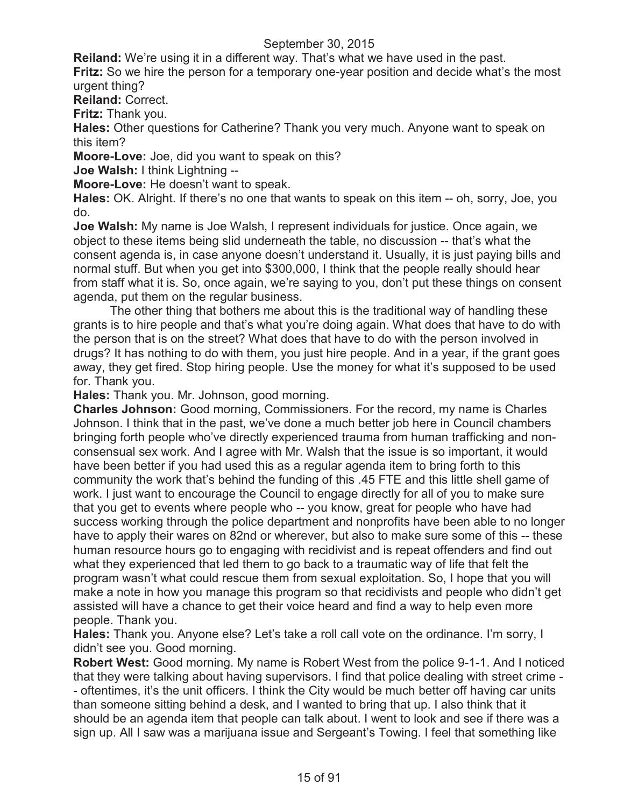**Reiland:** We're using it in a different way. That's what we have used in the past.

**Fritz:** So we hire the person for a temporary one-year position and decide what's the most urgent thing?

**Reiland:** Correct.

**Fritz:** Thank you.

**Hales:** Other questions for Catherine? Thank you very much. Anyone want to speak on this item?

**Moore-Love:** Joe, did you want to speak on this?

**Joe Walsh:** I think Lightning --

**Moore-Love:** He doesn't want to speak.

**Hales:** OK. Alright. If there's no one that wants to speak on this item -- oh, sorry, Joe, you do.

**Joe Walsh:** My name is Joe Walsh, I represent individuals for justice. Once again, we object to these items being slid underneath the table, no discussion -- that's what the consent agenda is, in case anyone doesn't understand it. Usually, it is just paying bills and normal stuff. But when you get into \$300,000, I think that the people really should hear from staff what it is. So, once again, we're saying to you, don't put these things on consent agenda, put them on the regular business.

The other thing that bothers me about this is the traditional way of handling these grants is to hire people and that's what you're doing again. What does that have to do with the person that is on the street? What does that have to do with the person involved in drugs? It has nothing to do with them, you just hire people. And in a year, if the grant goes away, they get fired. Stop hiring people. Use the money for what it's supposed to be used for. Thank you.

**Hales:** Thank you. Mr. Johnson, good morning.

**Charles Johnson:** Good morning, Commissioners. For the record, my name is Charles Johnson. I think that in the past, we've done a much better job here in Council chambers bringing forth people who've directly experienced trauma from human trafficking and nonconsensual sex work. And I agree with Mr. Walsh that the issue is so important, it would have been better if you had used this as a regular agenda item to bring forth to this community the work that's behind the funding of this .45 FTE and this little shell game of work. I just want to encourage the Council to engage directly for all of you to make sure that you get to events where people who -- you know, great for people who have had success working through the police department and nonprofits have been able to no longer have to apply their wares on 82nd or wherever, but also to make sure some of this -- these human resource hours go to engaging with recidivist and is repeat offenders and find out what they experienced that led them to go back to a traumatic way of life that felt the program wasn't what could rescue them from sexual exploitation. So, I hope that you will make a note in how you manage this program so that recidivists and people who didn't get assisted will have a chance to get their voice heard and find a way to help even more people. Thank you.

**Hales:** Thank you. Anyone else? Let's take a roll call vote on the ordinance. I'm sorry, I didn't see you. Good morning.

**Robert West:** Good morning. My name is Robert West from the police 9-1-1. And I noticed that they were talking about having supervisors. I find that police dealing with street crime - - oftentimes, it's the unit officers. I think the City would be much better off having car units than someone sitting behind a desk, and I wanted to bring that up. I also think that it should be an agenda item that people can talk about. I went to look and see if there was a sign up. All I saw was a marijuana issue and Sergeant's Towing. I feel that something like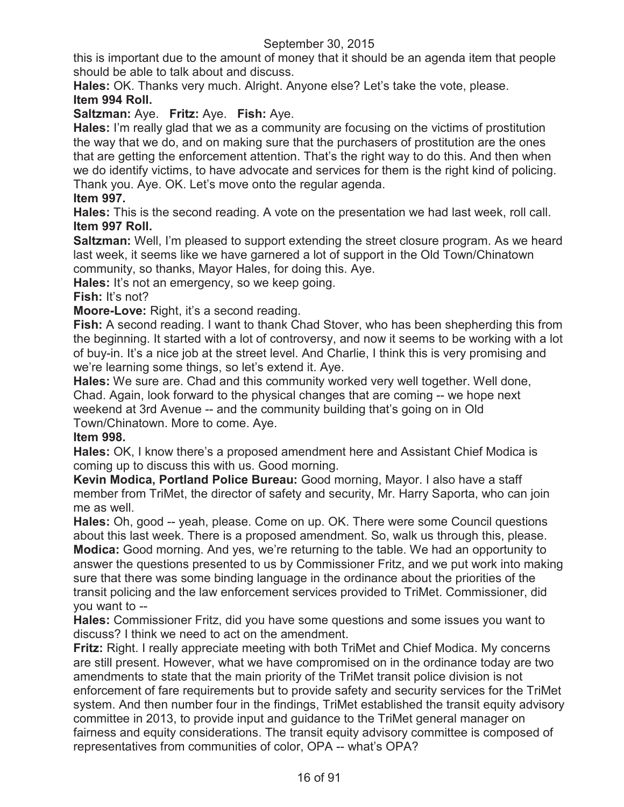this is important due to the amount of money that it should be an agenda item that people should be able to talk about and discuss.

**Hales:** OK. Thanks very much. Alright. Anyone else? Let's take the vote, please. **Item 994 Roll.**

**Saltzman:** Aye. **Fritz:** Aye. **Fish:** Aye.

**Hales:** I'm really glad that we as a community are focusing on the victims of prostitution the way that we do, and on making sure that the purchasers of prostitution are the ones that are getting the enforcement attention. That's the right way to do this. And then when we do identify victims, to have advocate and services for them is the right kind of policing. Thank you. Aye. OK. Let's move onto the regular agenda.

# **Item 997.**

**Hales:** This is the second reading. A vote on the presentation we had last week, roll call. **Item 997 Roll.**

**Saltzman:** Well, I'm pleased to support extending the street closure program. As we heard last week, it seems like we have garnered a lot of support in the Old Town/Chinatown community, so thanks, Mayor Hales, for doing this. Aye.

**Hales:** It's not an emergency, so we keep going.

# **Fish:** It's not?

**Moore-Love:** Right, it's a second reading.

**Fish:** A second reading. I want to thank Chad Stover, who has been shepherding this from the beginning. It started with a lot of controversy, and now it seems to be working with a lot of buy-in. It's a nice job at the street level. And Charlie, I think this is very promising and we're learning some things, so let's extend it. Aye.

**Hales:** We sure are. Chad and this community worked very well together. Well done, Chad. Again, look forward to the physical changes that are coming -- we hope next weekend at 3rd Avenue -- and the community building that's going on in Old Town/Chinatown. More to come. Aye.

#### **Item 998.**

**Hales:** OK, I know there's a proposed amendment here and Assistant Chief Modica is coming up to discuss this with us. Good morning.

**Kevin Modica, Portland Police Bureau:** Good morning, Mayor. I also have a staff member from TriMet, the director of safety and security, Mr. Harry Saporta, who can join me as well.

**Hales:** Oh, good -- yeah, please. Come on up. OK. There were some Council questions about this last week. There is a proposed amendment. So, walk us through this, please. **Modica:** Good morning. And yes, we're returning to the table. We had an opportunity to answer the questions presented to us by Commissioner Fritz, and we put work into making sure that there was some binding language in the ordinance about the priorities of the transit policing and the law enforcement services provided to TriMet. Commissioner, did you want to --

**Hales:** Commissioner Fritz, did you have some questions and some issues you want to discuss? I think we need to act on the amendment.

**Fritz:** Right. I really appreciate meeting with both TriMet and Chief Modica. My concerns are still present. However, what we have compromised on in the ordinance today are two amendments to state that the main priority of the TriMet transit police division is not enforcement of fare requirements but to provide safety and security services for the TriMet system. And then number four in the findings, TriMet established the transit equity advisory committee in 2013, to provide input and guidance to the TriMet general manager on fairness and equity considerations. The transit equity advisory committee is composed of representatives from communities of color, OPA -- what's OPA?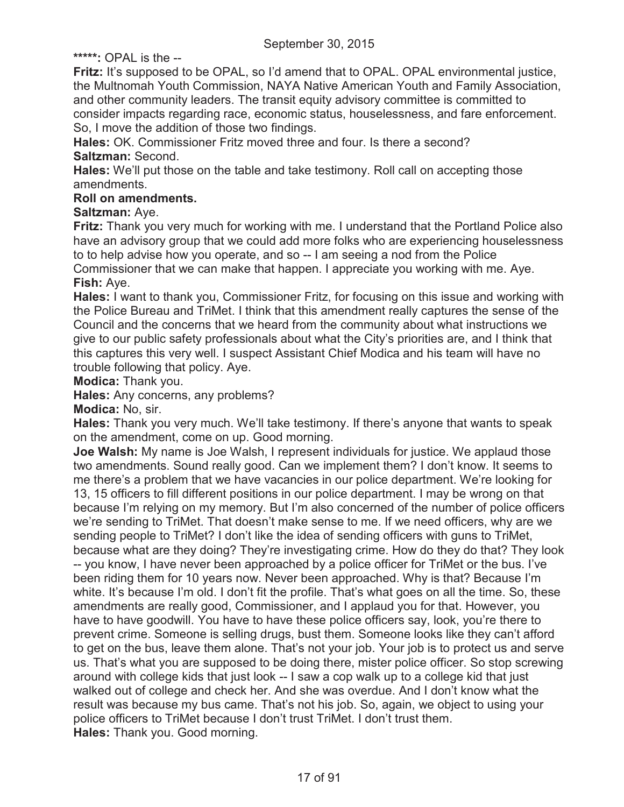**\*\*\*\*\*:** OPAL is the --

**Fritz:** It's supposed to be OPAL, so I'd amend that to OPAL. OPAL environmental justice, the Multnomah Youth Commission, NAYA Native American Youth and Family Association, and other community leaders. The transit equity advisory committee is committed to consider impacts regarding race, economic status, houselessness, and fare enforcement. So, I move the addition of those two findings.

**Hales:** OK. Commissioner Fritz moved three and four. Is there a second? **Saltzman:** Second.

**Hales:** We'll put those on the table and take testimony. Roll call on accepting those amendments.

# **Roll on amendments.**

# **Saltzman:** Aye.

**Fritz:** Thank you very much for working with me. I understand that the Portland Police also have an advisory group that we could add more folks who are experiencing houselessness to to help advise how you operate, and so -- I am seeing a nod from the Police Commissioner that we can make that happen. I appreciate you working with me. Aye. **Fish:** Aye.

**Hales:** I want to thank you, Commissioner Fritz, for focusing on this issue and working with the Police Bureau and TriMet. I think that this amendment really captures the sense of the Council and the concerns that we heard from the community about what instructions we give to our public safety professionals about what the City's priorities are, and I think that this captures this very well. I suspect Assistant Chief Modica and his team will have no trouble following that policy. Aye.

**Modica:** Thank you.

**Hales:** Any concerns, any problems?

**Modica:** No, sir.

**Hales:** Thank you very much. We'll take testimony. If there's anyone that wants to speak on the amendment, come on up. Good morning.

**Joe Walsh:** My name is Joe Walsh, I represent individuals for justice. We applaud those two amendments. Sound really good. Can we implement them? I don't know. It seems to me there's a problem that we have vacancies in our police department. We're looking for 13, 15 officers to fill different positions in our police department. I may be wrong on that because I'm relying on my memory. But I'm also concerned of the number of police officers we're sending to TriMet. That doesn't make sense to me. If we need officers, why are we sending people to TriMet? I don't like the idea of sending officers with guns to TriMet, because what are they doing? They're investigating crime. How do they do that? They look -- you know, I have never been approached by a police officer for TriMet or the bus. I've been riding them for 10 years now. Never been approached. Why is that? Because I'm white. It's because I'm old. I don't fit the profile. That's what goes on all the time. So, these amendments are really good, Commissioner, and I applaud you for that. However, you have to have goodwill. You have to have these police officers say, look, you're there to prevent crime. Someone is selling drugs, bust them. Someone looks like they can't afford to get on the bus, leave them alone. That's not your job. Your job is to protect us and serve us. That's what you are supposed to be doing there, mister police officer. So stop screwing around with college kids that just look -- I saw a cop walk up to a college kid that just walked out of college and check her. And she was overdue. And I don't know what the result was because my bus came. That's not his job. So, again, we object to using your police officers to TriMet because I don't trust TriMet. I don't trust them. **Hales:** Thank you. Good morning.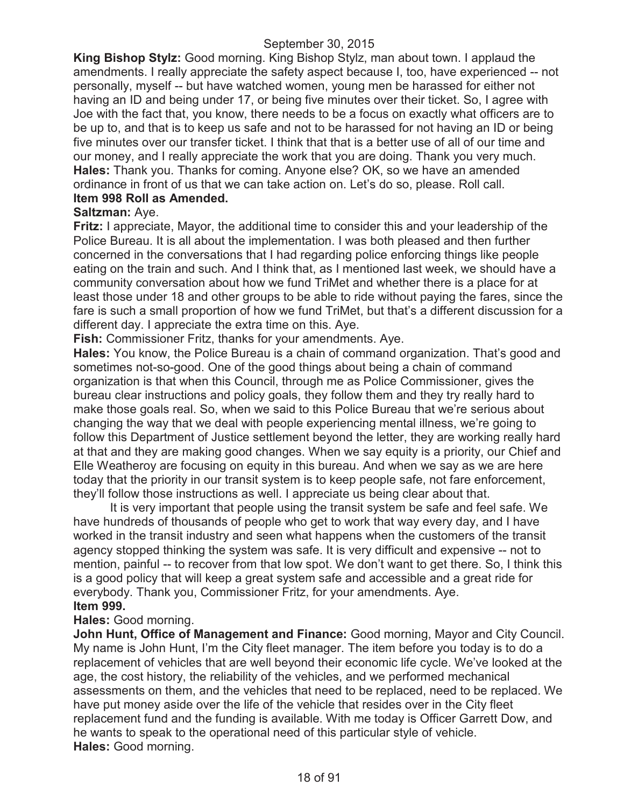**King Bishop Stylz:** Good morning. King Bishop Stylz, man about town. I applaud the amendments. I really appreciate the safety aspect because I, too, have experienced -- not personally, myself -- but have watched women, young men be harassed for either not having an ID and being under 17, or being five minutes over their ticket. So, I agree with Joe with the fact that, you know, there needs to be a focus on exactly what officers are to be up to, and that is to keep us safe and not to be harassed for not having an ID or being five minutes over our transfer ticket. I think that that is a better use of all of our time and our money, and I really appreciate the work that you are doing. Thank you very much. **Hales:** Thank you. Thanks for coming. Anyone else? OK, so we have an amended ordinance in front of us that we can take action on. Let's do so, please. Roll call. **Item 998 Roll as Amended.**

#### **Saltzman:** Aye.

**Fritz:** I appreciate, Mayor, the additional time to consider this and your leadership of the Police Bureau. It is all about the implementation. I was both pleased and then further concerned in the conversations that I had regarding police enforcing things like people eating on the train and such. And I think that, as I mentioned last week, we should have a community conversation about how we fund TriMet and whether there is a place for at least those under 18 and other groups to be able to ride without paying the fares, since the fare is such a small proportion of how we fund TriMet, but that's a different discussion for a different day. I appreciate the extra time on this. Aye.

**Fish:** Commissioner Fritz, thanks for your amendments. Aye.

**Hales:** You know, the Police Bureau is a chain of command organization. That's good and sometimes not-so-good. One of the good things about being a chain of command organization is that when this Council, through me as Police Commissioner, gives the bureau clear instructions and policy goals, they follow them and they try really hard to make those goals real. So, when we said to this Police Bureau that we're serious about changing the way that we deal with people experiencing mental illness, we're going to follow this Department of Justice settlement beyond the letter, they are working really hard at that and they are making good changes. When we say equity is a priority, our Chief and Elle Weatheroy are focusing on equity in this bureau. And when we say as we are here today that the priority in our transit system is to keep people safe, not fare enforcement, they'll follow those instructions as well. I appreciate us being clear about that.

It is very important that people using the transit system be safe and feel safe. We have hundreds of thousands of people who get to work that way every day, and I have worked in the transit industry and seen what happens when the customers of the transit agency stopped thinking the system was safe. It is very difficult and expensive -- not to mention, painful -- to recover from that low spot. We don't want to get there. So, I think this is a good policy that will keep a great system safe and accessible and a great ride for everybody. Thank you, Commissioner Fritz, for your amendments. Aye. **Item 999.**

# **Hales:** Good morning.

**John Hunt, Office of Management and Finance:** Good morning, Mayor and City Council. My name is John Hunt, I'm the City fleet manager. The item before you today is to do a replacement of vehicles that are well beyond their economic life cycle. We've looked at the age, the cost history, the reliability of the vehicles, and we performed mechanical assessments on them, and the vehicles that need to be replaced, need to be replaced. We have put money aside over the life of the vehicle that resides over in the City fleet replacement fund and the funding is available. With me today is Officer Garrett Dow, and he wants to speak to the operational need of this particular style of vehicle. **Hales:** Good morning.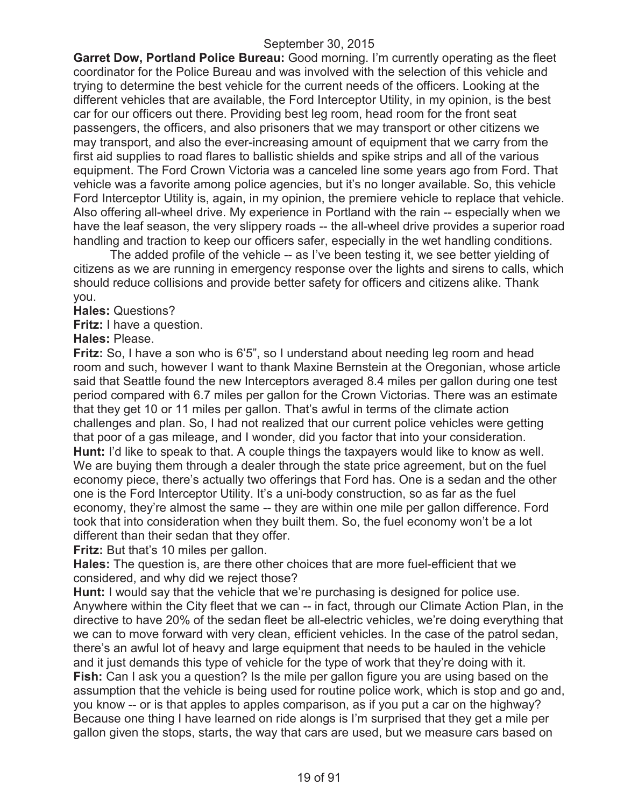**Garret Dow, Portland Police Bureau:** Good morning. I'm currently operating as the fleet coordinator for the Police Bureau and was involved with the selection of this vehicle and trying to determine the best vehicle for the current needs of the officers. Looking at the different vehicles that are available, the Ford Interceptor Utility, in my opinion, is the best car for our officers out there. Providing best leg room, head room for the front seat passengers, the officers, and also prisoners that we may transport or other citizens we may transport, and also the ever-increasing amount of equipment that we carry from the first aid supplies to road flares to ballistic shields and spike strips and all of the various equipment. The Ford Crown Victoria was a canceled line some years ago from Ford. That vehicle was a favorite among police agencies, but it's no longer available. So, this vehicle Ford Interceptor Utility is, again, in my opinion, the premiere vehicle to replace that vehicle. Also offering all-wheel drive. My experience in Portland with the rain -- especially when we have the leaf season, the very slippery roads -- the all-wheel drive provides a superior road handling and traction to keep our officers safer, especially in the wet handling conditions.

The added profile of the vehicle -- as I've been testing it, we see better yielding of citizens as we are running in emergency response over the lights and sirens to calls, which should reduce collisions and provide better safety for officers and citizens alike. Thank you.

**Hales:** Questions?

**Fritz:** I have a question.

**Hales:** Please.

**Fritz:** So, I have a son who is 6'5", so I understand about needing leg room and head room and such, however I want to thank Maxine Bernstein at the Oregonian, whose article said that Seattle found the new Interceptors averaged 8.4 miles per gallon during one test period compared with 6.7 miles per gallon for the Crown Victorias. There was an estimate that they get 10 or 11 miles per gallon. That's awful in terms of the climate action challenges and plan. So, I had not realized that our current police vehicles were getting that poor of a gas mileage, and I wonder, did you factor that into your consideration. **Hunt:** I'd like to speak to that. A couple things the taxpayers would like to know as well. We are buying them through a dealer through the state price agreement, but on the fuel economy piece, there's actually two offerings that Ford has. One is a sedan and the other one is the Ford Interceptor Utility. It's a uni-body construction, so as far as the fuel economy, they're almost the same -- they are within one mile per gallon difference. Ford took that into consideration when they built them. So, the fuel economy won't be a lot different than their sedan that they offer.

**Fritz:** But that's 10 miles per gallon.

**Hales:** The question is, are there other choices that are more fuel-efficient that we considered, and why did we reject those?

**Hunt:** I would say that the vehicle that we're purchasing is designed for police use. Anywhere within the City fleet that we can -- in fact, through our Climate Action Plan, in the directive to have 20% of the sedan fleet be all-electric vehicles, we're doing everything that we can to move forward with very clean, efficient vehicles. In the case of the patrol sedan, there's an awful lot of heavy and large equipment that needs to be hauled in the vehicle and it just demands this type of vehicle for the type of work that they're doing with it. **Fish:** Can I ask you a question? Is the mile per gallon figure you are using based on the assumption that the vehicle is being used for routine police work, which is stop and go and, you know -- or is that apples to apples comparison, as if you put a car on the highway? Because one thing I have learned on ride alongs is I'm surprised that they get a mile per gallon given the stops, starts, the way that cars are used, but we measure cars based on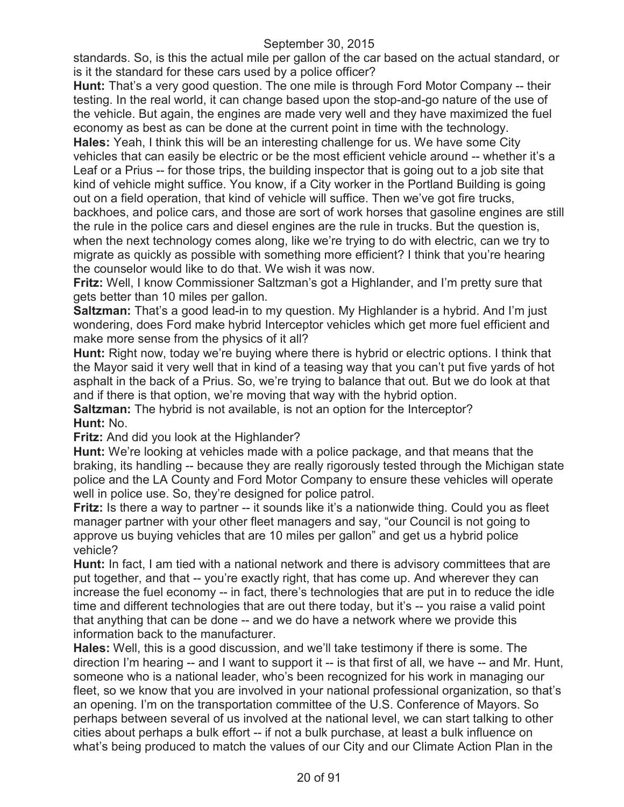standards. So, is this the actual mile per gallon of the car based on the actual standard, or is it the standard for these cars used by a police officer?

**Hunt:** That's a very good question. The one mile is through Ford Motor Company -- their testing. In the real world, it can change based upon the stop-and-go nature of the use of the vehicle. But again, the engines are made very well and they have maximized the fuel economy as best as can be done at the current point in time with the technology.

**Hales:** Yeah, I think this will be an interesting challenge for us. We have some City vehicles that can easily be electric or be the most efficient vehicle around -- whether it's a Leaf or a Prius -- for those trips, the building inspector that is going out to a job site that kind of vehicle might suffice. You know, if a City worker in the Portland Building is going out on a field operation, that kind of vehicle will suffice. Then we've got fire trucks, backhoes, and police cars, and those are sort of work horses that gasoline engines are still the rule in the police cars and diesel engines are the rule in trucks. But the question is, when the next technology comes along, like we're trying to do with electric, can we try to migrate as quickly as possible with something more efficient? I think that you're hearing the counselor would like to do that. We wish it was now.

**Fritz:** Well, I know Commissioner Saltzman's got a Highlander, and I'm pretty sure that gets better than 10 miles per gallon.

**Saltzman:** That's a good lead-in to my question. My Highlander is a hybrid. And I'm just wondering, does Ford make hybrid Interceptor vehicles which get more fuel efficient and make more sense from the physics of it all?

**Hunt:** Right now, today we're buying where there is hybrid or electric options. I think that the Mayor said it very well that in kind of a teasing way that you can't put five yards of hot asphalt in the back of a Prius. So, we're trying to balance that out. But we do look at that and if there is that option, we're moving that way with the hybrid option.

**Saltzman:** The hybrid is not available, is not an option for the Interceptor? **Hunt:** No.

**Fritz:** And did you look at the Highlander?

**Hunt:** We're looking at vehicles made with a police package, and that means that the braking, its handling -- because they are really rigorously tested through the Michigan state police and the LA County and Ford Motor Company to ensure these vehicles will operate well in police use. So, they're designed for police patrol.

**Fritz:** Is there a way to partner -- it sounds like it's a nationwide thing. Could you as fleet manager partner with your other fleet managers and say, "our Council is not going to approve us buying vehicles that are 10 miles per gallon" and get us a hybrid police vehicle?

**Hunt:** In fact, I am tied with a national network and there is advisory committees that are put together, and that -- you're exactly right, that has come up. And wherever they can increase the fuel economy -- in fact, there's technologies that are put in to reduce the idle time and different technologies that are out there today, but it's -- you raise a valid point that anything that can be done -- and we do have a network where we provide this information back to the manufacturer.

**Hales:** Well, this is a good discussion, and we'll take testimony if there is some. The direction I'm hearing -- and I want to support it -- is that first of all, we have -- and Mr. Hunt, someone who is a national leader, who's been recognized for his work in managing our fleet, so we know that you are involved in your national professional organization, so that's an opening. I'm on the transportation committee of the U.S. Conference of Mayors. So perhaps between several of us involved at the national level, we can start talking to other cities about perhaps a bulk effort -- if not a bulk purchase, at least a bulk influence on what's being produced to match the values of our City and our Climate Action Plan in the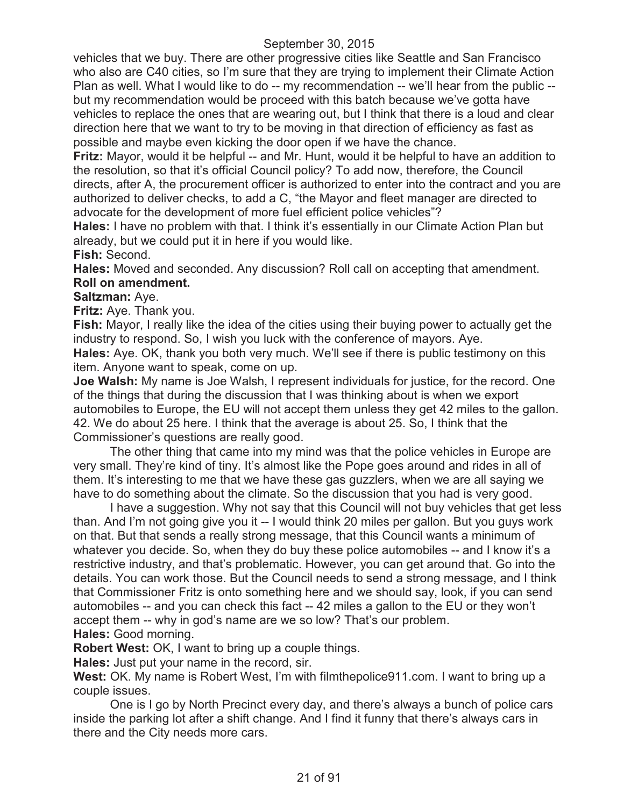vehicles that we buy. There are other progressive cities like Seattle and San Francisco who also are C40 cities, so I'm sure that they are trying to implement their Climate Action Plan as well. What I would like to do -- my recommendation -- we'll hear from the public - but my recommendation would be proceed with this batch because we've gotta have vehicles to replace the ones that are wearing out, but I think that there is a loud and clear direction here that we want to try to be moving in that direction of efficiency as fast as possible and maybe even kicking the door open if we have the chance.

**Fritz:** Mayor, would it be helpful -- and Mr. Hunt, would it be helpful to have an addition to the resolution, so that it's official Council policy? To add now, therefore, the Council directs, after A, the procurement officer is authorized to enter into the contract and you are authorized to deliver checks, to add a C, "the Mayor and fleet manager are directed to advocate for the development of more fuel efficient police vehicles"?

**Hales:** I have no problem with that. I think it's essentially in our Climate Action Plan but already, but we could put it in here if you would like.

**Fish:** Second.

**Hales:** Moved and seconded. Any discussion? Roll call on accepting that amendment. **Roll on amendment.**

# **Saltzman:** Aye.

**Fritz:** Aye. Thank you.

**Fish:** Mayor, I really like the idea of the cities using their buying power to actually get the industry to respond. So, I wish you luck with the conference of mayors. Aye. **Hales:** Aye. OK, thank you both very much. We'll see if there is public testimony on this item. Anyone want to speak, come on up.

**Joe Walsh:** My name is Joe Walsh, I represent individuals for justice, for the record. One of the things that during the discussion that I was thinking about is when we export automobiles to Europe, the EU will not accept them unless they get 42 miles to the gallon. 42. We do about 25 here. I think that the average is about 25. So, I think that the Commissioner's questions are really good.

The other thing that came into my mind was that the police vehicles in Europe are very small. They're kind of tiny. It's almost like the Pope goes around and rides in all of them. It's interesting to me that we have these gas guzzlers, when we are all saying we have to do something about the climate. So the discussion that you had is very good.

I have a suggestion. Why not say that this Council will not buy vehicles that get less than. And I'm not going give you it -- I would think 20 miles per gallon. But you guys work on that. But that sends a really strong message, that this Council wants a minimum of whatever you decide. So, when they do buy these police automobiles -- and I know it's a restrictive industry, and that's problematic. However, you can get around that. Go into the details. You can work those. But the Council needs to send a strong message, and I think that Commissioner Fritz is onto something here and we should say, look, if you can send automobiles -- and you can check this fact -- 42 miles a gallon to the EU or they won't accept them -- why in god's name are we so low? That's our problem. **Hales:** Good morning.

**Robert West:** OK, I want to bring up a couple things.

**Hales:** Just put your name in the record, sir.

**West:** OK. My name is Robert West, I'm with filmthepolice911.com. I want to bring up a couple issues.

One is I go by North Precinct every day, and there's always a bunch of police cars inside the parking lot after a shift change. And I find it funny that there's always cars in there and the City needs more cars.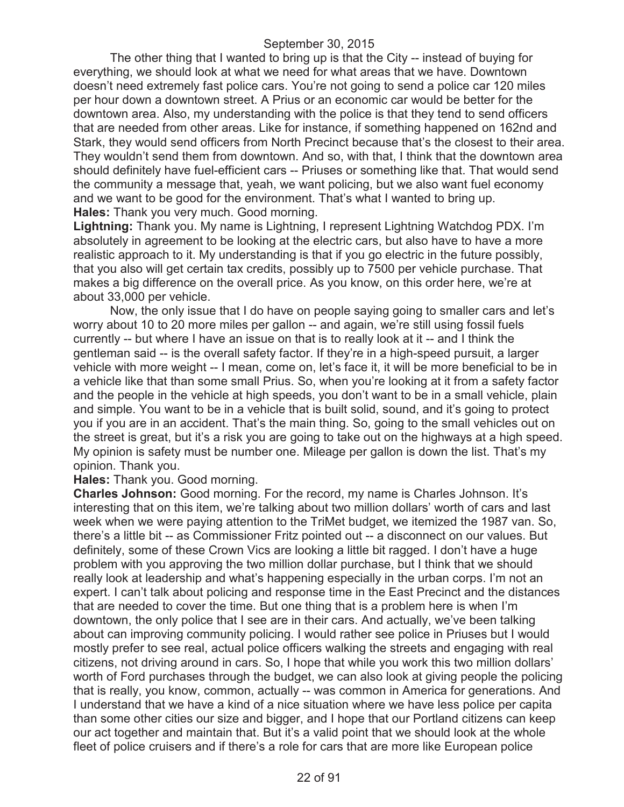The other thing that I wanted to bring up is that the City -- instead of buying for everything, we should look at what we need for what areas that we have. Downtown doesn't need extremely fast police cars. You're not going to send a police car 120 miles per hour down a downtown street. A Prius or an economic car would be better for the downtown area. Also, my understanding with the police is that they tend to send officers that are needed from other areas. Like for instance, if something happened on 162nd and Stark, they would send officers from North Precinct because that's the closest to their area. They wouldn't send them from downtown. And so, with that, I think that the downtown area should definitely have fuel-efficient cars -- Priuses or something like that. That would send the community a message that, yeah, we want policing, but we also want fuel economy and we want to be good for the environment. That's what I wanted to bring up. **Hales:** Thank you very much. Good morning.

**Lightning:** Thank you. My name is Lightning, I represent Lightning Watchdog PDX. I'm absolutely in agreement to be looking at the electric cars, but also have to have a more realistic approach to it. My understanding is that if you go electric in the future possibly, that you also will get certain tax credits, possibly up to 7500 per vehicle purchase. That makes a big difference on the overall price. As you know, on this order here, we're at about 33,000 per vehicle.

Now, the only issue that I do have on people saying going to smaller cars and let's worry about 10 to 20 more miles per gallon -- and again, we're still using fossil fuels currently -- but where I have an issue on that is to really look at it -- and I think the gentleman said -- is the overall safety factor. If they're in a high-speed pursuit, a larger vehicle with more weight -- I mean, come on, let's face it, it will be more beneficial to be in a vehicle like that than some small Prius. So, when you're looking at it from a safety factor and the people in the vehicle at high speeds, you don't want to be in a small vehicle, plain and simple. You want to be in a vehicle that is built solid, sound, and it's going to protect you if you are in an accident. That's the main thing. So, going to the small vehicles out on the street is great, but it's a risk you are going to take out on the highways at a high speed. My opinion is safety must be number one. Mileage per gallon is down the list. That's my opinion. Thank you.

#### **Hales:** Thank you. Good morning.

**Charles Johnson:** Good morning. For the record, my name is Charles Johnson. It's interesting that on this item, we're talking about two million dollars' worth of cars and last week when we were paying attention to the TriMet budget, we itemized the 1987 van. So, there's a little bit -- as Commissioner Fritz pointed out -- a disconnect on our values. But definitely, some of these Crown Vics are looking a little bit ragged. I don't have a huge problem with you approving the two million dollar purchase, but I think that we should really look at leadership and what's happening especially in the urban corps. I'm not an expert. I can't talk about policing and response time in the East Precinct and the distances that are needed to cover the time. But one thing that is a problem here is when I'm downtown, the only police that I see are in their cars. And actually, we've been talking about can improving community policing. I would rather see police in Priuses but I would mostly prefer to see real, actual police officers walking the streets and engaging with real citizens, not driving around in cars. So, I hope that while you work this two million dollars' worth of Ford purchases through the budget, we can also look at giving people the policing that is really, you know, common, actually -- was common in America for generations. And I understand that we have a kind of a nice situation where we have less police per capita than some other cities our size and bigger, and I hope that our Portland citizens can keep our act together and maintain that. But it's a valid point that we should look at the whole fleet of police cruisers and if there's a role for cars that are more like European police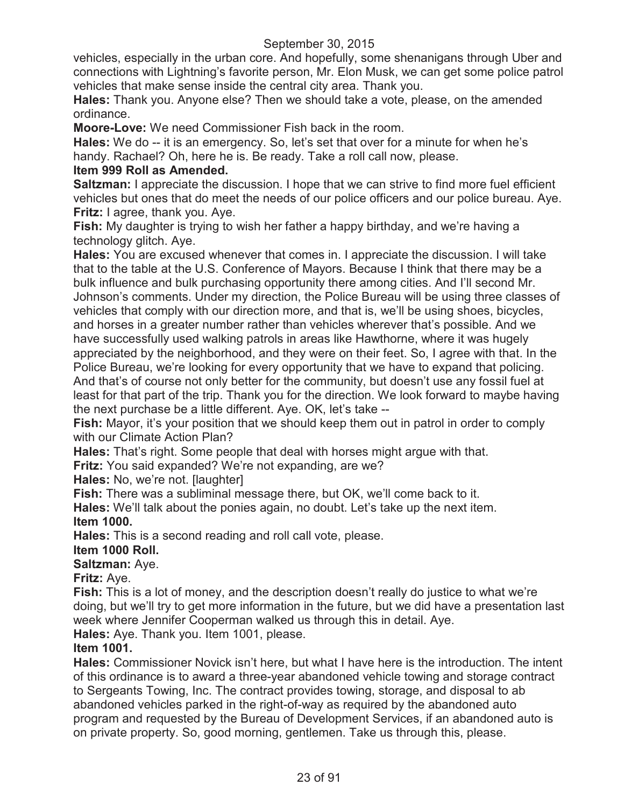vehicles, especially in the urban core. And hopefully, some shenanigans through Uber and connections with Lightning's favorite person, Mr. Elon Musk, we can get some police patrol vehicles that make sense inside the central city area. Thank you.

**Hales:** Thank you. Anyone else? Then we should take a vote, please, on the amended ordinance.

**Moore-Love:** We need Commissioner Fish back in the room.

**Hales:** We do -- it is an emergency. So, let's set that over for a minute for when he's handy. Rachael? Oh, here he is. Be ready. Take a roll call now, please.

# **Item 999 Roll as Amended.**

**Saltzman:** I appreciate the discussion. I hope that we can strive to find more fuel efficient vehicles but ones that do meet the needs of our police officers and our police bureau. Aye. **Fritz:** I agree, thank you. Aye.

**Fish:** My daughter is trying to wish her father a happy birthday, and we're having a technology glitch. Aye.

**Hales:** You are excused whenever that comes in. I appreciate the discussion. I will take that to the table at the U.S. Conference of Mayors. Because I think that there may be a bulk influence and bulk purchasing opportunity there among cities. And I'll second Mr. Johnson's comments. Under my direction, the Police Bureau will be using three classes of vehicles that comply with our direction more, and that is, we'll be using shoes, bicycles, and horses in a greater number rather than vehicles wherever that's possible. And we have successfully used walking patrols in areas like Hawthorne, where it was hugely appreciated by the neighborhood, and they were on their feet. So, I agree with that. In the Police Bureau, we're looking for every opportunity that we have to expand that policing. And that's of course not only better for the community, but doesn't use any fossil fuel at least for that part of the trip. Thank you for the direction. We look forward to maybe having the next purchase be a little different. Aye. OK, let's take --

**Fish:** Mayor, it's your position that we should keep them out in patrol in order to comply with our Climate Action Plan?

**Hales:** That's right. Some people that deal with horses might argue with that.

**Fritz:** You said expanded? We're not expanding, are we?

**Hales:** No, we're not. [laughter]

**Fish:** There was a subliminal message there, but OK, we'll come back to it.

**Hales:** We'll talk about the ponies again, no doubt. Let's take up the next item. **Item 1000.**

**Hales:** This is a second reading and roll call vote, please.

# **Item 1000 Roll.**

**Saltzman:** Aye.

**Fritz:** Aye.

**Fish:** This is a lot of money, and the description doesn't really do justice to what we're doing, but we'll try to get more information in the future, but we did have a presentation last week where Jennifer Cooperman walked us through this in detail. Aye.

**Hales:** Aye. Thank you. Item 1001, please.

# **Item 1001.**

**Hales:** Commissioner Novick isn't here, but what I have here is the introduction. The intent of this ordinance is to award a three-year abandoned vehicle towing and storage contract to Sergeants Towing, Inc. The contract provides towing, storage, and disposal to ab abandoned vehicles parked in the right-of-way as required by the abandoned auto program and requested by the Bureau of Development Services, if an abandoned auto is on private property. So, good morning, gentlemen. Take us through this, please.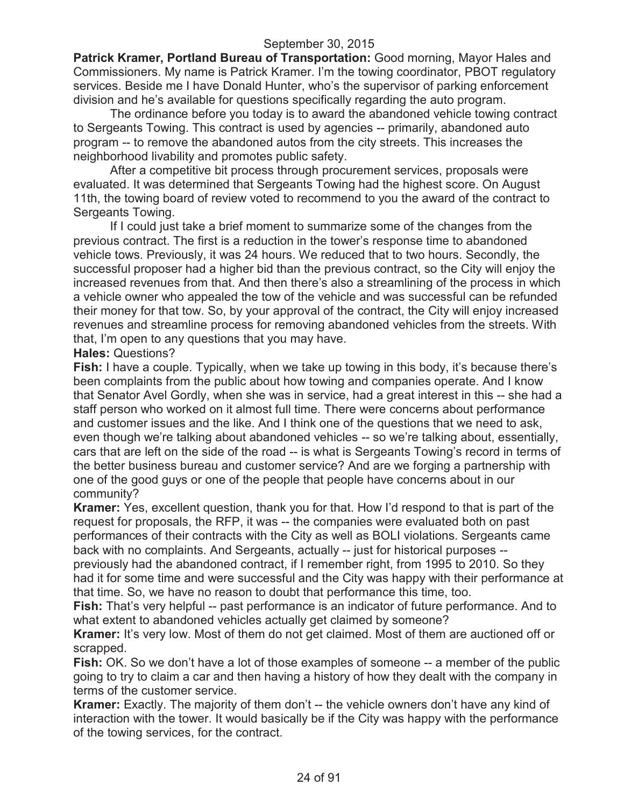**Patrick Kramer, Portland Bureau of Transportation:** Good morning, Mayor Hales and Commissioners. My name is Patrick Kramer. I'm the towing coordinator, PBOT regulatory services. Beside me I have Donald Hunter, who's the supervisor of parking enforcement division and he's available for questions specifically regarding the auto program.

The ordinance before you today is to award the abandoned vehicle towing contract to Sergeants Towing. This contract is used by agencies -- primarily, abandoned auto program -- to remove the abandoned autos from the city streets. This increases the neighborhood livability and promotes public safety.

After a competitive bit process through procurement services, proposals were evaluated. It was determined that Sergeants Towing had the highest score. On August 11th, the towing board of review voted to recommend to you the award of the contract to Sergeants Towing.

If I could just take a brief moment to summarize some of the changes from the previous contract. The first is a reduction in the tower's response time to abandoned vehicle tows. Previously, it was 24 hours. We reduced that to two hours. Secondly, the successful proposer had a higher bid than the previous contract, so the City will enjoy the increased revenues from that. And then there's also a streamlining of the process in which a vehicle owner who appealed the tow of the vehicle and was successful can be refunded their money for that tow. So, by your approval of the contract, the City will enjoy increased revenues and streamline process for removing abandoned vehicles from the streets. With that, I'm open to any questions that you may have.

#### **Hales:** Questions?

**Fish:** I have a couple. Typically, when we take up towing in this body, it's because there's been complaints from the public about how towing and companies operate. And I know that Senator Avel Gordly, when she was in service, had a great interest in this -- she had a staff person who worked on it almost full time. There were concerns about performance and customer issues and the like. And I think one of the questions that we need to ask, even though we're talking about abandoned vehicles -- so we're talking about, essentially, cars that are left on the side of the road -- is what is Sergeants Towing's record in terms of the better business bureau and customer service? And are we forging a partnership with one of the good guys or one of the people that people have concerns about in our community?

**Kramer:** Yes, excellent question, thank you for that. How I'd respond to that is part of the request for proposals, the RFP, it was -- the companies were evaluated both on past performances of their contracts with the City as well as BOLI violations. Sergeants came back with no complaints. And Sergeants, actually -- just for historical purposes --

previously had the abandoned contract, if I remember right, from 1995 to 2010. So they had it for some time and were successful and the City was happy with their performance at that time. So, we have no reason to doubt that performance this time, too.

**Fish:** That's very helpful -- past performance is an indicator of future performance. And to what extent to abandoned vehicles actually get claimed by someone?

**Kramer:** It's very low. Most of them do not get claimed. Most of them are auctioned off or scrapped.

**Fish:** OK. So we don't have a lot of those examples of someone -- a member of the public going to try to claim a car and then having a history of how they dealt with the company in terms of the customer service.

**Kramer:** Exactly. The majority of them don't -- the vehicle owners don't have any kind of interaction with the tower. It would basically be if the City was happy with the performance of the towing services, for the contract.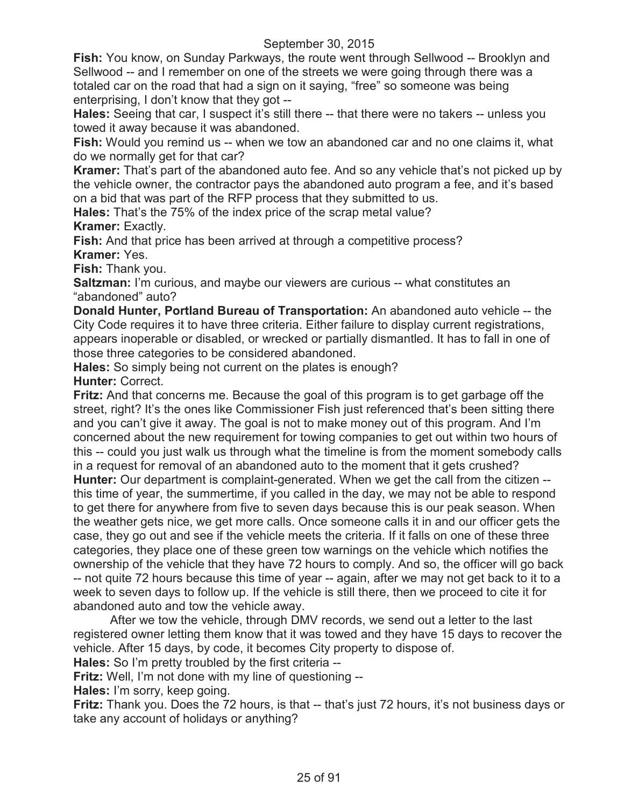**Fish:** You know, on Sunday Parkways, the route went through Sellwood -- Brooklyn and Sellwood -- and I remember on one of the streets we were going through there was a totaled car on the road that had a sign on it saying, "free" so someone was being enterprising, I don't know that they got --

**Hales:** Seeing that car, I suspect it's still there -- that there were no takers -- unless you towed it away because it was abandoned.

**Fish:** Would you remind us -- when we tow an abandoned car and no one claims it, what do we normally get for that car?

**Kramer:** That's part of the abandoned auto fee. And so any vehicle that's not picked up by the vehicle owner, the contractor pays the abandoned auto program a fee, and it's based on a bid that was part of the RFP process that they submitted to us.

**Hales:** That's the 75% of the index price of the scrap metal value? **Kramer:** Exactly.

**Fish:** And that price has been arrived at through a competitive process? **Kramer:** Yes.

**Fish:** Thank you.

**Saltzman:** I'm curious, and maybe our viewers are curious -- what constitutes an "abandoned" auto?

**Donald Hunter, Portland Bureau of Transportation:** An abandoned auto vehicle -- the City Code requires it to have three criteria. Either failure to display current registrations, appears inoperable or disabled, or wrecked or partially dismantled. It has to fall in one of those three categories to be considered abandoned.

**Hales:** So simply being not current on the plates is enough? **Hunter:** Correct.

**Fritz:** And that concerns me. Because the goal of this program is to get garbage off the street, right? It's the ones like Commissioner Fish just referenced that's been sitting there and you can't give it away. The goal is not to make money out of this program. And I'm concerned about the new requirement for towing companies to get out within two hours of this -- could you just walk us through what the timeline is from the moment somebody calls in a request for removal of an abandoned auto to the moment that it gets crushed? **Hunter:** Our department is complaint-generated. When we get the call from the citizen -this time of year, the summertime, if you called in the day, we may not be able to respond to get there for anywhere from five to seven days because this is our peak season. When the weather gets nice, we get more calls. Once someone calls it in and our officer gets the case, they go out and see if the vehicle meets the criteria. If it falls on one of these three categories, they place one of these green tow warnings on the vehicle which notifies the ownership of the vehicle that they have 72 hours to comply. And so, the officer will go back -- not quite 72 hours because this time of year -- again, after we may not get back to it to a week to seven days to follow up. If the vehicle is still there, then we proceed to cite it for abandoned auto and tow the vehicle away.

After we tow the vehicle, through DMV records, we send out a letter to the last registered owner letting them know that it was towed and they have 15 days to recover the vehicle. After 15 days, by code, it becomes City property to dispose of.

**Hales:** So I'm pretty troubled by the first criteria --

**Fritz:** Well, I'm not done with my line of questioning --

**Hales:** I'm sorry, keep going.

**Fritz:** Thank you. Does the 72 hours, is that -- that's just 72 hours, it's not business days or take any account of holidays or anything?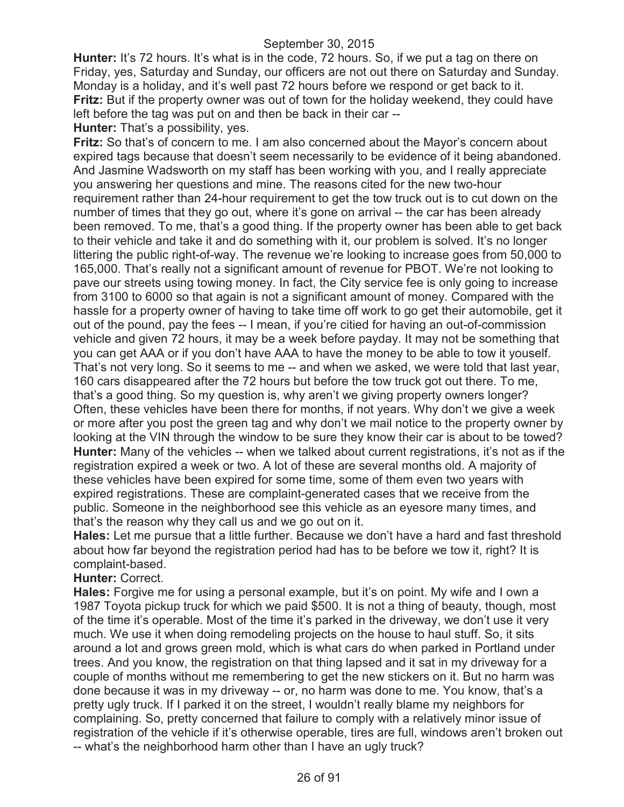**Hunter:** It's 72 hours. It's what is in the code, 72 hours. So, if we put a tag on there on Friday, yes, Saturday and Sunday, our officers are not out there on Saturday and Sunday. Monday is a holiday, and it's well past 72 hours before we respond or get back to it. **Fritz:** But if the property owner was out of town for the holiday weekend, they could have left before the tag was put on and then be back in their car --

**Hunter:** That's a possibility, yes.

**Fritz:** So that's of concern to me. I am also concerned about the Mayor's concern about expired tags because that doesn't seem necessarily to be evidence of it being abandoned. And Jasmine Wadsworth on my staff has been working with you, and I really appreciate you answering her questions and mine. The reasons cited for the new two-hour requirement rather than 24-hour requirement to get the tow truck out is to cut down on the number of times that they go out, where it's gone on arrival -- the car has been already been removed. To me, that's a good thing. If the property owner has been able to get back to their vehicle and take it and do something with it, our problem is solved. It's no longer littering the public right-of-way. The revenue we're looking to increase goes from 50,000 to 165,000. That's really not a significant amount of revenue for PBOT. We're not looking to pave our streets using towing money. In fact, the City service fee is only going to increase from 3100 to 6000 so that again is not a significant amount of money. Compared with the hassle for a property owner of having to take time off work to go get their automobile, get it out of the pound, pay the fees -- I mean, if you're citied for having an out-of-commission vehicle and given 72 hours, it may be a week before payday. It may not be something that you can get AAA or if you don't have AAA to have the money to be able to tow it youself. That's not very long. So it seems to me -- and when we asked, we were told that last year, 160 cars disappeared after the 72 hours but before the tow truck got out there. To me, that's a good thing. So my question is, why aren't we giving property owners longer? Often, these vehicles have been there for months, if not years. Why don't we give a week or more after you post the green tag and why don't we mail notice to the property owner by looking at the VIN through the window to be sure they know their car is about to be towed? **Hunter:** Many of the vehicles -- when we talked about current registrations, it's not as if the registration expired a week or two. A lot of these are several months old. A majority of these vehicles have been expired for some time, some of them even two years with expired registrations. These are complaint-generated cases that we receive from the public. Someone in the neighborhood see this vehicle as an eyesore many times, and that's the reason why they call us and we go out on it.

**Hales:** Let me pursue that a little further. Because we don't have a hard and fast threshold about how far beyond the registration period had has to be before we tow it, right? It is complaint-based.

#### **Hunter:** Correct.

**Hales:** Forgive me for using a personal example, but it's on point. My wife and I own a 1987 Toyota pickup truck for which we paid \$500. It is not a thing of beauty, though, most of the time it's operable. Most of the time it's parked in the driveway, we don't use it very much. We use it when doing remodeling projects on the house to haul stuff. So, it sits around a lot and grows green mold, which is what cars do when parked in Portland under trees. And you know, the registration on that thing lapsed and it sat in my driveway for a couple of months without me remembering to get the new stickers on it. But no harm was done because it was in my driveway -- or, no harm was done to me. You know, that's a pretty ugly truck. If I parked it on the street, I wouldn't really blame my neighbors for complaining. So, pretty concerned that failure to comply with a relatively minor issue of registration of the vehicle if it's otherwise operable, tires are full, windows aren't broken out -- what's the neighborhood harm other than I have an ugly truck?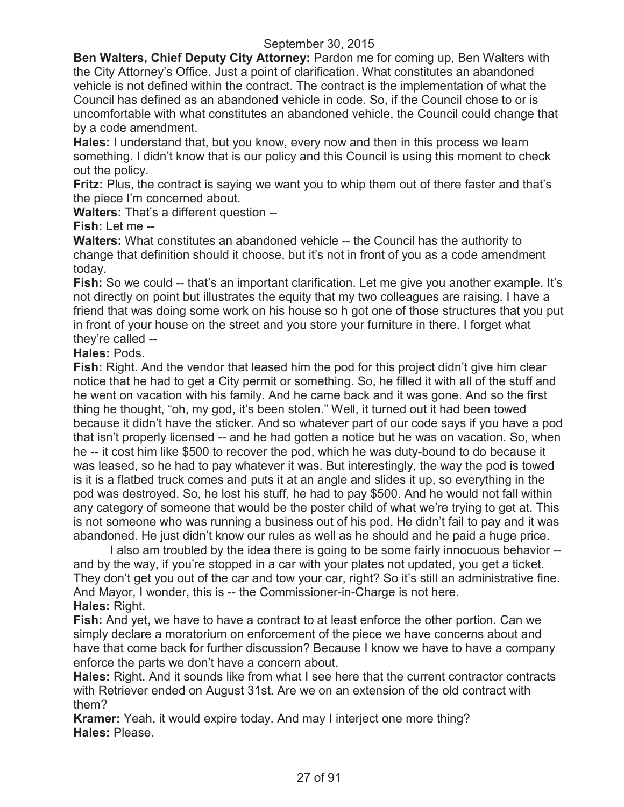**Ben Walters, Chief Deputy City Attorney:** Pardon me for coming up, Ben Walters with the City Attorney's Office. Just a point of clarification. What constitutes an abandoned vehicle is not defined within the contract. The contract is the implementation of what the Council has defined as an abandoned vehicle in code. So, if the Council chose to or is uncomfortable with what constitutes an abandoned vehicle, the Council could change that by a code amendment.

**Hales:** I understand that, but you know, every now and then in this process we learn something. I didn't know that is our policy and this Council is using this moment to check out the policy.

**Fritz:** Plus, the contract is saying we want you to whip them out of there faster and that's the piece I'm concerned about.

**Walters:** That's a different question --

**Fish:** Let me --

**Walters:** What constitutes an abandoned vehicle -- the Council has the authority to change that definition should it choose, but it's not in front of you as a code amendment today.

**Fish:** So we could -- that's an important clarification. Let me give you another example. It's not directly on point but illustrates the equity that my two colleagues are raising. I have a friend that was doing some work on his house so h got one of those structures that you put in front of your house on the street and you store your furniture in there. I forget what they're called --

**Hales:** Pods.

**Fish:** Right. And the vendor that leased him the pod for this project didn't give him clear notice that he had to get a City permit or something. So, he filled it with all of the stuff and he went on vacation with his family. And he came back and it was gone. And so the first thing he thought, "oh, my god, it's been stolen." Well, it turned out it had been towed because it didn't have the sticker. And so whatever part of our code says if you have a pod that isn't properly licensed -- and he had gotten a notice but he was on vacation. So, when he -- it cost him like \$500 to recover the pod, which he was duty-bound to do because it was leased, so he had to pay whatever it was. But interestingly, the way the pod is towed is it is a flatbed truck comes and puts it at an angle and slides it up, so everything in the pod was destroyed. So, he lost his stuff, he had to pay \$500. And he would not fall within any category of someone that would be the poster child of what we're trying to get at. This is not someone who was running a business out of his pod. He didn't fail to pay and it was abandoned. He just didn't know our rules as well as he should and he paid a huge price.

I also am troubled by the idea there is going to be some fairly innocuous behavior - and by the way, if you're stopped in a car with your plates not updated, you get a ticket. They don't get you out of the car and tow your car, right? So it's still an administrative fine. And Mayor, I wonder, this is -- the Commissioner-in-Charge is not here. **Hales:** Right.

**Fish:** And yet, we have to have a contract to at least enforce the other portion. Can we simply declare a moratorium on enforcement of the piece we have concerns about and have that come back for further discussion? Because I know we have to have a company enforce the parts we don't have a concern about.

**Hales:** Right. And it sounds like from what I see here that the current contractor contracts with Retriever ended on August 31st. Are we on an extension of the old contract with them?

**Kramer:** Yeah, it would expire today. And may I interject one more thing? **Hales:** Please.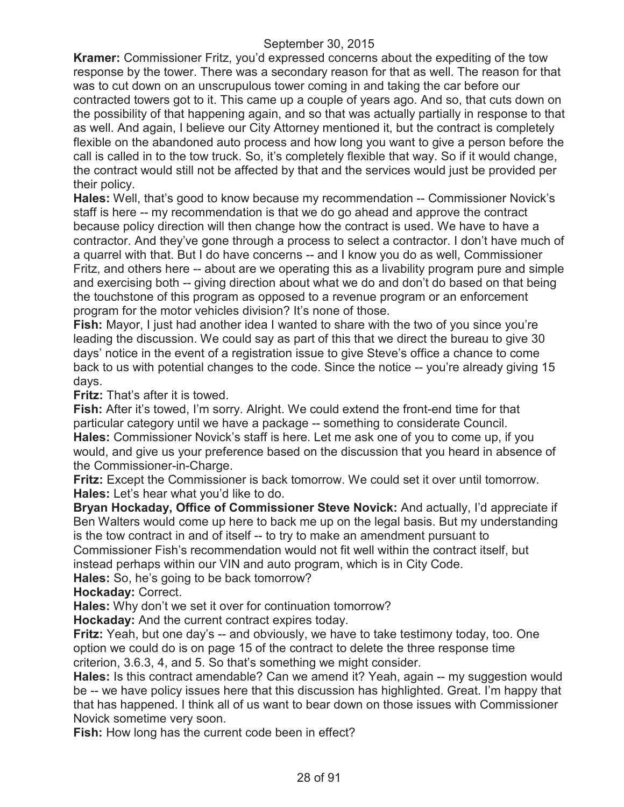**Kramer:** Commissioner Fritz, you'd expressed concerns about the expediting of the tow response by the tower. There was a secondary reason for that as well. The reason for that was to cut down on an unscrupulous tower coming in and taking the car before our contracted towers got to it. This came up a couple of years ago. And so, that cuts down on the possibility of that happening again, and so that was actually partially in response to that as well. And again, I believe our City Attorney mentioned it, but the contract is completely flexible on the abandoned auto process and how long you want to give a person before the call is called in to the tow truck. So, it's completely flexible that way. So if it would change, the contract would still not be affected by that and the services would just be provided per their policy.

**Hales:** Well, that's good to know because my recommendation -- Commissioner Novick's staff is here -- my recommendation is that we do go ahead and approve the contract because policy direction will then change how the contract is used. We have to have a contractor. And they've gone through a process to select a contractor. I don't have much of a quarrel with that. But I do have concerns -- and I know you do as well, Commissioner Fritz, and others here -- about are we operating this as a livability program pure and simple and exercising both -- giving direction about what we do and don't do based on that being the touchstone of this program as opposed to a revenue program or an enforcement program for the motor vehicles division? It's none of those.

**Fish:** Mayor, I just had another idea I wanted to share with the two of you since you're leading the discussion. We could say as part of this that we direct the bureau to give 30 days' notice in the event of a registration issue to give Steve's office a chance to come back to us with potential changes to the code. Since the notice -- you're already giving 15 days.

**Fritz:** That's after it is towed.

**Fish:** After it's towed, I'm sorry. Alright. We could extend the front-end time for that particular category until we have a package -- something to considerate Council. **Hales:** Commissioner Novick's staff is here. Let me ask one of you to come up, if you would, and give us your preference based on the discussion that you heard in absence of the Commissioner-in-Charge.

**Fritz:** Except the Commissioner is back tomorrow. We could set it over until tomorrow. **Hales:** Let's hear what you'd like to do.

**Bryan Hockaday, Office of Commissioner Steve Novick:** And actually, I'd appreciate if Ben Walters would come up here to back me up on the legal basis. But my understanding is the tow contract in and of itself -- to try to make an amendment pursuant to Commissioner Fish's recommendation would not fit well within the contract itself, but instead perhaps within our VIN and auto program, which is in City Code.

**Hales:** So, he's going to be back tomorrow?

**Hockaday:** Correct.

**Hales:** Why don't we set it over for continuation tomorrow?

**Hockaday:** And the current contract expires today.

**Fritz:** Yeah, but one day's -- and obviously, we have to take testimony today, too. One option we could do is on page 15 of the contract to delete the three response time criterion, 3.6.3, 4, and 5. So that's something we might consider.

**Hales:** Is this contract amendable? Can we amend it? Yeah, again -- my suggestion would be -- we have policy issues here that this discussion has highlighted. Great. I'm happy that that has happened. I think all of us want to bear down on those issues with Commissioner Novick sometime very soon.

**Fish:** How long has the current code been in effect?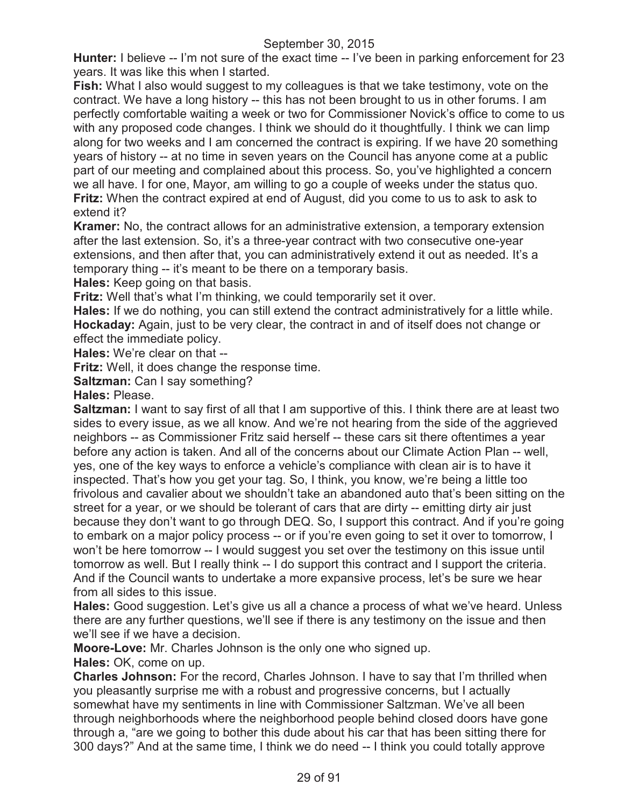**Hunter:** I believe -- I'm not sure of the exact time -- I've been in parking enforcement for 23 years. It was like this when I started.

**Fish:** What I also would suggest to my colleagues is that we take testimony, vote on the contract. We have a long history -- this has not been brought to us in other forums. I am perfectly comfortable waiting a week or two for Commissioner Novick's office to come to us with any proposed code changes. I think we should do it thoughtfully. I think we can limp along for two weeks and I am concerned the contract is expiring. If we have 20 something years of history -- at no time in seven years on the Council has anyone come at a public part of our meeting and complained about this process. So, you've highlighted a concern we all have. I for one, Mayor, am willing to go a couple of weeks under the status quo. **Fritz:** When the contract expired at end of August, did you come to us to ask to ask to extend it?

**Kramer:** No, the contract allows for an administrative extension, a temporary extension after the last extension. So, it's a three-year contract with two consecutive one-year extensions, and then after that, you can administratively extend it out as needed. It's a temporary thing -- it's meant to be there on a temporary basis.

**Hales:** Keep going on that basis.

**Fritz:** Well that's what I'm thinking, we could temporarily set it over.

**Hales:** If we do nothing, you can still extend the contract administratively for a little while. **Hockaday:** Again, just to be very clear, the contract in and of itself does not change or effect the immediate policy.

**Hales:** We're clear on that --

**Fritz:** Well, it does change the response time.

**Saltzman:** Can I say something?

**Hales:** Please.

**Saltzman:** I want to say first of all that I am supportive of this. I think there are at least two sides to every issue, as we all know. And we're not hearing from the side of the aggrieved neighbors -- as Commissioner Fritz said herself -- these cars sit there oftentimes a year before any action is taken. And all of the concerns about our Climate Action Plan -- well, yes, one of the key ways to enforce a vehicle's compliance with clean air is to have it inspected. That's how you get your tag. So, I think, you know, we're being a little too frivolous and cavalier about we shouldn't take an abandoned auto that's been sitting on the street for a year, or we should be tolerant of cars that are dirty -- emitting dirty air just because they don't want to go through DEQ. So, I support this contract. And if you're going to embark on a major policy process -- or if you're even going to set it over to tomorrow, I won't be here tomorrow -- I would suggest you set over the testimony on this issue until tomorrow as well. But I really think -- I do support this contract and I support the criteria. And if the Council wants to undertake a more expansive process, let's be sure we hear from all sides to this issue.

**Hales:** Good suggestion. Let's give us all a chance a process of what we've heard. Unless there are any further questions, we'll see if there is any testimony on the issue and then we'll see if we have a decision.

**Moore-Love:** Mr. Charles Johnson is the only one who signed up.

**Hales:** OK, come on up.

**Charles Johnson:** For the record, Charles Johnson. I have to say that I'm thrilled when you pleasantly surprise me with a robust and progressive concerns, but I actually somewhat have my sentiments in line with Commissioner Saltzman. We've all been through neighborhoods where the neighborhood people behind closed doors have gone through a, "are we going to bother this dude about his car that has been sitting there for 300 days?" And at the same time, I think we do need -- I think you could totally approve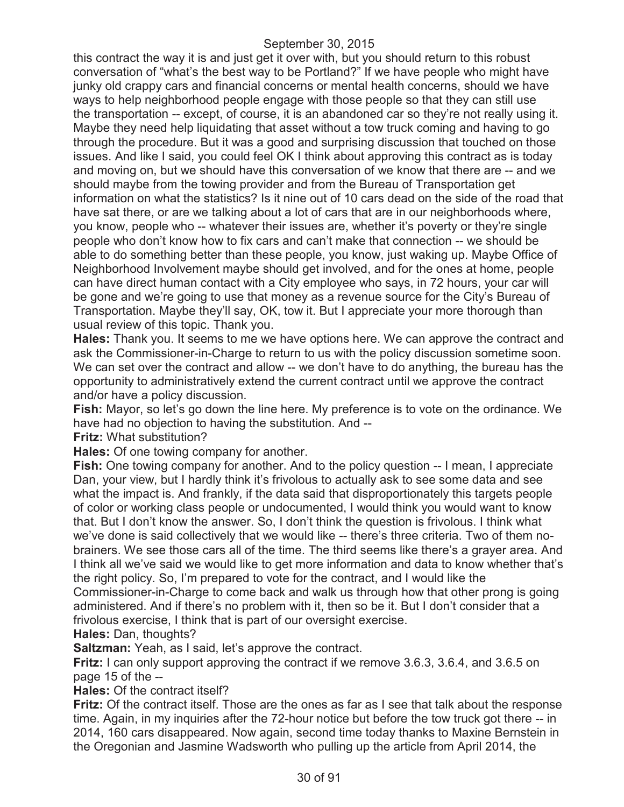this contract the way it is and just get it over with, but you should return to this robust conversation of "what's the best way to be Portland?" If we have people who might have junky old crappy cars and financial concerns or mental health concerns, should we have ways to help neighborhood people engage with those people so that they can still use the transportation -- except, of course, it is an abandoned car so they're not really using it. Maybe they need help liquidating that asset without a tow truck coming and having to go through the procedure. But it was a good and surprising discussion that touched on those issues. And like I said, you could feel OK I think about approving this contract as is today and moving on, but we should have this conversation of we know that there are -- and we should maybe from the towing provider and from the Bureau of Transportation get information on what the statistics? Is it nine out of 10 cars dead on the side of the road that have sat there, or are we talking about a lot of cars that are in our neighborhoods where, you know, people who -- whatever their issues are, whether it's poverty or they're single people who don't know how to fix cars and can't make that connection -- we should be able to do something better than these people, you know, just waking up. Maybe Office of Neighborhood Involvement maybe should get involved, and for the ones at home, people can have direct human contact with a City employee who says, in 72 hours, your car will be gone and we're going to use that money as a revenue source for the City's Bureau of Transportation. Maybe they'll say, OK, tow it. But I appreciate your more thorough than usual review of this topic. Thank you.

**Hales:** Thank you. It seems to me we have options here. We can approve the contract and ask the Commissioner-in-Charge to return to us with the policy discussion sometime soon. We can set over the contract and allow -- we don't have to do anything, the bureau has the opportunity to administratively extend the current contract until we approve the contract and/or have a policy discussion.

**Fish:** Mayor, so let's go down the line here. My preference is to vote on the ordinance. We have had no objection to having the substitution. And --

**Fritz:** What substitution?

**Hales:** Of one towing company for another.

**Fish:** One towing company for another. And to the policy question -- I mean, I appreciate Dan, your view, but I hardly think it's frivolous to actually ask to see some data and see what the impact is. And frankly, if the data said that disproportionately this targets people of color or working class people or undocumented, I would think you would want to know that. But I don't know the answer. So, I don't think the question is frivolous. I think what we've done is said collectively that we would like -- there's three criteria. Two of them nobrainers. We see those cars all of the time. The third seems like there's a grayer area. And I think all we've said we would like to get more information and data to know whether that's the right policy. So, I'm prepared to vote for the contract, and I would like the Commissioner-in-Charge to come back and walk us through how that other prong is going administered. And if there's no problem with it, then so be it. But I don't consider that a frivolous exercise, I think that is part of our oversight exercise.

**Hales:** Dan, thoughts?

**Saltzman:** Yeah, as I said, let's approve the contract.

**Fritz:** I can only support approving the contract if we remove 3.6.3, 3.6.4, and 3.6.5 on page 15 of the --

**Hales:** Of the contract itself?

**Fritz:** Of the contract itself. Those are the ones as far as I see that talk about the response time. Again, in my inquiries after the 72-hour notice but before the tow truck got there -- in 2014, 160 cars disappeared. Now again, second time today thanks to Maxine Bernstein in the Oregonian and Jasmine Wadsworth who pulling up the article from April 2014, the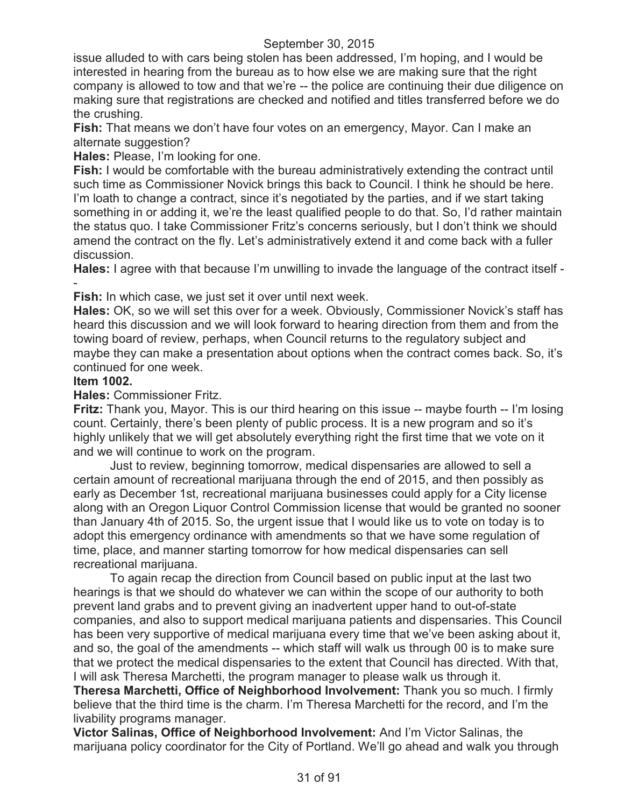issue alluded to with cars being stolen has been addressed, I'm hoping, and I would be interested in hearing from the bureau as to how else we are making sure that the right company is allowed to tow and that we're -- the police are continuing their due diligence on making sure that registrations are checked and notified and titles transferred before we do the crushing.

**Fish:** That means we don't have four votes on an emergency, Mayor. Can I make an alternate suggestion?

**Hales:** Please, I'm looking for one.

**Fish:** I would be comfortable with the bureau administratively extending the contract until such time as Commissioner Novick brings this back to Council. I think he should be here. I'm loath to change a contract, since it's negotiated by the parties, and if we start taking something in or adding it, we're the least qualified people to do that. So, I'd rather maintain the status quo. I take Commissioner Fritz's concerns seriously, but I don't think we should amend the contract on the fly. Let's administratively extend it and come back with a fuller discussion.

**Hales:** I agree with that because I'm unwilling to invade the language of the contract itself - -

**Fish:** In which case, we just set it over until next week.

**Hales:** OK, so we will set this over for a week. Obviously, Commissioner Novick's staff has heard this discussion and we will look forward to hearing direction from them and from the towing board of review, perhaps, when Council returns to the regulatory subject and maybe they can make a presentation about options when the contract comes back. So, it's continued for one week.

#### **Item 1002.**

**Hales:** Commissioner Fritz.

**Fritz:** Thank you, Mayor. This is our third hearing on this issue -- maybe fourth -- I'm losing count. Certainly, there's been plenty of public process. It is a new program and so it's highly unlikely that we will get absolutely everything right the first time that we vote on it and we will continue to work on the program.

Just to review, beginning tomorrow, medical dispensaries are allowed to sell a certain amount of recreational marijuana through the end of 2015, and then possibly as early as December 1st, recreational marijuana businesses could apply for a City license along with an Oregon Liquor Control Commission license that would be granted no sooner than January 4th of 2015. So, the urgent issue that I would like us to vote on today is to adopt this emergency ordinance with amendments so that we have some regulation of time, place, and manner starting tomorrow for how medical dispensaries can sell recreational marijuana.

To again recap the direction from Council based on public input at the last two hearings is that we should do whatever we can within the scope of our authority to both prevent land grabs and to prevent giving an inadvertent upper hand to out-of-state companies, and also to support medical marijuana patients and dispensaries. This Council has been very supportive of medical marijuana every time that we've been asking about it, and so, the goal of the amendments -- which staff will walk us through 00 is to make sure that we protect the medical dispensaries to the extent that Council has directed. With that, I will ask Theresa Marchetti, the program manager to please walk us through it.

**Theresa Marchetti, Office of Neighborhood Involvement:** Thank you so much. I firmly believe that the third time is the charm. I'm Theresa Marchetti for the record, and I'm the livability programs manager.

**Victor Salinas, Office of Neighborhood Involvement:** And I'm Victor Salinas, the marijuana policy coordinator for the City of Portland. We'll go ahead and walk you through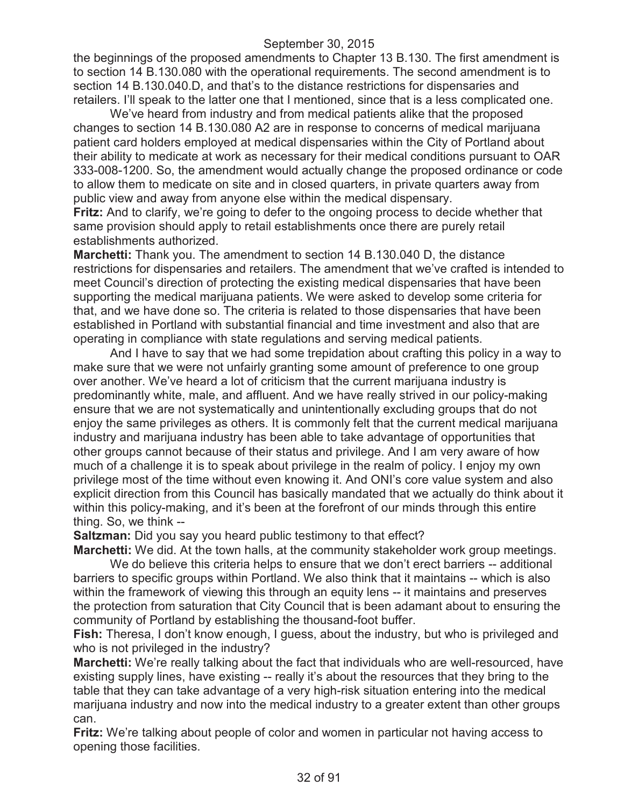the beginnings of the proposed amendments to Chapter 13 B.130. The first amendment is to section 14 B.130.080 with the operational requirements. The second amendment is to section 14 B.130.040.D, and that's to the distance restrictions for dispensaries and retailers. I'll speak to the latter one that I mentioned, since that is a less complicated one.

We've heard from industry and from medical patients alike that the proposed changes to section 14 B.130.080 A2 are in response to concerns of medical marijuana patient card holders employed at medical dispensaries within the City of Portland about their ability to medicate at work as necessary for their medical conditions pursuant to OAR 333-008-1200. So, the amendment would actually change the proposed ordinance or code to allow them to medicate on site and in closed quarters, in private quarters away from public view and away from anyone else within the medical dispensary.

**Fritz:** And to clarify, we're going to defer to the ongoing process to decide whether that same provision should apply to retail establishments once there are purely retail establishments authorized.

**Marchetti:** Thank you. The amendment to section 14 B.130.040 D, the distance restrictions for dispensaries and retailers. The amendment that we've crafted is intended to meet Council's direction of protecting the existing medical dispensaries that have been supporting the medical marijuana patients. We were asked to develop some criteria for that, and we have done so. The criteria is related to those dispensaries that have been established in Portland with substantial financial and time investment and also that are operating in compliance with state regulations and serving medical patients.

And I have to say that we had some trepidation about crafting this policy in a way to make sure that we were not unfairly granting some amount of preference to one group over another. We've heard a lot of criticism that the current marijuana industry is predominantly white, male, and affluent. And we have really strived in our policy-making ensure that we are not systematically and unintentionally excluding groups that do not enjoy the same privileges as others. It is commonly felt that the current medical marijuana industry and marijuana industry has been able to take advantage of opportunities that other groups cannot because of their status and privilege. And I am very aware of how much of a challenge it is to speak about privilege in the realm of policy. I enjoy my own privilege most of the time without even knowing it. And ONI's core value system and also explicit direction from this Council has basically mandated that we actually do think about it within this policy-making, and it's been at the forefront of our minds through this entire thing. So, we think --

**Saltzman:** Did you say you heard public testimony to that effect?

**Marchetti:** We did. At the town halls, at the community stakeholder work group meetings.

We do believe this criteria helps to ensure that we don't erect barriers -- additional barriers to specific groups within Portland. We also think that it maintains -- which is also within the framework of viewing this through an equity lens -- it maintains and preserves the protection from saturation that City Council that is been adamant about to ensuring the community of Portland by establishing the thousand-foot buffer.

**Fish:** Theresa, I don't know enough, I guess, about the industry, but who is privileged and who is not privileged in the industry?

**Marchetti:** We're really talking about the fact that individuals who are well-resourced, have existing supply lines, have existing -- really it's about the resources that they bring to the table that they can take advantage of a very high-risk situation entering into the medical marijuana industry and now into the medical industry to a greater extent than other groups can.

**Fritz:** We're talking about people of color and women in particular not having access to opening those facilities.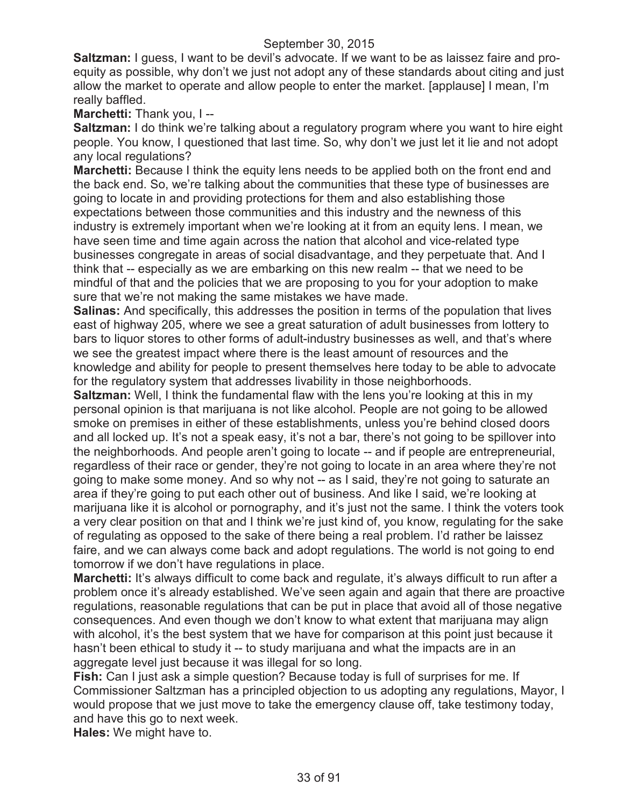**Saltzman:** I guess, I want to be devil's advocate. If we want to be as laissez faire and proequity as possible, why don't we just not adopt any of these standards about citing and just allow the market to operate and allow people to enter the market. [applause] I mean, I'm really baffled.

**Marchetti:** Thank you, I --

**Saltzman:** I do think we're talking about a regulatory program where you want to hire eight people. You know, I questioned that last time. So, why don't we just let it lie and not adopt any local regulations?

**Marchetti:** Because I think the equity lens needs to be applied both on the front end and the back end. So, we're talking about the communities that these type of businesses are going to locate in and providing protections for them and also establishing those expectations between those communities and this industry and the newness of this industry is extremely important when we're looking at it from an equity lens. I mean, we have seen time and time again across the nation that alcohol and vice-related type businesses congregate in areas of social disadvantage, and they perpetuate that. And I think that -- especially as we are embarking on this new realm -- that we need to be mindful of that and the policies that we are proposing to you for your adoption to make sure that we're not making the same mistakes we have made.

**Salinas:** And specifically, this addresses the position in terms of the population that lives east of highway 205, where we see a great saturation of adult businesses from lottery to bars to liquor stores to other forms of adult-industry businesses as well, and that's where we see the greatest impact where there is the least amount of resources and the knowledge and ability for people to present themselves here today to be able to advocate for the regulatory system that addresses livability in those neighborhoods.

**Saltzman:** Well, I think the fundamental flaw with the lens you're looking at this in my personal opinion is that marijuana is not like alcohol. People are not going to be allowed smoke on premises in either of these establishments, unless you're behind closed doors and all locked up. It's not a speak easy, it's not a bar, there's not going to be spillover into the neighborhoods. And people aren't going to locate -- and if people are entrepreneurial, regardless of their race or gender, they're not going to locate in an area where they're not going to make some money. And so why not -- as I said, they're not going to saturate an area if they're going to put each other out of business. And like I said, we're looking at marijuana like it is alcohol or pornography, and it's just not the same. I think the voters took a very clear position on that and I think we're just kind of, you know, regulating for the sake of regulating as opposed to the sake of there being a real problem. I'd rather be laissez faire, and we can always come back and adopt regulations. The world is not going to end tomorrow if we don't have regulations in place.

**Marchetti:** It's always difficult to come back and regulate, it's always difficult to run after a problem once it's already established. We've seen again and again that there are proactive regulations, reasonable regulations that can be put in place that avoid all of those negative consequences. And even though we don't know to what extent that marijuana may align with alcohol, it's the best system that we have for comparison at this point just because it hasn't been ethical to study it -- to study marijuana and what the impacts are in an aggregate level just because it was illegal for so long.

**Fish:** Can I just ask a simple question? Because today is full of surprises for me. If Commissioner Saltzman has a principled objection to us adopting any regulations, Mayor, I would propose that we just move to take the emergency clause off, take testimony today, and have this go to next week.

**Hales:** We might have to.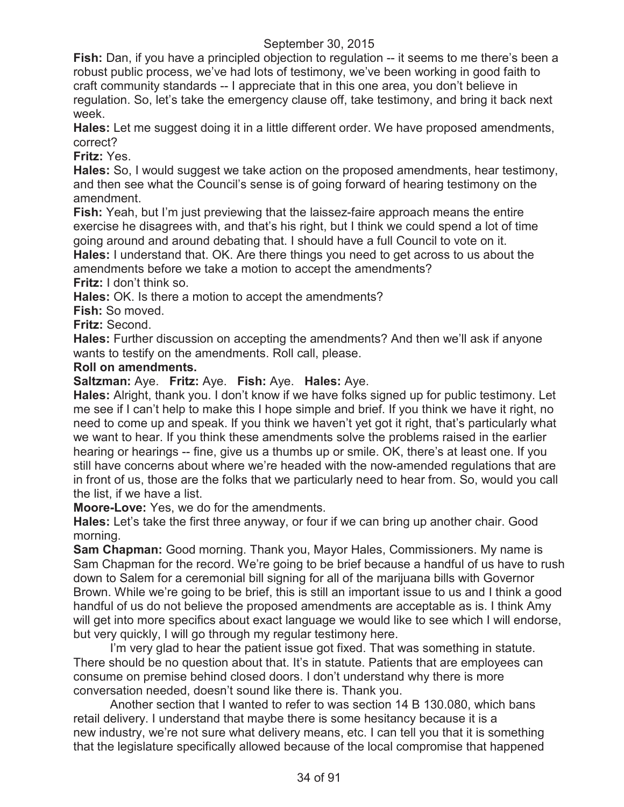**Fish:** Dan, if you have a principled objection to regulation -- it seems to me there's been a robust public process, we've had lots of testimony, we've been working in good faith to craft community standards -- I appreciate that in this one area, you don't believe in regulation. So, let's take the emergency clause off, take testimony, and bring it back next week.

**Hales:** Let me suggest doing it in a little different order. We have proposed amendments, correct?

**Fritz:** Yes.

**Hales:** So, I would suggest we take action on the proposed amendments, hear testimony, and then see what the Council's sense is of going forward of hearing testimony on the amendment.

**Fish:** Yeah, but I'm just previewing that the laissez-faire approach means the entire exercise he disagrees with, and that's his right, but I think we could spend a lot of time going around and around debating that. I should have a full Council to vote on it. **Hales:** I understand that. OK. Are there things you need to get across to us about the

amendments before we take a motion to accept the amendments?

**Fritz:** I don't think so.

Hales: OK. Is there a motion to accept the amendments?

**Fish:** So moved.

**Fritz:** Second.

**Hales:** Further discussion on accepting the amendments? And then we'll ask if anyone wants to testify on the amendments. Roll call, please.

#### **Roll on amendments.**

**Saltzman:** Aye. **Fritz:** Aye. **Fish:** Aye. **Hales:** Aye.

**Hales:** Alright, thank you. I don't know if we have folks signed up for public testimony. Let me see if I can't help to make this I hope simple and brief. If you think we have it right, no need to come up and speak. If you think we haven't yet got it right, that's particularly what we want to hear. If you think these amendments solve the problems raised in the earlier hearing or hearings -- fine, give us a thumbs up or smile. OK, there's at least one. If you still have concerns about where we're headed with the now-amended regulations that are in front of us, those are the folks that we particularly need to hear from. So, would you call the list, if we have a list.

**Moore-Love:** Yes, we do for the amendments.

**Hales:** Let's take the first three anyway, or four if we can bring up another chair. Good morning.

**Sam Chapman:** Good morning. Thank you, Mayor Hales, Commissioners. My name is Sam Chapman for the record. We're going to be brief because a handful of us have to rush down to Salem for a ceremonial bill signing for all of the marijuana bills with Governor Brown. While we're going to be brief, this is still an important issue to us and I think a good handful of us do not believe the proposed amendments are acceptable as is. I think Amy will get into more specifics about exact language we would like to see which I will endorse, but very quickly, I will go through my regular testimony here.

I'm very glad to hear the patient issue got fixed. That was something in statute. There should be no question about that. It's in statute. Patients that are employees can consume on premise behind closed doors. I don't understand why there is more conversation needed, doesn't sound like there is. Thank you.

Another section that I wanted to refer to was section 14 B 130.080, which bans retail delivery. I understand that maybe there is some hesitancy because it is a new industry, we're not sure what delivery means, etc. I can tell you that it is something that the legislature specifically allowed because of the local compromise that happened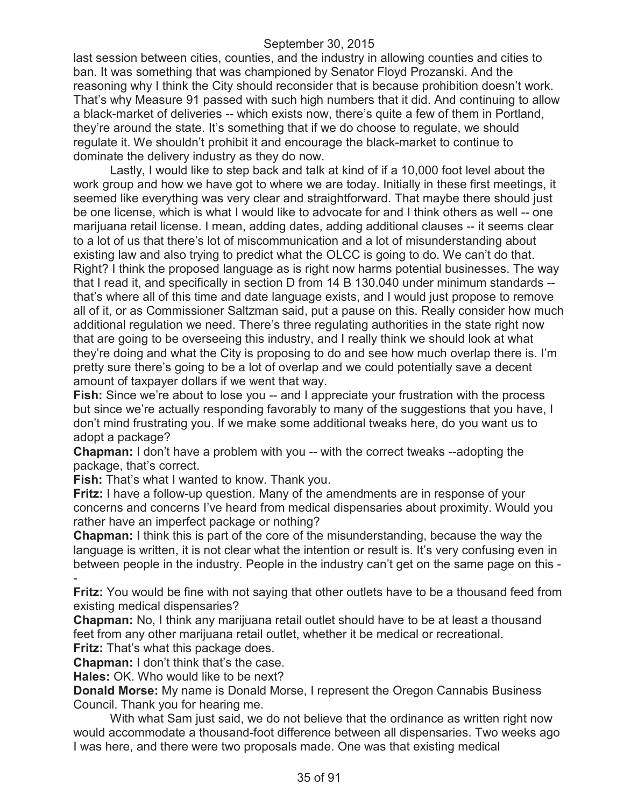last session between cities, counties, and the industry in allowing counties and cities to ban. It was something that was championed by Senator Floyd Prozanski. And the reasoning why I think the City should reconsider that is because prohibition doesn't work. That's why Measure 91 passed with such high numbers that it did. And continuing to allow a black-market of deliveries -- which exists now, there's quite a few of them in Portland, they're around the state. It's something that if we do choose to regulate, we should regulate it. We shouldn't prohibit it and encourage the black-market to continue to dominate the delivery industry as they do now.

Lastly, I would like to step back and talk at kind of if a 10,000 foot level about the work group and how we have got to where we are today. Initially in these first meetings, it seemed like everything was very clear and straightforward. That maybe there should just be one license, which is what I would like to advocate for and I think others as well -- one marijuana retail license. I mean, adding dates, adding additional clauses -- it seems clear to a lot of us that there's lot of miscommunication and a lot of misunderstanding about existing law and also trying to predict what the OLCC is going to do. We can't do that. Right? I think the proposed language as is right now harms potential businesses. The way that I read it, and specifically in section D from 14 B 130.040 under minimum standards - that's where all of this time and date language exists, and I would just propose to remove all of it, or as Commissioner Saltzman said, put a pause on this. Really consider how much additional regulation we need. There's three regulating authorities in the state right now that are going to be overseeing this industry, and I really think we should look at what they're doing and what the City is proposing to do and see how much overlap there is. I'm pretty sure there's going to be a lot of overlap and we could potentially save a decent amount of taxpayer dollars if we went that way.

**Fish:** Since we're about to lose you -- and I appreciate your frustration with the process but since we're actually responding favorably to many of the suggestions that you have, I don't mind frustrating you. If we make some additional tweaks here, do you want us to adopt a package?

**Chapman:** I don't have a problem with you -- with the correct tweaks --adopting the package, that's correct.

**Fish:** That's what I wanted to know. Thank you.

**Fritz:** I have a follow-up question. Many of the amendments are in response of your concerns and concerns I've heard from medical dispensaries about proximity. Would you rather have an imperfect package or nothing?

**Chapman:** I think this is part of the core of the misunderstanding, because the way the language is written, it is not clear what the intention or result is. It's very confusing even in between people in the industry. People in the industry can't get on the same page on this - -

**Fritz:** You would be fine with not saying that other outlets have to be a thousand feed from existing medical dispensaries?

**Chapman:** No, I think any marijuana retail outlet should have to be at least a thousand feet from any other marijuana retail outlet, whether it be medical or recreational. **Fritz:** That's what this package does.

**Chapman:** I don't think that's the case.

**Hales:** OK. Who would like to be next?

**Donald Morse:** My name is Donald Morse, I represent the Oregon Cannabis Business Council. Thank you for hearing me.

With what Sam just said, we do not believe that the ordinance as written right now would accommodate a thousand-foot difference between all dispensaries. Two weeks ago I was here, and there were two proposals made. One was that existing medical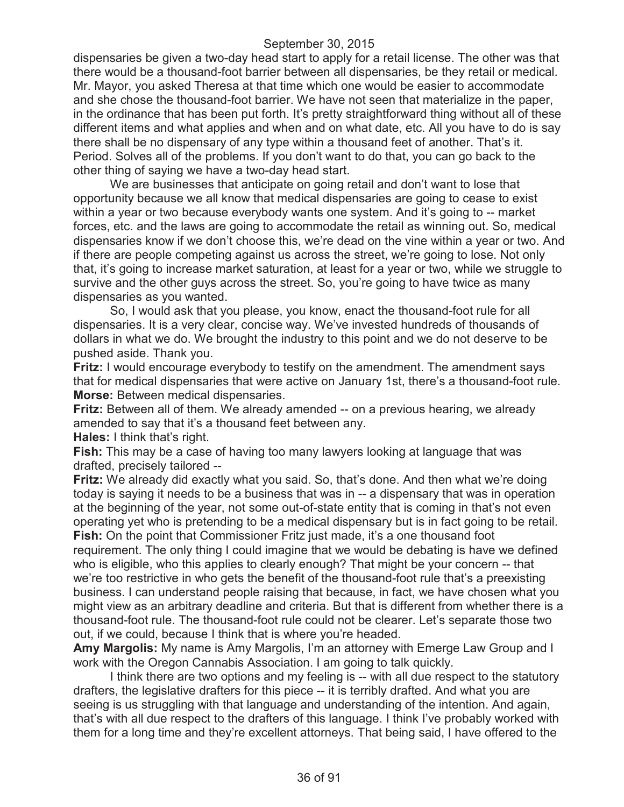dispensaries be given a two-day head start to apply for a retail license. The other was that there would be a thousand-foot barrier between all dispensaries, be they retail or medical. Mr. Mayor, you asked Theresa at that time which one would be easier to accommodate and she chose the thousand-foot barrier. We have not seen that materialize in the paper, in the ordinance that has been put forth. It's pretty straightforward thing without all of these different items and what applies and when and on what date, etc. All you have to do is say there shall be no dispensary of any type within a thousand feet of another. That's it. Period. Solves all of the problems. If you don't want to do that, you can go back to the other thing of saying we have a two-day head start.

We are businesses that anticipate on going retail and don't want to lose that opportunity because we all know that medical dispensaries are going to cease to exist within a year or two because everybody wants one system. And it's going to -- market forces, etc. and the laws are going to accommodate the retail as winning out. So, medical dispensaries know if we don't choose this, we're dead on the vine within a year or two. And if there are people competing against us across the street, we're going to lose. Not only that, it's going to increase market saturation, at least for a year or two, while we struggle to survive and the other guys across the street. So, you're going to have twice as many dispensaries as you wanted.

So, I would ask that you please, you know, enact the thousand-foot rule for all dispensaries. It is a very clear, concise way. We've invested hundreds of thousands of dollars in what we do. We brought the industry to this point and we do not deserve to be pushed aside. Thank you.

**Fritz:** I would encourage everybody to testify on the amendment. The amendment says that for medical dispensaries that were active on January 1st, there's a thousand-foot rule. **Morse:** Between medical dispensaries.

**Fritz:** Between all of them. We already amended -- on a previous hearing, we already amended to say that it's a thousand feet between any.

**Hales:** I think that's right.

**Fish:** This may be a case of having too many lawyers looking at language that was drafted, precisely tailored --

**Fritz:** We already did exactly what you said. So, that's done. And then what we're doing today is saying it needs to be a business that was in -- a dispensary that was in operation at the beginning of the year, not some out-of-state entity that is coming in that's not even operating yet who is pretending to be a medical dispensary but is in fact going to be retail.

**Fish:** On the point that Commissioner Fritz just made, it's a one thousand foot requirement. The only thing I could imagine that we would be debating is have we defined who is eligible, who this applies to clearly enough? That might be your concern -- that we're too restrictive in who gets the benefit of the thousand-foot rule that's a preexisting business. I can understand people raising that because, in fact, we have chosen what you might view as an arbitrary deadline and criteria. But that is different from whether there is a thousand-foot rule. The thousand-foot rule could not be clearer. Let's separate those two out, if we could, because I think that is where you're headed.

**Amy Margolis:** My name is Amy Margolis, I'm an attorney with Emerge Law Group and I work with the Oregon Cannabis Association. I am going to talk quickly.

I think there are two options and my feeling is -- with all due respect to the statutory drafters, the legislative drafters for this piece -- it is terribly drafted. And what you are seeing is us struggling with that language and understanding of the intention. And again, that's with all due respect to the drafters of this language. I think I've probably worked with them for a long time and they're excellent attorneys. That being said, I have offered to the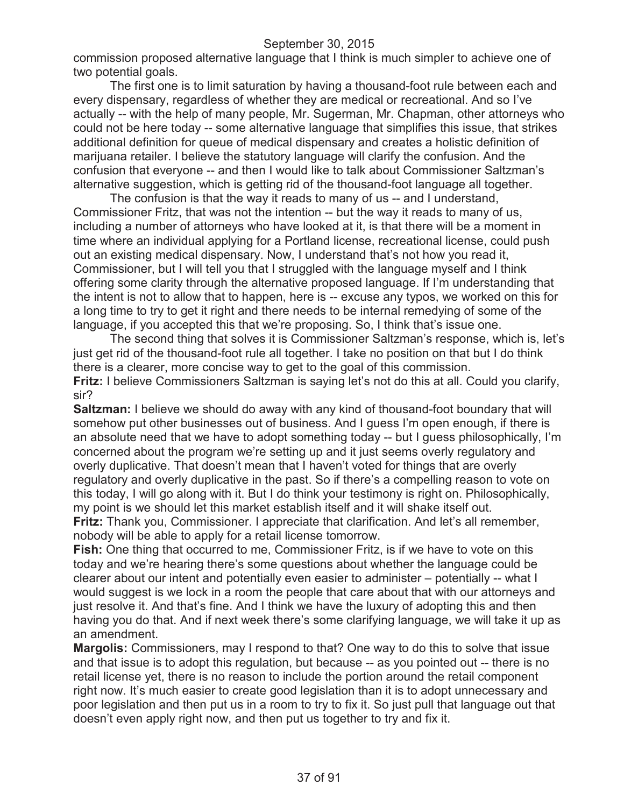commission proposed alternative language that I think is much simpler to achieve one of two potential goals.

The first one is to limit saturation by having a thousand-foot rule between each and every dispensary, regardless of whether they are medical or recreational. And so I've actually -- with the help of many people, Mr. Sugerman, Mr. Chapman, other attorneys who could not be here today -- some alternative language that simplifies this issue, that strikes additional definition for queue of medical dispensary and creates a holistic definition of marijuana retailer. I believe the statutory language will clarify the confusion. And the confusion that everyone -- and then I would like to talk about Commissioner Saltzman's alternative suggestion, which is getting rid of the thousand-foot language all together.

The confusion is that the way it reads to many of us -- and I understand, Commissioner Fritz, that was not the intention -- but the way it reads to many of us, including a number of attorneys who have looked at it, is that there will be a moment in time where an individual applying for a Portland license, recreational license, could push out an existing medical dispensary. Now, I understand that's not how you read it, Commissioner, but I will tell you that I struggled with the language myself and I think offering some clarity through the alternative proposed language. If I'm understanding that the intent is not to allow that to happen, here is -- excuse any typos, we worked on this for a long time to try to get it right and there needs to be internal remedying of some of the language, if you accepted this that we're proposing. So, I think that's issue one.

The second thing that solves it is Commissioner Saltzman's response, which is, let's just get rid of the thousand-foot rule all together. I take no position on that but I do think there is a clearer, more concise way to get to the goal of this commission. **Fritz:** I believe Commissioners Saltzman is saying let's not do this at all. Could you clarify, sir?

**Saltzman:** I believe we should do away with any kind of thousand-foot boundary that will somehow put other businesses out of business. And I guess I'm open enough, if there is an absolute need that we have to adopt something today -- but I guess philosophically, I'm concerned about the program we're setting up and it just seems overly regulatory and overly duplicative. That doesn't mean that I haven't voted for things that are overly regulatory and overly duplicative in the past. So if there's a compelling reason to vote on this today, I will go along with it. But I do think your testimony is right on. Philosophically, my point is we should let this market establish itself and it will shake itself out. **Fritz:** Thank you, Commissioner. I appreciate that clarification. And let's all remember,

nobody will be able to apply for a retail license tomorrow.

**Fish:** One thing that occurred to me, Commissioner Fritz, is if we have to vote on this today and we're hearing there's some questions about whether the language could be clearer about our intent and potentially even easier to administer – potentially -- what I would suggest is we lock in a room the people that care about that with our attorneys and just resolve it. And that's fine. And I think we have the luxury of adopting this and then having you do that. And if next week there's some clarifying language, we will take it up as an amendment.

**Margolis:** Commissioners, may I respond to that? One way to do this to solve that issue and that issue is to adopt this regulation, but because -- as you pointed out -- there is no retail license yet, there is no reason to include the portion around the retail component right now. It's much easier to create good legislation than it is to adopt unnecessary and poor legislation and then put us in a room to try to fix it. So just pull that language out that doesn't even apply right now, and then put us together to try and fix it.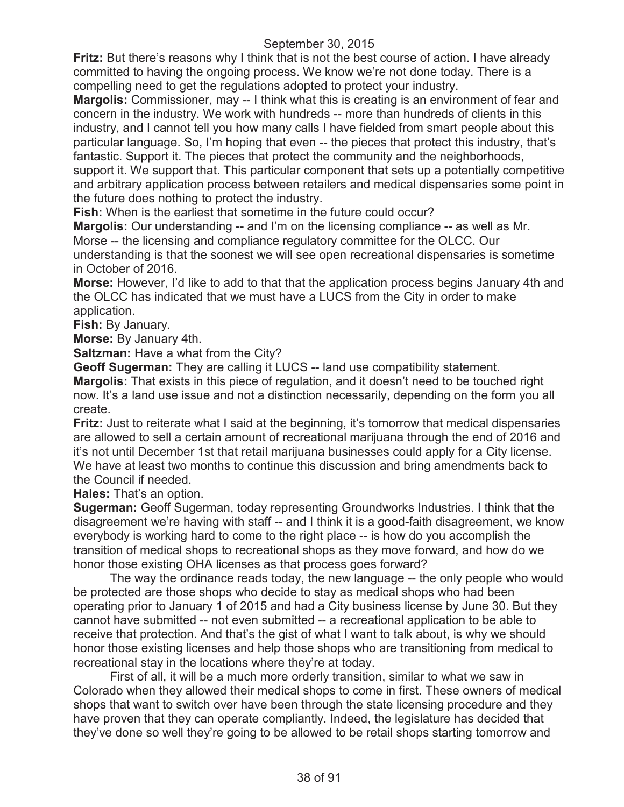**Fritz:** But there's reasons why I think that is not the best course of action. I have already committed to having the ongoing process. We know we're not done today. There is a compelling need to get the regulations adopted to protect your industry.

**Margolis:** Commissioner, may -- I think what this is creating is an environment of fear and concern in the industry. We work with hundreds -- more than hundreds of clients in this industry, and I cannot tell you how many calls I have fielded from smart people about this particular language. So, I'm hoping that even -- the pieces that protect this industry, that's fantastic. Support it. The pieces that protect the community and the neighborhoods, support it. We support that. This particular component that sets up a potentially competitive and arbitrary application process between retailers and medical dispensaries some point in the future does nothing to protect the industry.

**Fish:** When is the earliest that sometime in the future could occur?

**Margolis:** Our understanding -- and I'm on the licensing compliance -- as well as Mr. Morse -- the licensing and compliance regulatory committee for the OLCC. Our understanding is that the soonest we will see open recreational dispensaries is sometime in October of 2016.

**Morse:** However, I'd like to add to that that the application process begins January 4th and the OLCC has indicated that we must have a LUCS from the City in order to make application.

**Fish:** By January.

**Morse:** By January 4th.

**Saltzman:** Have a what from the City?

**Geoff Sugerman:** They are calling it LUCS -- land use compatibility statement. **Margolis:** That exists in this piece of regulation, and it doesn't need to be touched right now. It's a land use issue and not a distinction necessarily, depending on the form you all create.

**Fritz:** Just to reiterate what I said at the beginning, it's tomorrow that medical dispensaries are allowed to sell a certain amount of recreational marijuana through the end of 2016 and it's not until December 1st that retail marijuana businesses could apply for a City license. We have at least two months to continue this discussion and bring amendments back to the Council if needed.

**Hales:** That's an option.

**Sugerman:** Geoff Sugerman, today representing Groundworks Industries. I think that the disagreement we're having with staff -- and I think it is a good-faith disagreement, we know everybody is working hard to come to the right place -- is how do you accomplish the transition of medical shops to recreational shops as they move forward, and how do we honor those existing OHA licenses as that process goes forward?

The way the ordinance reads today, the new language -- the only people who would be protected are those shops who decide to stay as medical shops who had been operating prior to January 1 of 2015 and had a City business license by June 30. But they cannot have submitted -- not even submitted -- a recreational application to be able to receive that protection. And that's the gist of what I want to talk about, is why we should honor those existing licenses and help those shops who are transitioning from medical to recreational stay in the locations where they're at today.

First of all, it will be a much more orderly transition, similar to what we saw in Colorado when they allowed their medical shops to come in first. These owners of medical shops that want to switch over have been through the state licensing procedure and they have proven that they can operate compliantly. Indeed, the legislature has decided that they've done so well they're going to be allowed to be retail shops starting tomorrow and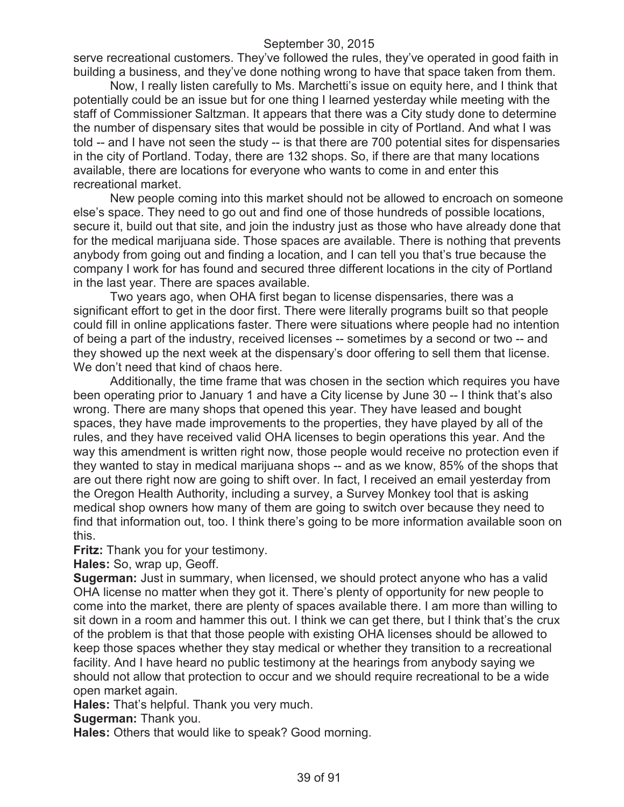serve recreational customers. They've followed the rules, they've operated in good faith in building a business, and they've done nothing wrong to have that space taken from them.

Now, I really listen carefully to Ms. Marchetti's issue on equity here, and I think that potentially could be an issue but for one thing I learned yesterday while meeting with the staff of Commissioner Saltzman. It appears that there was a City study done to determine the number of dispensary sites that would be possible in city of Portland. And what I was told -- and I have not seen the study -- is that there are 700 potential sites for dispensaries in the city of Portland. Today, there are 132 shops. So, if there are that many locations available, there are locations for everyone who wants to come in and enter this recreational market.

New people coming into this market should not be allowed to encroach on someone else's space. They need to go out and find one of those hundreds of possible locations, secure it, build out that site, and join the industry just as those who have already done that for the medical marijuana side. Those spaces are available. There is nothing that prevents anybody from going out and finding a location, and I can tell you that's true because the company I work for has found and secured three different locations in the city of Portland in the last year. There are spaces available.

Two years ago, when OHA first began to license dispensaries, there was a significant effort to get in the door first. There were literally programs built so that people could fill in online applications faster. There were situations where people had no intention of being a part of the industry, received licenses -- sometimes by a second or two -- and they showed up the next week at the dispensary's door offering to sell them that license. We don't need that kind of chaos here.

Additionally, the time frame that was chosen in the section which requires you have been operating prior to January 1 and have a City license by June 30 -- I think that's also wrong. There are many shops that opened this year. They have leased and bought spaces, they have made improvements to the properties, they have played by all of the rules, and they have received valid OHA licenses to begin operations this year. And the way this amendment is written right now, those people would receive no protection even if they wanted to stay in medical marijuana shops -- and as we know, 85% of the shops that are out there right now are going to shift over. In fact, I received an email yesterday from the Oregon Health Authority, including a survey, a Survey Monkey tool that is asking medical shop owners how many of them are going to switch over because they need to find that information out, too. I think there's going to be more information available soon on this.

**Fritz:** Thank you for your testimony.

**Hales:** So, wrap up, Geoff.

**Sugerman:** Just in summary, when licensed, we should protect anyone who has a valid OHA license no matter when they got it. There's plenty of opportunity for new people to come into the market, there are plenty of spaces available there. I am more than willing to sit down in a room and hammer this out. I think we can get there, but I think that's the crux of the problem is that that those people with existing OHA licenses should be allowed to keep those spaces whether they stay medical or whether they transition to a recreational facility. And I have heard no public testimony at the hearings from anybody saying we should not allow that protection to occur and we should require recreational to be a wide open market again.

**Hales:** That's helpful. Thank you very much.

**Sugerman:** Thank you.

**Hales:** Others that would like to speak? Good morning.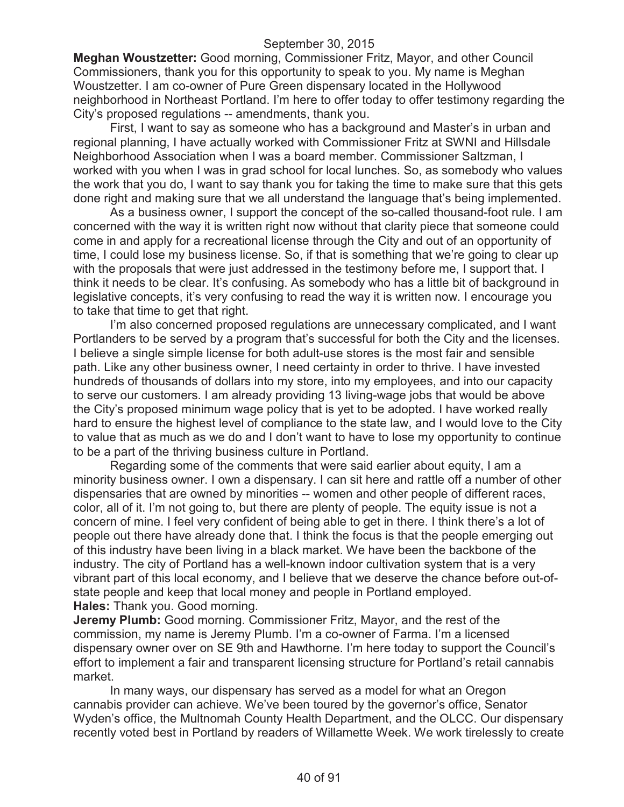**Meghan Woustzetter:** Good morning, Commissioner Fritz, Mayor, and other Council Commissioners, thank you for this opportunity to speak to you. My name is Meghan Woustzetter. I am co-owner of Pure Green dispensary located in the Hollywood neighborhood in Northeast Portland. I'm here to offer today to offer testimony regarding the City's proposed regulations -- amendments, thank you.

First, I want to say as someone who has a background and Master's in urban and regional planning, I have actually worked with Commissioner Fritz at SWNI and Hillsdale Neighborhood Association when I was a board member. Commissioner Saltzman, I worked with you when I was in grad school for local lunches. So, as somebody who values the work that you do, I want to say thank you for taking the time to make sure that this gets done right and making sure that we all understand the language that's being implemented.

As a business owner, I support the concept of the so-called thousand-foot rule. I am concerned with the way it is written right now without that clarity piece that someone could come in and apply for a recreational license through the City and out of an opportunity of time, I could lose my business license. So, if that is something that we're going to clear up with the proposals that were just addressed in the testimony before me, I support that. I think it needs to be clear. It's confusing. As somebody who has a little bit of background in legislative concepts, it's very confusing to read the way it is written now. I encourage you to take that time to get that right.

I'm also concerned proposed regulations are unnecessary complicated, and I want Portlanders to be served by a program that's successful for both the City and the licenses. I believe a single simple license for both adult-use stores is the most fair and sensible path. Like any other business owner, I need certainty in order to thrive. I have invested hundreds of thousands of dollars into my store, into my employees, and into our capacity to serve our customers. I am already providing 13 living-wage jobs that would be above the City's proposed minimum wage policy that is yet to be adopted. I have worked really hard to ensure the highest level of compliance to the state law, and I would love to the City to value that as much as we do and I don't want to have to lose my opportunity to continue to be a part of the thriving business culture in Portland.

Regarding some of the comments that were said earlier about equity, I am a minority business owner. I own a dispensary. I can sit here and rattle off a number of other dispensaries that are owned by minorities -- women and other people of different races, color, all of it. I'm not going to, but there are plenty of people. The equity issue is not a concern of mine. I feel very confident of being able to get in there. I think there's a lot of people out there have already done that. I think the focus is that the people emerging out of this industry have been living in a black market. We have been the backbone of the industry. The city of Portland has a well-known indoor cultivation system that is a very vibrant part of this local economy, and I believe that we deserve the chance before out-ofstate people and keep that local money and people in Portland employed. **Hales:** Thank you. Good morning.

**Jeremy Plumb:** Good morning. Commissioner Fritz, Mayor, and the rest of the commission, my name is Jeremy Plumb. I'm a co-owner of Farma. I'm a licensed dispensary owner over on SE 9th and Hawthorne. I'm here today to support the Council's effort to implement a fair and transparent licensing structure for Portland's retail cannabis market.

In many ways, our dispensary has served as a model for what an Oregon cannabis provider can achieve. We've been toured by the governor's office, Senator Wyden's office, the Multnomah County Health Department, and the OLCC. Our dispensary recently voted best in Portland by readers of Willamette Week. We work tirelessly to create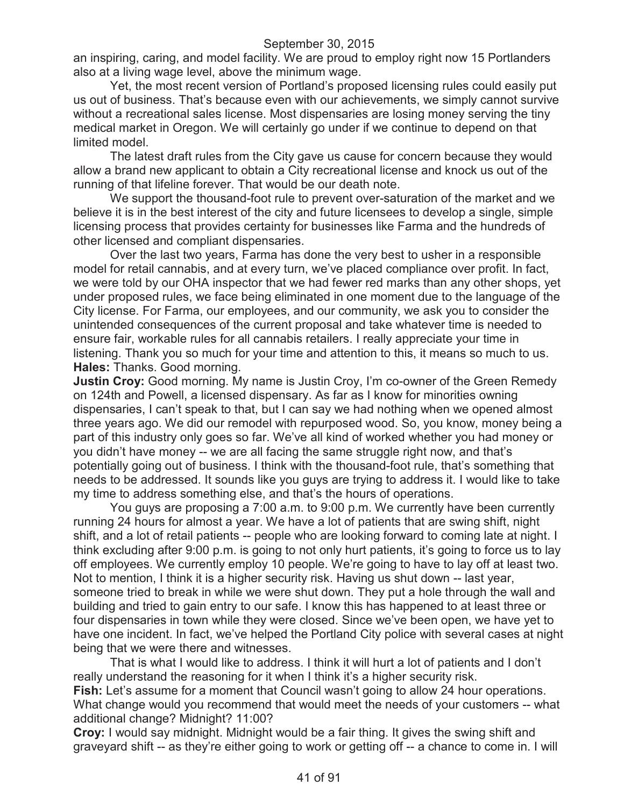an inspiring, caring, and model facility. We are proud to employ right now 15 Portlanders also at a living wage level, above the minimum wage.

Yet, the most recent version of Portland's proposed licensing rules could easily put us out of business. That's because even with our achievements, we simply cannot survive without a recreational sales license. Most dispensaries are losing money serving the tiny medical market in Oregon. We will certainly go under if we continue to depend on that limited model.

The latest draft rules from the City gave us cause for concern because they would allow a brand new applicant to obtain a City recreational license and knock us out of the running of that lifeline forever. That would be our death note.

We support the thousand-foot rule to prevent over-saturation of the market and we believe it is in the best interest of the city and future licensees to develop a single, simple licensing process that provides certainty for businesses like Farma and the hundreds of other licensed and compliant dispensaries.

Over the last two years, Farma has done the very best to usher in a responsible model for retail cannabis, and at every turn, we've placed compliance over profit. In fact, we were told by our OHA inspector that we had fewer red marks than any other shops, yet under proposed rules, we face being eliminated in one moment due to the language of the City license. For Farma, our employees, and our community, we ask you to consider the unintended consequences of the current proposal and take whatever time is needed to ensure fair, workable rules for all cannabis retailers. I really appreciate your time in listening. Thank you so much for your time and attention to this, it means so much to us. **Hales:** Thanks. Good morning.

**Justin Croy:** Good morning. My name is Justin Croy, I'm co-owner of the Green Remedy on 124th and Powell, a licensed dispensary. As far as I know for minorities owning dispensaries, I can't speak to that, but I can say we had nothing when we opened almost three years ago. We did our remodel with repurposed wood. So, you know, money being a part of this industry only goes so far. We've all kind of worked whether you had money or you didn't have money -- we are all facing the same struggle right now, and that's potentially going out of business. I think with the thousand-foot rule, that's something that needs to be addressed. It sounds like you guys are trying to address it. I would like to take my time to address something else, and that's the hours of operations.

You guys are proposing a 7:00 a.m. to 9:00 p.m. We currently have been currently running 24 hours for almost a year. We have a lot of patients that are swing shift, night shift, and a lot of retail patients -- people who are looking forward to coming late at night. I think excluding after 9:00 p.m. is going to not only hurt patients, it's going to force us to lay off employees. We currently employ 10 people. We're going to have to lay off at least two. Not to mention, I think it is a higher security risk. Having us shut down -- last year, someone tried to break in while we were shut down. They put a hole through the wall and building and tried to gain entry to our safe. I know this has happened to at least three or four dispensaries in town while they were closed. Since we've been open, we have yet to have one incident. In fact, we've helped the Portland City police with several cases at night being that we were there and witnesses.

That is what I would like to address. I think it will hurt a lot of patients and I don't really understand the reasoning for it when I think it's a higher security risk. **Fish:** Let's assume for a moment that Council wasn't going to allow 24 hour operations. What change would you recommend that would meet the needs of your customers -- what additional change? Midnight? 11:00?

**Croy:** I would say midnight. Midnight would be a fair thing. It gives the swing shift and graveyard shift -- as they're either going to work or getting off -- a chance to come in. I will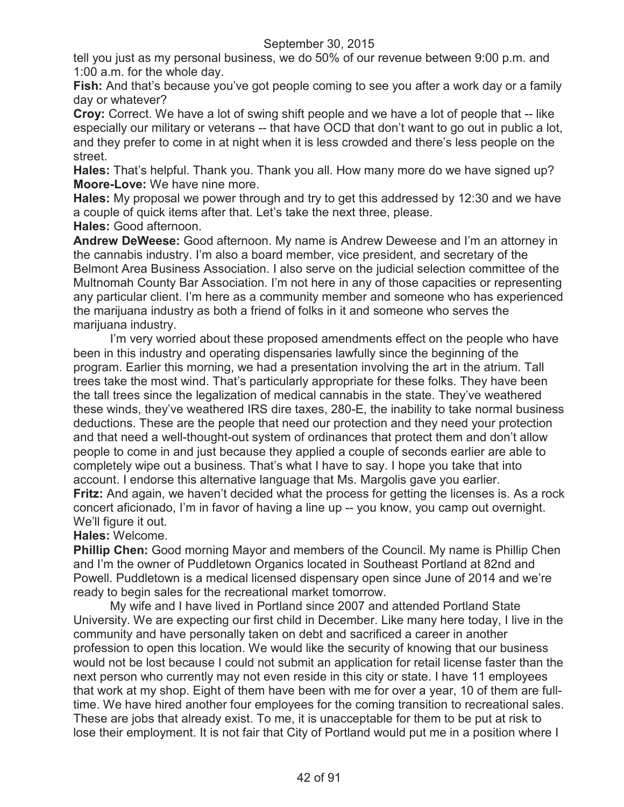tell you just as my personal business, we do 50% of our revenue between 9:00 p.m. and 1:00 a.m. for the whole day.

**Fish:** And that's because you've got people coming to see you after a work day or a family day or whatever?

**Croy:** Correct. We have a lot of swing shift people and we have a lot of people that -- like especially our military or veterans -- that have OCD that don't want to go out in public a lot, and they prefer to come in at night when it is less crowded and there's less people on the street.

**Hales:** That's helpful. Thank you. Thank you all. How many more do we have signed up? **Moore-Love:** We have nine more.

**Hales:** My proposal we power through and try to get this addressed by 12:30 and we have a couple of quick items after that. Let's take the next three, please.

**Hales:** Good afternoon.

**Andrew DeWeese:** Good afternoon. My name is Andrew Deweese and I'm an attorney in the cannabis industry. I'm also a board member, vice president, and secretary of the Belmont Area Business Association. I also serve on the judicial selection committee of the Multnomah County Bar Association. I'm not here in any of those capacities or representing any particular client. I'm here as a community member and someone who has experienced the marijuana industry as both a friend of folks in it and someone who serves the marijuana industry.

I'm very worried about these proposed amendments effect on the people who have been in this industry and operating dispensaries lawfully since the beginning of the program. Earlier this morning, we had a presentation involving the art in the atrium. Tall trees take the most wind. That's particularly appropriate for these folks. They have been the tall trees since the legalization of medical cannabis in the state. They've weathered these winds, they've weathered IRS dire taxes, 280-E, the inability to take normal business deductions. These are the people that need our protection and they need your protection and that need a well-thought-out system of ordinances that protect them and don't allow people to come in and just because they applied a couple of seconds earlier are able to completely wipe out a business. That's what I have to say. I hope you take that into account. I endorse this alternative language that Ms. Margolis gave you earlier. **Fritz:** And again, we haven't decided what the process for getting the licenses is. As a rock concert aficionado, I'm in favor of having a line up -- you know, you camp out overnight.

# We'll figure it out.

# **Hales:** Welcome.

**Phillip Chen:** Good morning Mayor and members of the Council. My name is Phillip Chen and I'm the owner of Puddletown Organics located in Southeast Portland at 82nd and Powell. Puddletown is a medical licensed dispensary open since June of 2014 and we're ready to begin sales for the recreational market tomorrow.

My wife and I have lived in Portland since 2007 and attended Portland State University. We are expecting our first child in December. Like many here today, I live in the community and have personally taken on debt and sacrificed a career in another profession to open this location. We would like the security of knowing that our business would not be lost because I could not submit an application for retail license faster than the next person who currently may not even reside in this city or state. I have 11 employees that work at my shop. Eight of them have been with me for over a year, 10 of them are fulltime. We have hired another four employees for the coming transition to recreational sales. These are jobs that already exist. To me, it is unacceptable for them to be put at risk to lose their employment. It is not fair that City of Portland would put me in a position where I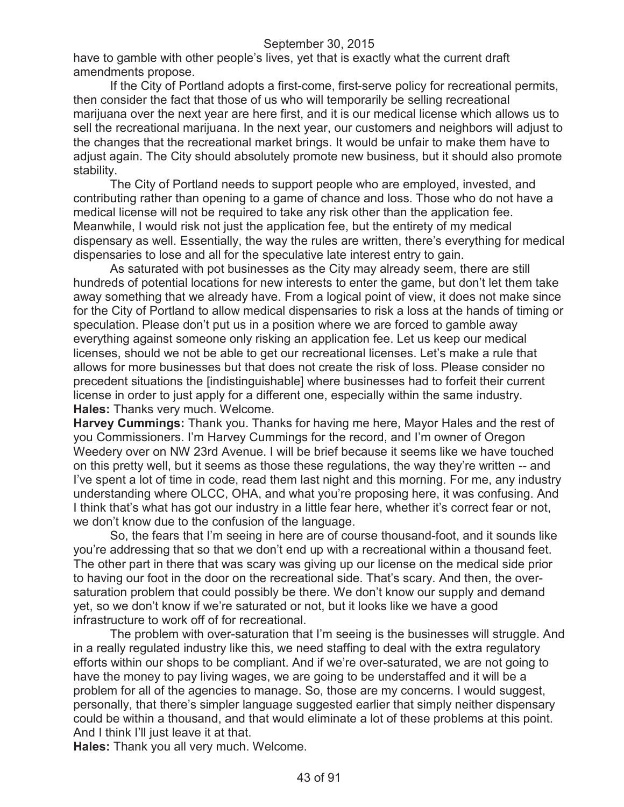have to gamble with other people's lives, yet that is exactly what the current draft amendments propose.

If the City of Portland adopts a first-come, first-serve policy for recreational permits, then consider the fact that those of us who will temporarily be selling recreational marijuana over the next year are here first, and it is our medical license which allows us to sell the recreational marijuana. In the next year, our customers and neighbors will adjust to the changes that the recreational market brings. It would be unfair to make them have to adjust again. The City should absolutely promote new business, but it should also promote stability.

The City of Portland needs to support people who are employed, invested, and contributing rather than opening to a game of chance and loss. Those who do not have a medical license will not be required to take any risk other than the application fee. Meanwhile, I would risk not just the application fee, but the entirety of my medical dispensary as well. Essentially, the way the rules are written, there's everything for medical dispensaries to lose and all for the speculative late interest entry to gain.

As saturated with pot businesses as the City may already seem, there are still hundreds of potential locations for new interests to enter the game, but don't let them take away something that we already have. From a logical point of view, it does not make since for the City of Portland to allow medical dispensaries to risk a loss at the hands of timing or speculation. Please don't put us in a position where we are forced to gamble away everything against someone only risking an application fee. Let us keep our medical licenses, should we not be able to get our recreational licenses. Let's make a rule that allows for more businesses but that does not create the risk of loss. Please consider no precedent situations the [indistinguishable] where businesses had to forfeit their current license in order to just apply for a different one, especially within the same industry. **Hales:** Thanks very much. Welcome.

**Harvey Cummings:** Thank you. Thanks for having me here, Mayor Hales and the rest of you Commissioners. I'm Harvey Cummings for the record, and I'm owner of Oregon Weedery over on NW 23rd Avenue. I will be brief because it seems like we have touched on this pretty well, but it seems as those these regulations, the way they're written -- and I've spent a lot of time in code, read them last night and this morning. For me, any industry understanding where OLCC, OHA, and what you're proposing here, it was confusing. And I think that's what has got our industry in a little fear here, whether it's correct fear or not, we don't know due to the confusion of the language.

So, the fears that I'm seeing in here are of course thousand-foot, and it sounds like you're addressing that so that we don't end up with a recreational within a thousand feet. The other part in there that was scary was giving up our license on the medical side prior to having our foot in the door on the recreational side. That's scary. And then, the oversaturation problem that could possibly be there. We don't know our supply and demand yet, so we don't know if we're saturated or not, but it looks like we have a good infrastructure to work off of for recreational.

The problem with over-saturation that I'm seeing is the businesses will struggle. And in a really regulated industry like this, we need staffing to deal with the extra regulatory efforts within our shops to be compliant. And if we're over-saturated, we are not going to have the money to pay living wages, we are going to be understaffed and it will be a problem for all of the agencies to manage. So, those are my concerns. I would suggest, personally, that there's simpler language suggested earlier that simply neither dispensary could be within a thousand, and that would eliminate a lot of these problems at this point. And I think I'll just leave it at that.

**Hales:** Thank you all very much. Welcome.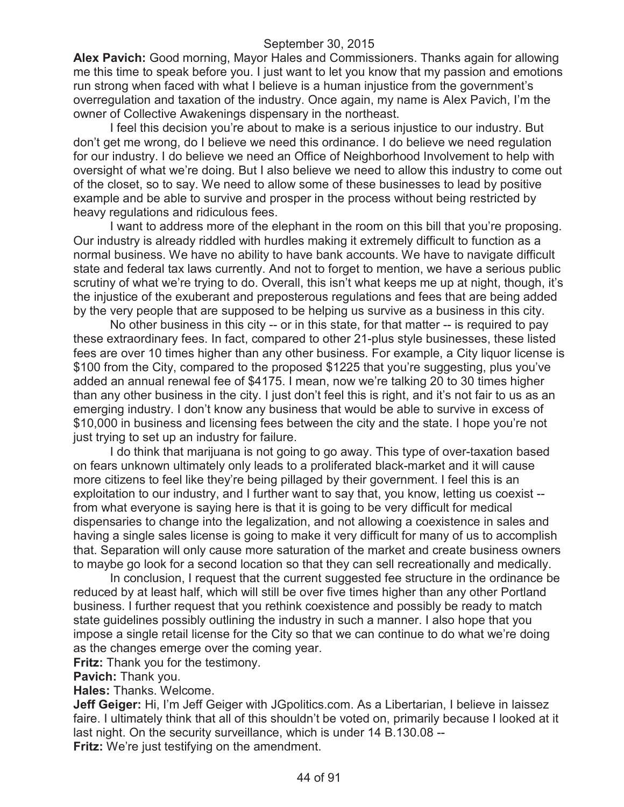**Alex Pavich:** Good morning, Mayor Hales and Commissioners. Thanks again for allowing me this time to speak before you. I just want to let you know that my passion and emotions run strong when faced with what I believe is a human injustice from the government's overregulation and taxation of the industry. Once again, my name is Alex Pavich, I'm the owner of Collective Awakenings dispensary in the northeast.

I feel this decision you're about to make is a serious injustice to our industry. But don't get me wrong, do I believe we need this ordinance. I do believe we need regulation for our industry. I do believe we need an Office of Neighborhood Involvement to help with oversight of what we're doing. But I also believe we need to allow this industry to come out of the closet, so to say. We need to allow some of these businesses to lead by positive example and be able to survive and prosper in the process without being restricted by heavy regulations and ridiculous fees.

I want to address more of the elephant in the room on this bill that you're proposing. Our industry is already riddled with hurdles making it extremely difficult to function as a normal business. We have no ability to have bank accounts. We have to navigate difficult state and federal tax laws currently. And not to forget to mention, we have a serious public scrutiny of what we're trying to do. Overall, this isn't what keeps me up at night, though, it's the injustice of the exuberant and preposterous regulations and fees that are being added by the very people that are supposed to be helping us survive as a business in this city.

No other business in this city -- or in this state, for that matter -- is required to pay these extraordinary fees. In fact, compared to other 21-plus style businesses, these listed fees are over 10 times higher than any other business. For example, a City liquor license is \$100 from the City, compared to the proposed \$1225 that you're suggesting, plus you've added an annual renewal fee of \$4175. I mean, now we're talking 20 to 30 times higher than any other business in the city. I just don't feel this is right, and it's not fair to us as an emerging industry. I don't know any business that would be able to survive in excess of \$10,000 in business and licensing fees between the city and the state. I hope you're not just trying to set up an industry for failure.

I do think that marijuana is not going to go away. This type of over-taxation based on fears unknown ultimately only leads to a proliferated black-market and it will cause more citizens to feel like they're being pillaged by their government. I feel this is an exploitation to our industry, and I further want to say that, you know, letting us coexist - from what everyone is saying here is that it is going to be very difficult for medical dispensaries to change into the legalization, and not allowing a coexistence in sales and having a single sales license is going to make it very difficult for many of us to accomplish that. Separation will only cause more saturation of the market and create business owners to maybe go look for a second location so that they can sell recreationally and medically.

In conclusion, I request that the current suggested fee structure in the ordinance be reduced by at least half, which will still be over five times higher than any other Portland business. I further request that you rethink coexistence and possibly be ready to match state guidelines possibly outlining the industry in such a manner. I also hope that you impose a single retail license for the City so that we can continue to do what we're doing as the changes emerge over the coming year.

**Fritz:** Thank you for the testimony.

**Pavich:** Thank you.

**Hales:** Thanks. Welcome.

**Jeff Geiger:** Hi, I'm Jeff Geiger with JGpolitics.com. As a Libertarian, I believe in laissez faire. I ultimately think that all of this shouldn't be voted on, primarily because I looked at it last night. On the security surveillance, which is under 14 B.130.08 --

**Fritz:** We're just testifying on the amendment.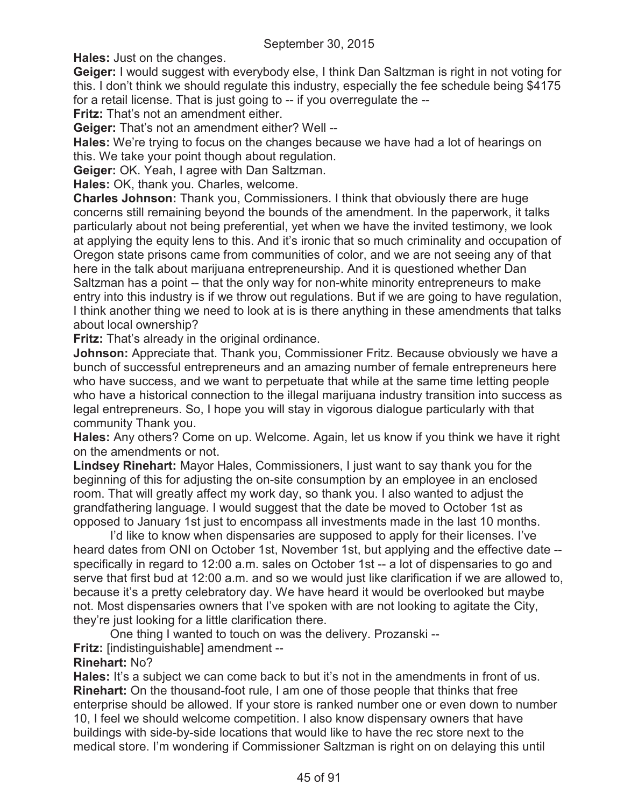**Hales:** Just on the changes.

**Geiger:** I would suggest with everybody else, I think Dan Saltzman is right in not voting for this. I don't think we should regulate this industry, especially the fee schedule being \$4175 for a retail license. That is just going to -- if you overregulate the --

**Fritz:** That's not an amendment either.

**Geiger:** That's not an amendment either? Well --

**Hales:** We're trying to focus on the changes because we have had a lot of hearings on this. We take your point though about regulation.

**Geiger:** OK. Yeah, I agree with Dan Saltzman.

**Hales:** OK, thank you. Charles, welcome.

**Charles Johnson:** Thank you, Commissioners. I think that obviously there are huge concerns still remaining beyond the bounds of the amendment. In the paperwork, it talks particularly about not being preferential, yet when we have the invited testimony, we look at applying the equity lens to this. And it's ironic that so much criminality and occupation of Oregon state prisons came from communities of color, and we are not seeing any of that here in the talk about marijuana entrepreneurship. And it is questioned whether Dan Saltzman has a point -- that the only way for non-white minority entrepreneurs to make entry into this industry is if we throw out regulations. But if we are going to have regulation, I think another thing we need to look at is is there anything in these amendments that talks about local ownership?

**Fritz:** That's already in the original ordinance.

**Johnson:** Appreciate that. Thank you, Commissioner Fritz. Because obviously we have a bunch of successful entrepreneurs and an amazing number of female entrepreneurs here who have success, and we want to perpetuate that while at the same time letting people who have a historical connection to the illegal marijuana industry transition into success as legal entrepreneurs. So, I hope you will stay in vigorous dialogue particularly with that community Thank you.

**Hales:** Any others? Come on up. Welcome. Again, let us know if you think we have it right on the amendments or not.

**Lindsey Rinehart:** Mayor Hales, Commissioners, I just want to say thank you for the beginning of this for adjusting the on-site consumption by an employee in an enclosed room. That will greatly affect my work day, so thank you. I also wanted to adjust the grandfathering language. I would suggest that the date be moved to October 1st as opposed to January 1st just to encompass all investments made in the last 10 months.

I'd like to know when dispensaries are supposed to apply for their licenses. I've heard dates from ONI on October 1st, November 1st, but applying and the effective date - specifically in regard to 12:00 a.m. sales on October 1st -- a lot of dispensaries to go and serve that first bud at 12:00 a.m. and so we would just like clarification if we are allowed to, because it's a pretty celebratory day. We have heard it would be overlooked but maybe not. Most dispensaries owners that I've spoken with are not looking to agitate the City, they're just looking for a little clarification there.

One thing I wanted to touch on was the delivery. Prozanski --

**Fritz:** [indistinguishable] amendment --

# **Rinehart:** No?

**Hales:** It's a subject we can come back to but it's not in the amendments in front of us. **Rinehart:** On the thousand-foot rule, I am one of those people that thinks that free enterprise should be allowed. If your store is ranked number one or even down to number 10, I feel we should welcome competition. I also know dispensary owners that have buildings with side-by-side locations that would like to have the rec store next to the medical store. I'm wondering if Commissioner Saltzman is right on on delaying this until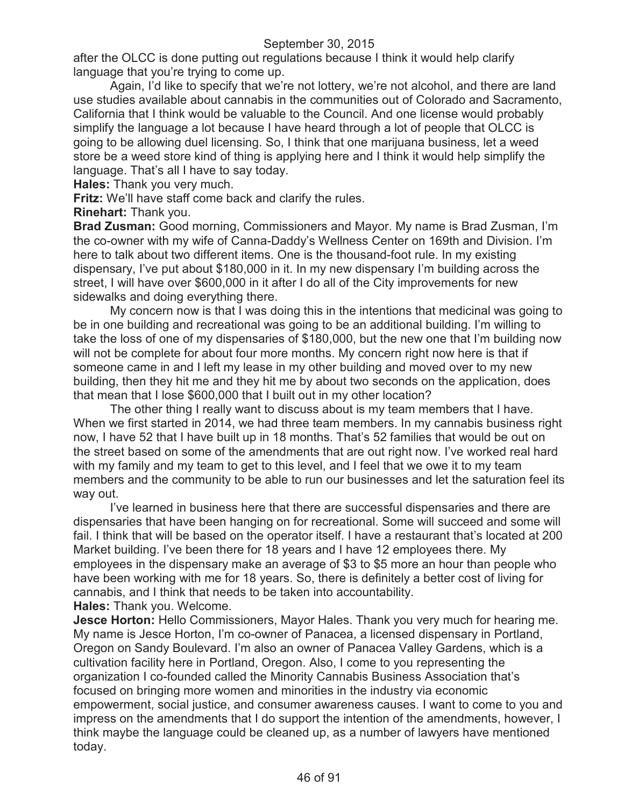after the OLCC is done putting out regulations because I think it would help clarify language that you're trying to come up.

Again, I'd like to specify that we're not lottery, we're not alcohol, and there are land use studies available about cannabis in the communities out of Colorado and Sacramento, California that I think would be valuable to the Council. And one license would probably simplify the language a lot because I have heard through a lot of people that OLCC is going to be allowing duel licensing. So, I think that one marijuana business, let a weed store be a weed store kind of thing is applying here and I think it would help simplify the language. That's all I have to say today.

**Hales:** Thank you very much.

**Fritz:** We'll have staff come back and clarify the rules.

**Rinehart:** Thank you.

**Brad Zusman:** Good morning, Commissioners and Mayor. My name is Brad Zusman, I'm the co-owner with my wife of Canna-Daddy's Wellness Center on 169th and Division. I'm here to talk about two different items. One is the thousand-foot rule. In my existing dispensary, I've put about \$180,000 in it. In my new dispensary I'm building across the street, I will have over \$600,000 in it after I do all of the City improvements for new sidewalks and doing everything there.

My concern now is that I was doing this in the intentions that medicinal was going to be in one building and recreational was going to be an additional building. I'm willing to take the loss of one of my dispensaries of \$180,000, but the new one that I'm building now will not be complete for about four more months. My concern right now here is that if someone came in and I left my lease in my other building and moved over to my new building, then they hit me and they hit me by about two seconds on the application, does that mean that I lose \$600,000 that I built out in my other location?

The other thing I really want to discuss about is my team members that I have. When we first started in 2014, we had three team members. In my cannabis business right now, I have 52 that I have built up in 18 months. That's 52 families that would be out on the street based on some of the amendments that are out right now. I've worked real hard with my family and my team to get to this level, and I feel that we owe it to my team members and the community to be able to run our businesses and let the saturation feel its way out.

I've learned in business here that there are successful dispensaries and there are dispensaries that have been hanging on for recreational. Some will succeed and some will fail. I think that will be based on the operator itself. I have a restaurant that's located at 200 Market building. I've been there for 18 years and I have 12 employees there. My employees in the dispensary make an average of \$3 to \$5 more an hour than people who have been working with me for 18 years. So, there is definitely a better cost of living for cannabis, and I think that needs to be taken into accountability.

**Hales:** Thank you. Welcome.

**Jesce Horton:** Hello Commissioners, Mayor Hales. Thank you very much for hearing me. My name is Jesce Horton, I'm co-owner of Panacea, a licensed dispensary in Portland, Oregon on Sandy Boulevard. I'm also an owner of Panacea Valley Gardens, which is a cultivation facility here in Portland, Oregon. Also, I come to you representing the organization I co-founded called the Minority Cannabis Business Association that's focused on bringing more women and minorities in the industry via economic empowerment, social justice, and consumer awareness causes. I want to come to you and impress on the amendments that I do support the intention of the amendments, however, I think maybe the language could be cleaned up, as a number of lawyers have mentioned today.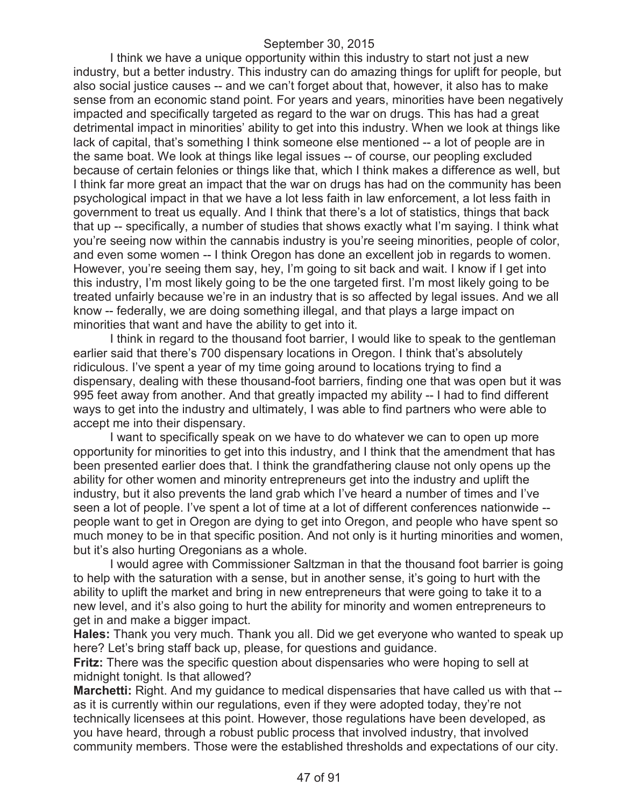I think we have a unique opportunity within this industry to start not just a new industry, but a better industry. This industry can do amazing things for uplift for people, but also social justice causes -- and we can't forget about that, however, it also has to make sense from an economic stand point. For years and years, minorities have been negatively impacted and specifically targeted as regard to the war on drugs. This has had a great detrimental impact in minorities' ability to get into this industry. When we look at things like lack of capital, that's something I think someone else mentioned -- a lot of people are in the same boat. We look at things like legal issues -- of course, our peopling excluded because of certain felonies or things like that, which I think makes a difference as well, but I think far more great an impact that the war on drugs has had on the community has been psychological impact in that we have a lot less faith in law enforcement, a lot less faith in government to treat us equally. And I think that there's a lot of statistics, things that back that up -- specifically, a number of studies that shows exactly what I'm saying. I think what you're seeing now within the cannabis industry is you're seeing minorities, people of color, and even some women -- I think Oregon has done an excellent job in regards to women. However, you're seeing them say, hey, I'm going to sit back and wait. I know if I get into this industry, I'm most likely going to be the one targeted first. I'm most likely going to be treated unfairly because we're in an industry that is so affected by legal issues. And we all know -- federally, we are doing something illegal, and that plays a large impact on minorities that want and have the ability to get into it.

I think in regard to the thousand foot barrier, I would like to speak to the gentleman earlier said that there's 700 dispensary locations in Oregon. I think that's absolutely ridiculous. I've spent a year of my time going around to locations trying to find a dispensary, dealing with these thousand-foot barriers, finding one that was open but it was 995 feet away from another. And that greatly impacted my ability -- I had to find different ways to get into the industry and ultimately, I was able to find partners who were able to accept me into their dispensary.

I want to specifically speak on we have to do whatever we can to open up more opportunity for minorities to get into this industry, and I think that the amendment that has been presented earlier does that. I think the grandfathering clause not only opens up the ability for other women and minority entrepreneurs get into the industry and uplift the industry, but it also prevents the land grab which I've heard a number of times and I've seen a lot of people. I've spent a lot of time at a lot of different conferences nationwide - people want to get in Oregon are dying to get into Oregon, and people who have spent so much money to be in that specific position. And not only is it hurting minorities and women, but it's also hurting Oregonians as a whole.

I would agree with Commissioner Saltzman in that the thousand foot barrier is going to help with the saturation with a sense, but in another sense, it's going to hurt with the ability to uplift the market and bring in new entrepreneurs that were going to take it to a new level, and it's also going to hurt the ability for minority and women entrepreneurs to get in and make a bigger impact.

**Hales:** Thank you very much. Thank you all. Did we get everyone who wanted to speak up here? Let's bring staff back up, please, for questions and guidance.

**Fritz:** There was the specific question about dispensaries who were hoping to sell at midnight tonight. Is that allowed?

**Marchetti:** Right. And my guidance to medical dispensaries that have called us with that -as it is currently within our regulations, even if they were adopted today, they're not technically licensees at this point. However, those regulations have been developed, as you have heard, through a robust public process that involved industry, that involved community members. Those were the established thresholds and expectations of our city.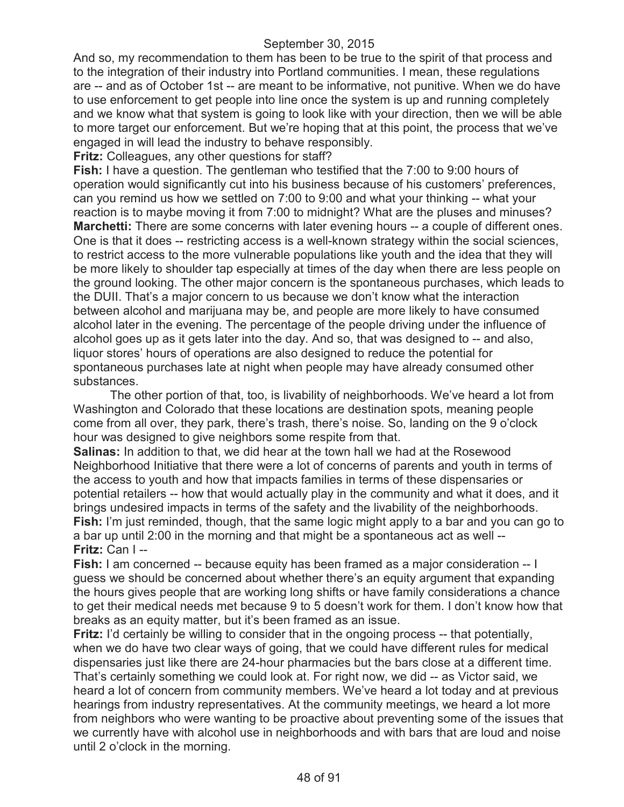And so, my recommendation to them has been to be true to the spirit of that process and to the integration of their industry into Portland communities. I mean, these regulations are -- and as of October 1st -- are meant to be informative, not punitive. When we do have to use enforcement to get people into line once the system is up and running completely and we know what that system is going to look like with your direction, then we will be able to more target our enforcement. But we're hoping that at this point, the process that we've engaged in will lead the industry to behave responsibly.

**Fritz:** Colleagues, any other questions for staff?

**Fish:** I have a question. The gentleman who testified that the 7:00 to 9:00 hours of operation would significantly cut into his business because of his customers' preferences, can you remind us how we settled on 7:00 to 9:00 and what your thinking -- what your reaction is to maybe moving it from 7:00 to midnight? What are the pluses and minuses? **Marchetti:** There are some concerns with later evening hours -- a couple of different ones. One is that it does -- restricting access is a well-known strategy within the social sciences, to restrict access to the more vulnerable populations like youth and the idea that they will be more likely to shoulder tap especially at times of the day when there are less people on the ground looking. The other major concern is the spontaneous purchases, which leads to the DUII. That's a major concern to us because we don't know what the interaction between alcohol and marijuana may be, and people are more likely to have consumed alcohol later in the evening. The percentage of the people driving under the influence of alcohol goes up as it gets later into the day. And so, that was designed to -- and also, liquor stores' hours of operations are also designed to reduce the potential for spontaneous purchases late at night when people may have already consumed other substances.

The other portion of that, too, is livability of neighborhoods. We've heard a lot from Washington and Colorado that these locations are destination spots, meaning people come from all over, they park, there's trash, there's noise. So, landing on the 9 o'clock hour was designed to give neighbors some respite from that.

**Salinas:** In addition to that, we did hear at the town hall we had at the Rosewood Neighborhood Initiative that there were a lot of concerns of parents and youth in terms of the access to youth and how that impacts families in terms of these dispensaries or potential retailers -- how that would actually play in the community and what it does, and it brings undesired impacts in terms of the safety and the livability of the neighborhoods. **Fish:** I'm just reminded, though, that the same logic might apply to a bar and you can go to a bar up until 2:00 in the morning and that might be a spontaneous act as well -- **Fritz:** Can I --

**Fish:** I am concerned -- because equity has been framed as a major consideration -- I guess we should be concerned about whether there's an equity argument that expanding the hours gives people that are working long shifts or have family considerations a chance to get their medical needs met because 9 to 5 doesn't work for them. I don't know how that breaks as an equity matter, but it's been framed as an issue.

**Fritz:** I'd certainly be willing to consider that in the ongoing process -- that potentially, when we do have two clear ways of going, that we could have different rules for medical dispensaries just like there are 24-hour pharmacies but the bars close at a different time. That's certainly something we could look at. For right now, we did -- as Victor said, we heard a lot of concern from community members. We've heard a lot today and at previous hearings from industry representatives. At the community meetings, we heard a lot more from neighbors who were wanting to be proactive about preventing some of the issues that we currently have with alcohol use in neighborhoods and with bars that are loud and noise until 2 o'clock in the morning.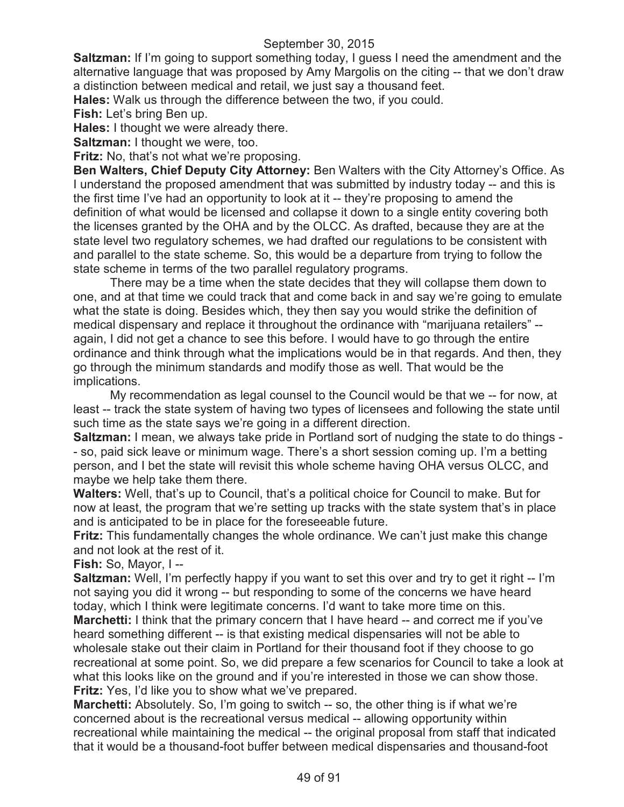**Saltzman:** If I'm going to support something today, I guess I need the amendment and the alternative language that was proposed by Amy Margolis on the citing -- that we don't draw a distinction between medical and retail, we just say a thousand feet.

**Hales:** Walk us through the difference between the two, if you could.

**Fish:** Let's bring Ben up.

**Hales:** I thought we were already there.

**Saltzman: I thought we were, too.** 

**Fritz:** No, that's not what we're proposing.

**Ben Walters, Chief Deputy City Attorney:** Ben Walters with the City Attorney's Office. As I understand the proposed amendment that was submitted by industry today -- and this is the first time I've had an opportunity to look at it -- they're proposing to amend the definition of what would be licensed and collapse it down to a single entity covering both the licenses granted by the OHA and by the OLCC. As drafted, because they are at the state level two regulatory schemes, we had drafted our regulations to be consistent with and parallel to the state scheme. So, this would be a departure from trying to follow the state scheme in terms of the two parallel regulatory programs.

There may be a time when the state decides that they will collapse them down to one, and at that time we could track that and come back in and say we're going to emulate what the state is doing. Besides which, they then say you would strike the definition of medical dispensary and replace it throughout the ordinance with "marijuana retailers" - again, I did not get a chance to see this before. I would have to go through the entire ordinance and think through what the implications would be in that regards. And then, they go through the minimum standards and modify those as well. That would be the implications.

My recommendation as legal counsel to the Council would be that we -- for now, at least -- track the state system of having two types of licensees and following the state until such time as the state says we're going in a different direction.

**Saltzman:** I mean, we always take pride in Portland sort of nudging the state to do things - - so, paid sick leave or minimum wage. There's a short session coming up. I'm a betting person, and I bet the state will revisit this whole scheme having OHA versus OLCC, and maybe we help take them there.

**Walters:** Well, that's up to Council, that's a political choice for Council to make. But for now at least, the program that we're setting up tracks with the state system that's in place and is anticipated to be in place for the foreseeable future.

**Fritz:** This fundamentally changes the whole ordinance. We can't just make this change and not look at the rest of it.

**Fish:** So, Mayor, I --

**Saltzman:** Well, I'm perfectly happy if you want to set this over and try to get it right -- I'm not saying you did it wrong -- but responding to some of the concerns we have heard today, which I think were legitimate concerns. I'd want to take more time on this. **Marchetti:** I think that the primary concern that I have heard -- and correct me if you've heard something different -- is that existing medical dispensaries will not be able to

wholesale stake out their claim in Portland for their thousand foot if they choose to go recreational at some point. So, we did prepare a few scenarios for Council to take a look at what this looks like on the ground and if you're interested in those we can show those. **Fritz:** Yes, I'd like you to show what we've prepared.

**Marchetti:** Absolutely. So, I'm going to switch -- so, the other thing is if what we're concerned about is the recreational versus medical -- allowing opportunity within recreational while maintaining the medical -- the original proposal from staff that indicated that it would be a thousand-foot buffer between medical dispensaries and thousand-foot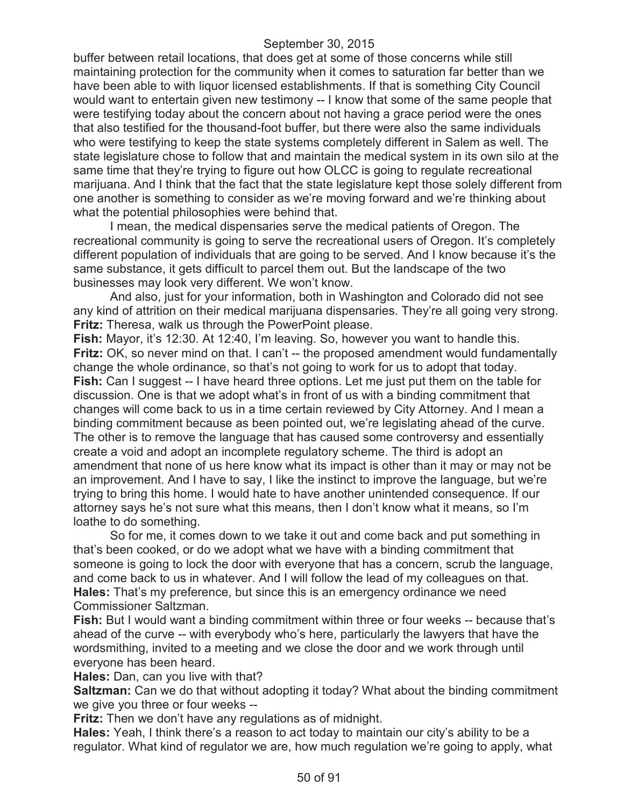buffer between retail locations, that does get at some of those concerns while still maintaining protection for the community when it comes to saturation far better than we have been able to with liquor licensed establishments. If that is something City Council would want to entertain given new testimony -- I know that some of the same people that were testifying today about the concern about not having a grace period were the ones that also testified for the thousand-foot buffer, but there were also the same individuals who were testifying to keep the state systems completely different in Salem as well. The state legislature chose to follow that and maintain the medical system in its own silo at the same time that they're trying to figure out how OLCC is going to regulate recreational marijuana. And I think that the fact that the state legislature kept those solely different from one another is something to consider as we're moving forward and we're thinking about what the potential philosophies were behind that.

I mean, the medical dispensaries serve the medical patients of Oregon. The recreational community is going to serve the recreational users of Oregon. It's completely different population of individuals that are going to be served. And I know because it's the same substance, it gets difficult to parcel them out. But the landscape of the two businesses may look very different. We won't know.

And also, just for your information, both in Washington and Colorado did not see any kind of attrition on their medical marijuana dispensaries. They're all going very strong. **Fritz:** Theresa, walk us through the PowerPoint please.

**Fish:** Mayor, it's 12:30. At 12:40, I'm leaving. So, however you want to handle this. **Fritz:** OK, so never mind on that. I can't -- the proposed amendment would fundamentally change the whole ordinance, so that's not going to work for us to adopt that today. **Fish:** Can I suggest -- I have heard three options. Let me just put them on the table for discussion. One is that we adopt what's in front of us with a binding commitment that changes will come back to us in a time certain reviewed by City Attorney. And I mean a binding commitment because as been pointed out, we're legislating ahead of the curve. The other is to remove the language that has caused some controversy and essentially create a void and adopt an incomplete regulatory scheme. The third is adopt an amendment that none of us here know what its impact is other than it may or may not be an improvement. And I have to say, I like the instinct to improve the language, but we're trying to bring this home. I would hate to have another unintended consequence. If our attorney says he's not sure what this means, then I don't know what it means, so I'm loathe to do something.

So for me, it comes down to we take it out and come back and put something in that's been cooked, or do we adopt what we have with a binding commitment that someone is going to lock the door with everyone that has a concern, scrub the language, and come back to us in whatever. And I will follow the lead of my colleagues on that. **Hales:** That's my preference, but since this is an emergency ordinance we need Commissioner Saltzman.

**Fish:** But I would want a binding commitment within three or four weeks -- because that's ahead of the curve -- with everybody who's here, particularly the lawyers that have the wordsmithing, invited to a meeting and we close the door and we work through until everyone has been heard.

**Hales:** Dan, can you live with that?

**Saltzman:** Can we do that without adopting it today? What about the binding commitment we give you three or four weeks --

**Fritz:** Then we don't have any regulations as of midnight.

**Hales:** Yeah, I think there's a reason to act today to maintain our city's ability to be a regulator. What kind of regulator we are, how much regulation we're going to apply, what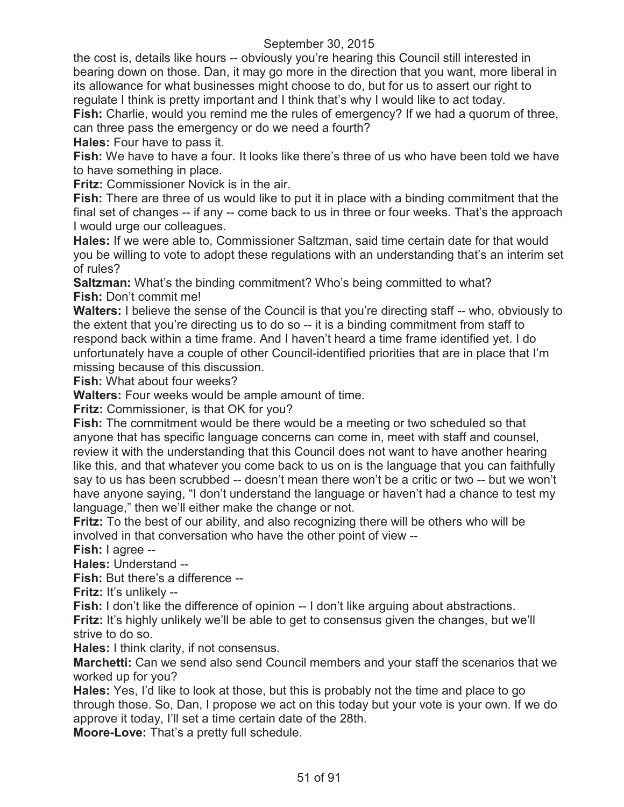the cost is, details like hours -- obviously you're hearing this Council still interested in bearing down on those. Dan, it may go more in the direction that you want, more liberal in its allowance for what businesses might choose to do, but for us to assert our right to regulate I think is pretty important and I think that's why I would like to act today.

**Fish:** Charlie, would you remind me the rules of emergency? If we had a quorum of three, can three pass the emergency or do we need a fourth?

**Hales:** Four have to pass it.

**Fish:** We have to have a four. It looks like there's three of us who have been told we have to have something in place.

**Fritz:** Commissioner Novick is in the air.

**Fish:** There are three of us would like to put it in place with a binding commitment that the final set of changes -- if any -- come back to us in three or four weeks. That's the approach I would urge our colleagues.

**Hales:** If we were able to, Commissioner Saltzman, said time certain date for that would you be willing to vote to adopt these regulations with an understanding that's an interim set of rules?

**Saltzman:** What's the binding commitment? Who's being committed to what? **Fish:** Don't commit me!

**Walters:** I believe the sense of the Council is that you're directing staff -- who, obviously to the extent that you're directing us to do so -- it is a binding commitment from staff to respond back within a time frame. And I haven't heard a time frame identified yet. I do unfortunately have a couple of other Council-identified priorities that are in place that I'm missing because of this discussion.

**Fish:** What about four weeks?

**Walters:** Four weeks would be ample amount of time.

**Fritz:** Commissioner, is that OK for you?

**Fish:** The commitment would be there would be a meeting or two scheduled so that anyone that has specific language concerns can come in, meet with staff and counsel, review it with the understanding that this Council does not want to have another hearing like this, and that whatever you come back to us on is the language that you can faithfully say to us has been scrubbed -- doesn't mean there won't be a critic or two -- but we won't have anyone saying, "I don't understand the language or haven't had a chance to test my language," then we'll either make the change or not.

**Fritz:** To the best of our ability, and also recognizing there will be others who will be involved in that conversation who have the other point of view --

**Fish:** I agree --

**Hales:** Understand --

**Fish:** But there's a difference --

**Fritz:** It's unlikely --

**Fish:** I don't like the difference of opinion -- I don't like arguing about abstractions.

**Fritz:** It's highly unlikely we'll be able to get to consensus given the changes, but we'll strive to do so.

**Hales:** I think clarity, if not consensus.

**Marchetti:** Can we send also send Council members and your staff the scenarios that we worked up for you?

**Hales:** Yes, I'd like to look at those, but this is probably not the time and place to go through those. So, Dan, I propose we act on this today but your vote is your own. If we do approve it today, I'll set a time certain date of the 28th.

**Moore-Love:** That's a pretty full schedule.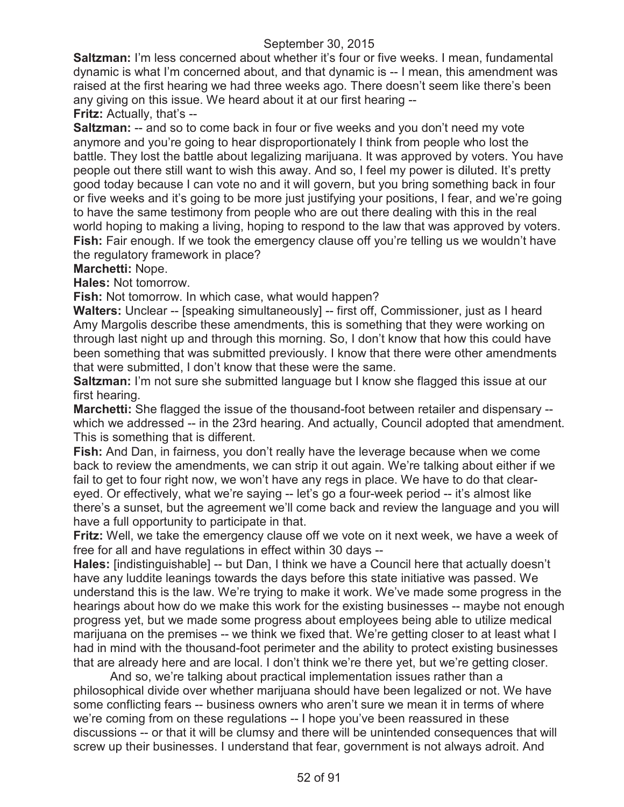**Saltzman:** I'm less concerned about whether it's four or five weeks. I mean, fundamental dynamic is what I'm concerned about, and that dynamic is -- I mean, this amendment was raised at the first hearing we had three weeks ago. There doesn't seem like there's been any giving on this issue. We heard about it at our first hearing --

**Fritz:** Actually, that's --

**Saltzman:** -- and so to come back in four or five weeks and you don't need my vote anymore and you're going to hear disproportionately I think from people who lost the battle. They lost the battle about legalizing marijuana. It was approved by voters. You have people out there still want to wish this away. And so, I feel my power is diluted. It's pretty good today because I can vote no and it will govern, but you bring something back in four or five weeks and it's going to be more just justifying your positions, I fear, and we're going to have the same testimony from people who are out there dealing with this in the real world hoping to making a living, hoping to respond to the law that was approved by voters. Fish: Fair enough. If we took the emergency clause off you're telling us we wouldn't have the regulatory framework in place?

#### **Marchetti:** Nope.

**Hales:** Not tomorrow.

**Fish:** Not tomorrow. In which case, what would happen?

Walters: Unclear -- [speaking simultaneously] -- first off, Commissioner, just as I heard Amy Margolis describe these amendments, this is something that they were working on through last night up and through this morning. So, I don't know that how this could have been something that was submitted previously. I know that there were other amendments that were submitted, I don't know that these were the same.

**Saltzman:** I'm not sure she submitted language but I know she flagged this issue at our first hearing.

**Marchetti:** She flagged the issue of the thousand-foot between retailer and dispensary - which we addressed -- in the 23rd hearing. And actually, Council adopted that amendment. This is something that is different.

**Fish:** And Dan, in fairness, you don't really have the leverage because when we come back to review the amendments, we can strip it out again. We're talking about either if we fail to get to four right now, we won't have any regs in place. We have to do that cleareyed. Or effectively, what we're saying -- let's go a four-week period -- it's almost like there's a sunset, but the agreement we'll come back and review the language and you will have a full opportunity to participate in that.

**Fritz:** Well, we take the emergency clause off we vote on it next week, we have a week of free for all and have regulations in effect within 30 days --

**Hales:** [indistinguishable] -- but Dan, I think we have a Council here that actually doesn't have any luddite leanings towards the days before this state initiative was passed. We understand this is the law. We're trying to make it work. We've made some progress in the hearings about how do we make this work for the existing businesses -- maybe not enough progress yet, but we made some progress about employees being able to utilize medical marijuana on the premises -- we think we fixed that. We're getting closer to at least what I had in mind with the thousand-foot perimeter and the ability to protect existing businesses that are already here and are local. I don't think we're there yet, but we're getting closer.

And so, we're talking about practical implementation issues rather than a philosophical divide over whether marijuana should have been legalized or not. We have some conflicting fears -- business owners who aren't sure we mean it in terms of where we're coming from on these regulations -- I hope you've been reassured in these discussions -- or that it will be clumsy and there will be unintended consequences that will screw up their businesses. I understand that fear, government is not always adroit. And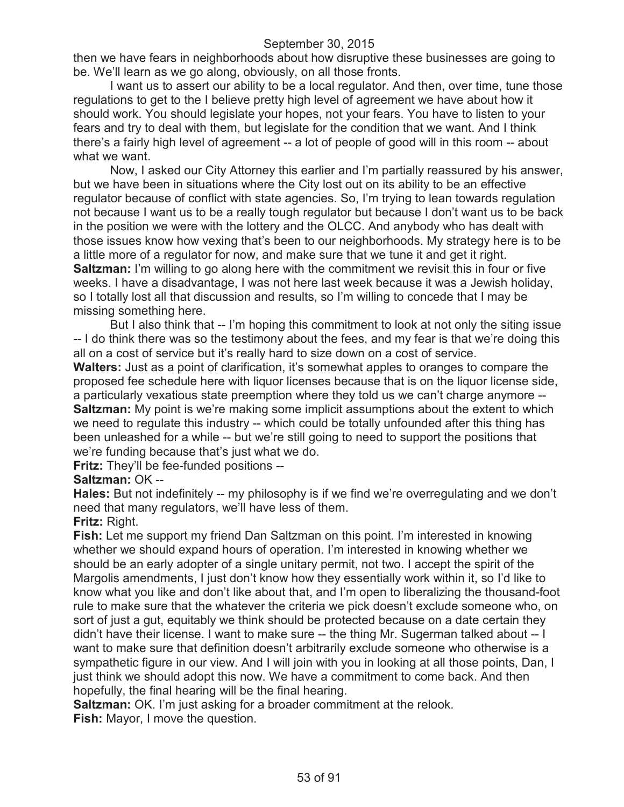then we have fears in neighborhoods about how disruptive these businesses are going to be. We'll learn as we go along, obviously, on all those fronts.

I want us to assert our ability to be a local regulator. And then, over time, tune those regulations to get to the I believe pretty high level of agreement we have about how it should work. You should legislate your hopes, not your fears. You have to listen to your fears and try to deal with them, but legislate for the condition that we want. And I think there's a fairly high level of agreement -- a lot of people of good will in this room -- about what we want.

Now, I asked our City Attorney this earlier and I'm partially reassured by his answer, but we have been in situations where the City lost out on its ability to be an effective regulator because of conflict with state agencies. So, I'm trying to lean towards regulation not because I want us to be a really tough regulator but because I don't want us to be back in the position we were with the lottery and the OLCC. And anybody who has dealt with those issues know how vexing that's been to our neighborhoods. My strategy here is to be a little more of a regulator for now, and make sure that we tune it and get it right. **Saltzman:** I'm willing to go along here with the commitment we revisit this in four or five weeks. I have a disadvantage, I was not here last week because it was a Jewish holiday, so I totally lost all that discussion and results, so I'm willing to concede that I may be missing something here.

But I also think that -- I'm hoping this commitment to look at not only the siting issue -- I do think there was so the testimony about the fees, and my fear is that we're doing this all on a cost of service but it's really hard to size down on a cost of service.

**Walters:** Just as a point of clarification, it's somewhat apples to oranges to compare the proposed fee schedule here with liquor licenses because that is on the liquor license side, a particularly vexatious state preemption where they told us we can't charge anymore -- **Saltzman:** My point is we're making some implicit assumptions about the extent to which we need to regulate this industry -- which could be totally unfounded after this thing has been unleashed for a while -- but we're still going to need to support the positions that we're funding because that's just what we do.

**Fritz:** They'll be fee-funded positions --

# **Saltzman:** OK --

**Hales:** But not indefinitely -- my philosophy is if we find we're overregulating and we don't need that many regulators, we'll have less of them.

# **Fritz:** Right.

**Fish:** Let me support my friend Dan Saltzman on this point. I'm interested in knowing whether we should expand hours of operation. I'm interested in knowing whether we should be an early adopter of a single unitary permit, not two. I accept the spirit of the Margolis amendments, I just don't know how they essentially work within it, so I'd like to know what you like and don't like about that, and I'm open to liberalizing the thousand-foot rule to make sure that the whatever the criteria we pick doesn't exclude someone who, on sort of just a gut, equitably we think should be protected because on a date certain they didn't have their license. I want to make sure -- the thing Mr. Sugerman talked about -- I want to make sure that definition doesn't arbitrarily exclude someone who otherwise is a sympathetic figure in our view. And I will join with you in looking at all those points, Dan, I just think we should adopt this now. We have a commitment to come back. And then hopefully, the final hearing will be the final hearing.

**Saltzman:** OK. I'm just asking for a broader commitment at the relook. **Fish:** Mayor, I move the question.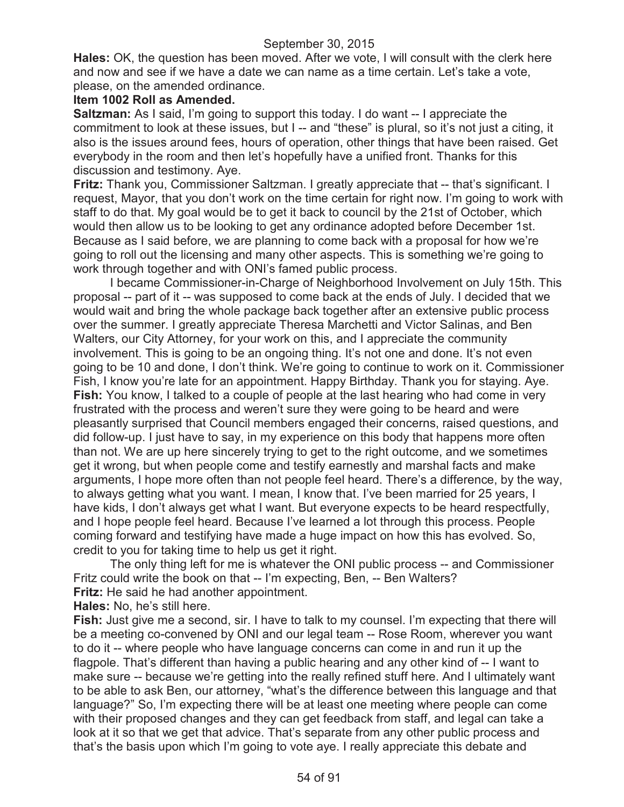**Hales:** OK, the question has been moved. After we vote, I will consult with the clerk here and now and see if we have a date we can name as a time certain. Let's take a vote, please, on the amended ordinance.

# **Item 1002 Roll as Amended.**

**Saltzman:** As I said, I'm going to support this today. I do want -- I appreciate the commitment to look at these issues, but I -- and "these" is plural, so it's not just a citing, it also is the issues around fees, hours of operation, other things that have been raised. Get everybody in the room and then let's hopefully have a unified front. Thanks for this discussion and testimony. Aye.

**Fritz:** Thank you, Commissioner Saltzman. I greatly appreciate that -- that's significant. I request, Mayor, that you don't work on the time certain for right now. I'm going to work with staff to do that. My goal would be to get it back to council by the 21st of October, which would then allow us to be looking to get any ordinance adopted before December 1st. Because as I said before, we are planning to come back with a proposal for how we're going to roll out the licensing and many other aspects. This is something we're going to work through together and with ONI's famed public process.

I became Commissioner-in-Charge of Neighborhood Involvement on July 15th. This proposal -- part of it -- was supposed to come back at the ends of July. I decided that we would wait and bring the whole package back together after an extensive public process over the summer. I greatly appreciate Theresa Marchetti and Victor Salinas, and Ben Walters, our City Attorney, for your work on this, and I appreciate the community involvement. This is going to be an ongoing thing. It's not one and done. It's not even going to be 10 and done, I don't think. We're going to continue to work on it. Commissioner Fish, I know you're late for an appointment. Happy Birthday. Thank you for staying. Aye. **Fish:** You know, I talked to a couple of people at the last hearing who had come in very frustrated with the process and weren't sure they were going to be heard and were pleasantly surprised that Council members engaged their concerns, raised questions, and did follow-up. I just have to say, in my experience on this body that happens more often than not. We are up here sincerely trying to get to the right outcome, and we sometimes get it wrong, but when people come and testify earnestly and marshal facts and make arguments, I hope more often than not people feel heard. There's a difference, by the way, to always getting what you want. I mean, I know that. I've been married for 25 years, I have kids, I don't always get what I want. But everyone expects to be heard respectfully, and I hope people feel heard. Because I've learned a lot through this process. People coming forward and testifying have made a huge impact on how this has evolved. So, credit to you for taking time to help us get it right.

The only thing left for me is whatever the ONI public process -- and Commissioner Fritz could write the book on that -- I'm expecting, Ben, -- Ben Walters? **Fritz:** He said he had another appointment.

**Hales:** No, he's still here.

**Fish:** Just give me a second, sir. I have to talk to my counsel. I'm expecting that there will be a meeting co-convened by ONI and our legal team -- Rose Room, wherever you want to do it -- where people who have language concerns can come in and run it up the flagpole. That's different than having a public hearing and any other kind of -- I want to make sure -- because we're getting into the really refined stuff here. And I ultimately want to be able to ask Ben, our attorney, "what's the difference between this language and that language?" So, I'm expecting there will be at least one meeting where people can come with their proposed changes and they can get feedback from staff, and legal can take a look at it so that we get that advice. That's separate from any other public process and that's the basis upon which I'm going to vote aye. I really appreciate this debate and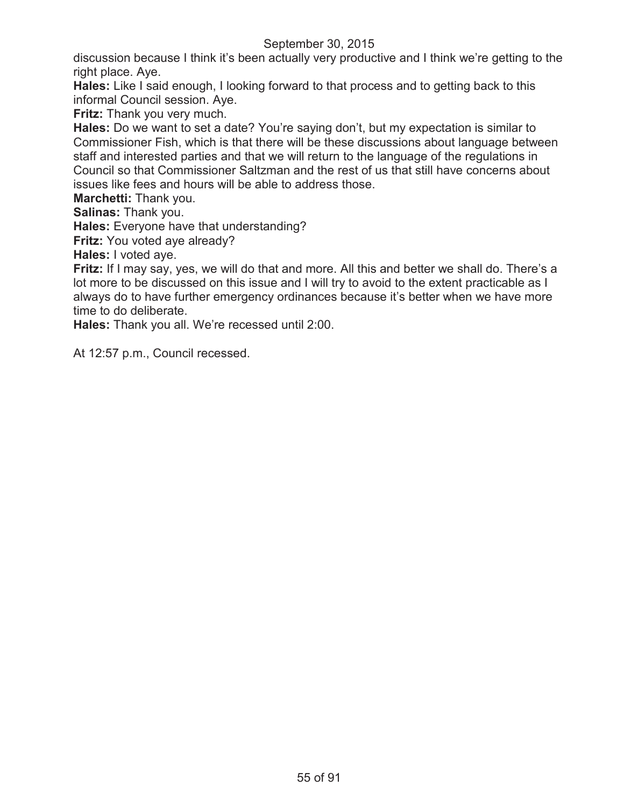discussion because I think it's been actually very productive and I think we're getting to the right place. Aye.

**Hales:** Like I said enough, I looking forward to that process and to getting back to this informal Council session. Aye.

**Fritz:** Thank you very much.

**Hales:** Do we want to set a date? You're saying don't, but my expectation is similar to Commissioner Fish, which is that there will be these discussions about language between staff and interested parties and that we will return to the language of the regulations in Council so that Commissioner Saltzman and the rest of us that still have concerns about issues like fees and hours will be able to address those.

**Marchetti:** Thank you.

**Salinas:** Thank you.

**Hales:** Everyone have that understanding?

**Fritz:** You voted aye already?

**Hales:** I voted aye.

**Fritz:** If I may say, yes, we will do that and more. All this and better we shall do. There's a lot more to be discussed on this issue and I will try to avoid to the extent practicable as I always do to have further emergency ordinances because it's better when we have more time to do deliberate.

**Hales:** Thank you all. We're recessed until 2:00.

At 12:57 p.m., Council recessed.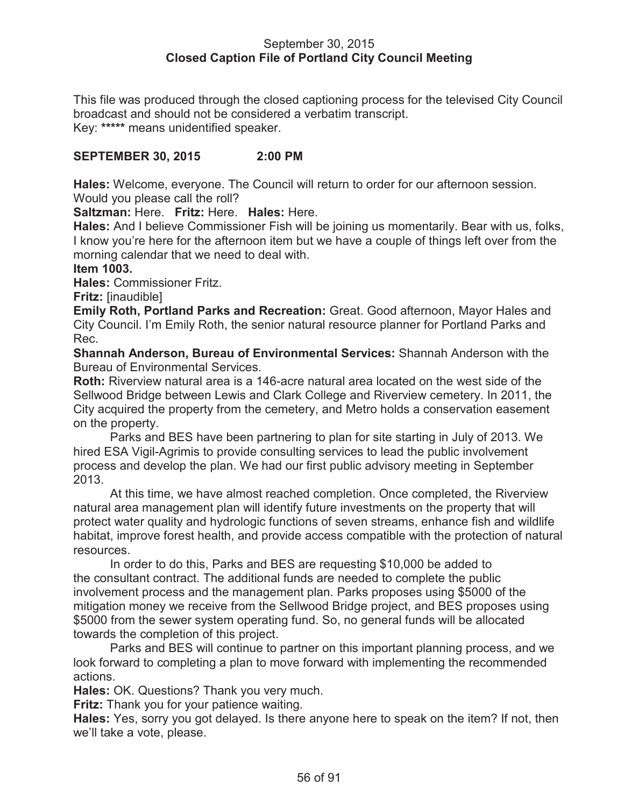### September 30, 2015 **Closed Caption File of Portland City Council Meeting**

This file was produced through the closed captioning process for the televised City Council broadcast and should not be considered a verbatim transcript. Key: **\*\*\*\*\*** means unidentified speaker.

# **SEPTEMBER 30, 2015 2:00 PM**

**Hales:** Welcome, everyone. The Council will return to order for our afternoon session. Would you please call the roll?

**Saltzman:** Here. **Fritz:** Here. **Hales:** Here.

**Hales:** And I believe Commissioner Fish will be joining us momentarily. Bear with us, folks, I know you're here for the afternoon item but we have a couple of things left over from the morning calendar that we need to deal with.

#### **Item 1003.**

**Hales:** Commissioner Fritz.

**Fritz:** [inaudible]

**Emily Roth, Portland Parks and Recreation:** Great. Good afternoon, Mayor Hales and City Council. I'm Emily Roth, the senior natural resource planner for Portland Parks and Rec.

**Shannah Anderson, Bureau of Environmental Services:** Shannah Anderson with the Bureau of Environmental Services.

**Roth:** Riverview natural area is a 146-acre natural area located on the west side of the Sellwood Bridge between Lewis and Clark College and Riverview cemetery. In 2011, the City acquired the property from the cemetery, and Metro holds a conservation easement on the property.

Parks and BES have been partnering to plan for site starting in July of 2013. We hired ESA Vigil-Agrimis to provide consulting services to lead the public involvement process and develop the plan. We had our first public advisory meeting in September 2013.

At this time, we have almost reached completion. Once completed, the Riverview natural area management plan will identify future investments on the property that will protect water quality and hydrologic functions of seven streams, enhance fish and wildlife habitat, improve forest health, and provide access compatible with the protection of natural resources.

In order to do this, Parks and BES are requesting \$10,000 be added to the consultant contract. The additional funds are needed to complete the public involvement process and the management plan. Parks proposes using \$5000 of the mitigation money we receive from the Sellwood Bridge project, and BES proposes using \$5000 from the sewer system operating fund. So, no general funds will be allocated towards the completion of this project.

Parks and BES will continue to partner on this important planning process, and we look forward to completing a plan to move forward with implementing the recommended actions.

**Hales:** OK. Questions? Thank you very much.

**Fritz:** Thank you for your patience waiting.

**Hales:** Yes, sorry you got delayed. Is there anyone here to speak on the item? If not, then we'll take a vote, please.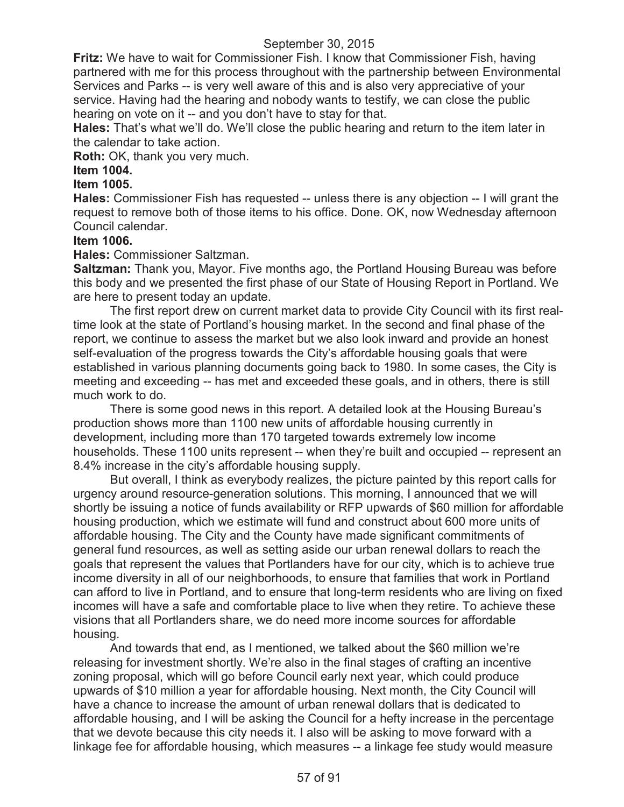**Fritz:** We have to wait for Commissioner Fish. I know that Commissioner Fish, having partnered with me for this process throughout with the partnership between Environmental Services and Parks -- is very well aware of this and is also very appreciative of your service. Having had the hearing and nobody wants to testify, we can close the public hearing on vote on it -- and you don't have to stay for that.

**Hales:** That's what we'll do. We'll close the public hearing and return to the item later in the calendar to take action.

**Roth:** OK, thank you very much.

# **Item 1004.**

# **Item 1005.**

**Hales:** Commissioner Fish has requested -- unless there is any objection -- I will grant the request to remove both of those items to his office. Done. OK, now Wednesday afternoon Council calendar.

# **Item 1006.**

**Hales:** Commissioner Saltzman.

**Saltzman:** Thank you, Mayor. Five months ago, the Portland Housing Bureau was before this body and we presented the first phase of our State of Housing Report in Portland. We are here to present today an update.

The first report drew on current market data to provide City Council with its first realtime look at the state of Portland's housing market. In the second and final phase of the report, we continue to assess the market but we also look inward and provide an honest self-evaluation of the progress towards the City's affordable housing goals that were established in various planning documents going back to 1980. In some cases, the City is meeting and exceeding -- has met and exceeded these goals, and in others, there is still much work to do.

There is some good news in this report. A detailed look at the Housing Bureau's production shows more than 1100 new units of affordable housing currently in development, including more than 170 targeted towards extremely low income households. These 1100 units represent -- when they're built and occupied -- represent an 8.4% increase in the city's affordable housing supply.

But overall, I think as everybody realizes, the picture painted by this report calls for urgency around resource-generation solutions. This morning, I announced that we will shortly be issuing a notice of funds availability or RFP upwards of \$60 million for affordable housing production, which we estimate will fund and construct about 600 more units of affordable housing. The City and the County have made significant commitments of general fund resources, as well as setting aside our urban renewal dollars to reach the goals that represent the values that Portlanders have for our city, which is to achieve true income diversity in all of our neighborhoods, to ensure that families that work in Portland can afford to live in Portland, and to ensure that long-term residents who are living on fixed incomes will have a safe and comfortable place to live when they retire. To achieve these visions that all Portlanders share, we do need more income sources for affordable housing.

And towards that end, as I mentioned, we talked about the \$60 million we're releasing for investment shortly. We're also in the final stages of crafting an incentive zoning proposal, which will go before Council early next year, which could produce upwards of \$10 million a year for affordable housing. Next month, the City Council will have a chance to increase the amount of urban renewal dollars that is dedicated to affordable housing, and I will be asking the Council for a hefty increase in the percentage that we devote because this city needs it. I also will be asking to move forward with a linkage fee for affordable housing, which measures -- a linkage fee study would measure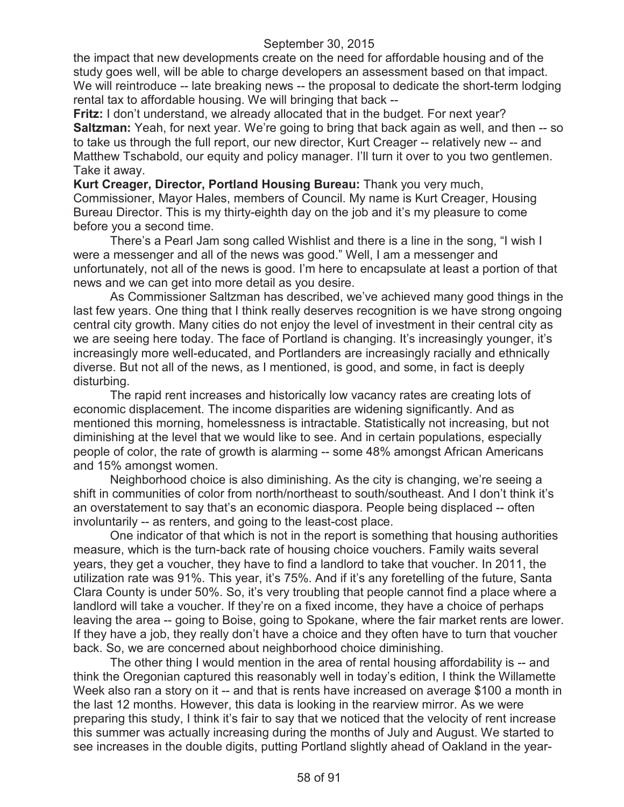the impact that new developments create on the need for affordable housing and of the study goes well, will be able to charge developers an assessment based on that impact. We will reintroduce -- late breaking news -- the proposal to dedicate the short-term lodging rental tax to affordable housing. We will bringing that back --

**Fritz:** I don't understand, we already allocated that in the budget. For next year? **Saltzman:** Yeah, for next year. We're going to bring that back again as well, and then -- so to take us through the full report, our new director, Kurt Creager -- relatively new -- and Matthew Tschabold, our equity and policy manager. I'll turn it over to you two gentlemen. Take it away.

**Kurt Creager, Director, Portland Housing Bureau:** Thank you very much, Commissioner, Mayor Hales, members of Council. My name is Kurt Creager, Housing Bureau Director. This is my thirty-eighth day on the job and it's my pleasure to come before you a second time.

There's a Pearl Jam song called Wishlist and there is a line in the song, "I wish I were a messenger and all of the news was good." Well, I am a messenger and unfortunately, not all of the news is good. I'm here to encapsulate at least a portion of that news and we can get into more detail as you desire.

As Commissioner Saltzman has described, we've achieved many good things in the last few years. One thing that I think really deserves recognition is we have strong ongoing central city growth. Many cities do not enjoy the level of investment in their central city as we are seeing here today. The face of Portland is changing. It's increasingly younger, it's increasingly more well-educated, and Portlanders are increasingly racially and ethnically diverse. But not all of the news, as I mentioned, is good, and some, in fact is deeply disturbing.

The rapid rent increases and historically low vacancy rates are creating lots of economic displacement. The income disparities are widening significantly. And as mentioned this morning, homelessness is intractable. Statistically not increasing, but not diminishing at the level that we would like to see. And in certain populations, especially people of color, the rate of growth is alarming -- some 48% amongst African Americans and 15% amongst women.

Neighborhood choice is also diminishing. As the city is changing, we're seeing a shift in communities of color from north/northeast to south/southeast. And I don't think it's an overstatement to say that's an economic diaspora. People being displaced -- often involuntarily -- as renters, and going to the least-cost place.

One indicator of that which is not in the report is something that housing authorities measure, which is the turn-back rate of housing choice vouchers. Family waits several years, they get a voucher, they have to find a landlord to take that voucher. In 2011, the utilization rate was 91%. This year, it's 75%. And if it's any foretelling of the future, Santa Clara County is under 50%. So, it's very troubling that people cannot find a place where a landlord will take a voucher. If they're on a fixed income, they have a choice of perhaps leaving the area -- going to Boise, going to Spokane, where the fair market rents are lower. If they have a job, they really don't have a choice and they often have to turn that voucher back. So, we are concerned about neighborhood choice diminishing.

The other thing I would mention in the area of rental housing affordability is -- and think the Oregonian captured this reasonably well in today's edition, I think the Willamette Week also ran a story on it -- and that is rents have increased on average \$100 a month in the last 12 months. However, this data is looking in the rearview mirror. As we were preparing this study, I think it's fair to say that we noticed that the velocity of rent increase this summer was actually increasing during the months of July and August. We started to see increases in the double digits, putting Portland slightly ahead of Oakland in the year-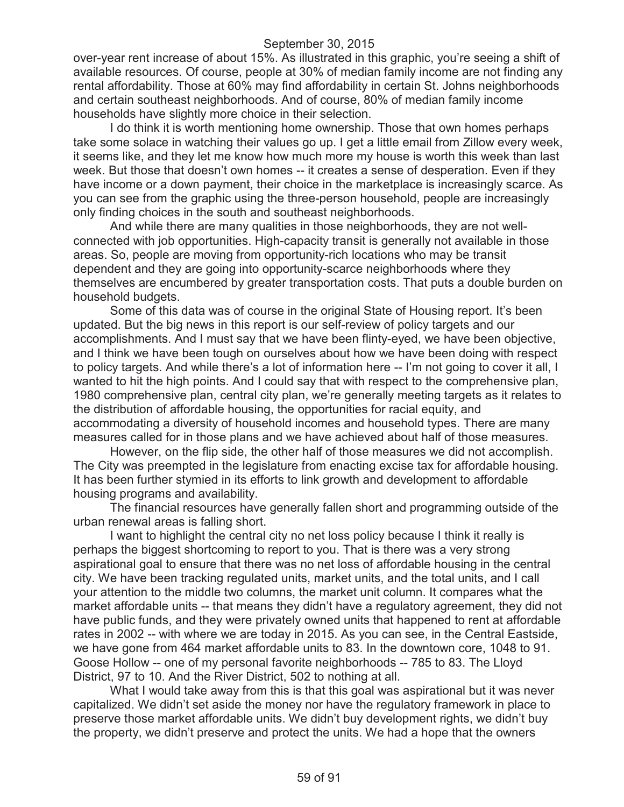over-year rent increase of about 15%. As illustrated in this graphic, you're seeing a shift of available resources. Of course, people at 30% of median family income are not finding any rental affordability. Those at 60% may find affordability in certain St. Johns neighborhoods and certain southeast neighborhoods. And of course, 80% of median family income households have slightly more choice in their selection.

I do think it is worth mentioning home ownership. Those that own homes perhaps take some solace in watching their values go up. I get a little email from Zillow every week, it seems like, and they let me know how much more my house is worth this week than last week. But those that doesn't own homes -- it creates a sense of desperation. Even if they have income or a down payment, their choice in the marketplace is increasingly scarce. As you can see from the graphic using the three-person household, people are increasingly only finding choices in the south and southeast neighborhoods.

And while there are many qualities in those neighborhoods, they are not wellconnected with job opportunities. High-capacity transit is generally not available in those areas. So, people are moving from opportunity-rich locations who may be transit dependent and they are going into opportunity-scarce neighborhoods where they themselves are encumbered by greater transportation costs. That puts a double burden on household budgets.

Some of this data was of course in the original State of Housing report. It's been updated. But the big news in this report is our self-review of policy targets and our accomplishments. And I must say that we have been flinty-eyed, we have been objective, and I think we have been tough on ourselves about how we have been doing with respect to policy targets. And while there's a lot of information here -- I'm not going to cover it all, I wanted to hit the high points. And I could say that with respect to the comprehensive plan, 1980 comprehensive plan, central city plan, we're generally meeting targets as it relates to the distribution of affordable housing, the opportunities for racial equity, and accommodating a diversity of household incomes and household types. There are many measures called for in those plans and we have achieved about half of those measures.

However, on the flip side, the other half of those measures we did not accomplish. The City was preempted in the legislature from enacting excise tax for affordable housing. It has been further stymied in its efforts to link growth and development to affordable housing programs and availability.

The financial resources have generally fallen short and programming outside of the urban renewal areas is falling short.

I want to highlight the central city no net loss policy because I think it really is perhaps the biggest shortcoming to report to you. That is there was a very strong aspirational goal to ensure that there was no net loss of affordable housing in the central city. We have been tracking regulated units, market units, and the total units, and I call your attention to the middle two columns, the market unit column. It compares what the market affordable units -- that means they didn't have a regulatory agreement, they did not have public funds, and they were privately owned units that happened to rent at affordable rates in 2002 -- with where we are today in 2015. As you can see, in the Central Eastside, we have gone from 464 market affordable units to 83. In the downtown core, 1048 to 91. Goose Hollow -- one of my personal favorite neighborhoods -- 785 to 83. The Lloyd District, 97 to 10. And the River District, 502 to nothing at all.

What I would take away from this is that this goal was aspirational but it was never capitalized. We didn't set aside the money nor have the regulatory framework in place to preserve those market affordable units. We didn't buy development rights, we didn't buy the property, we didn't preserve and protect the units. We had a hope that the owners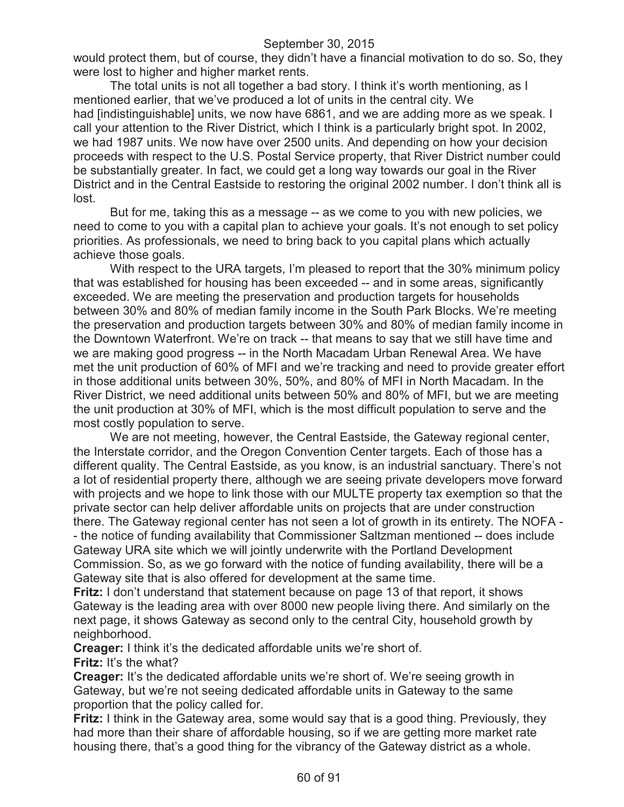would protect them, but of course, they didn't have a financial motivation to do so. So, they were lost to higher and higher market rents.

The total units is not all together a bad story. I think it's worth mentioning, as I mentioned earlier, that we've produced a lot of units in the central city. We had [indistinguishable] units, we now have 6861, and we are adding more as we speak. I call your attention to the River District, which I think is a particularly bright spot. In 2002, we had 1987 units. We now have over 2500 units. And depending on how your decision proceeds with respect to the U.S. Postal Service property, that River District number could be substantially greater. In fact, we could get a long way towards our goal in the River District and in the Central Eastside to restoring the original 2002 number. I don't think all is lost.

But for me, taking this as a message -- as we come to you with new policies, we need to come to you with a capital plan to achieve your goals. It's not enough to set policy priorities. As professionals, we need to bring back to you capital plans which actually achieve those goals.

With respect to the URA targets, I'm pleased to report that the 30% minimum policy that was established for housing has been exceeded -- and in some areas, significantly exceeded. We are meeting the preservation and production targets for households between 30% and 80% of median family income in the South Park Blocks. We're meeting the preservation and production targets between 30% and 80% of median family income in the Downtown Waterfront. We're on track -- that means to say that we still have time and we are making good progress -- in the North Macadam Urban Renewal Area. We have met the unit production of 60% of MFI and we're tracking and need to provide greater effort in those additional units between 30%, 50%, and 80% of MFI in North Macadam. In the River District, we need additional units between 50% and 80% of MFI, but we are meeting the unit production at 30% of MFI, which is the most difficult population to serve and the most costly population to serve.

We are not meeting, however, the Central Eastside, the Gateway regional center, the Interstate corridor, and the Oregon Convention Center targets. Each of those has a different quality. The Central Eastside, as you know, is an industrial sanctuary. There's not a lot of residential property there, although we are seeing private developers move forward with projects and we hope to link those with our MULTE property tax exemption so that the private sector can help deliver affordable units on projects that are under construction there. The Gateway regional center has not seen a lot of growth in its entirety. The NOFA - - the notice of funding availability that Commissioner Saltzman mentioned -- does include Gateway URA site which we will jointly underwrite with the Portland Development Commission. So, as we go forward with the notice of funding availability, there will be a Gateway site that is also offered for development at the same time.

**Fritz:** I don't understand that statement because on page 13 of that report, it shows Gateway is the leading area with over 8000 new people living there. And similarly on the next page, it shows Gateway as second only to the central City, household growth by neighborhood.

**Creager:** I think it's the dedicated affordable units we're short of. **Fritz:** It's the what?

**Creager:** It's the dedicated affordable units we're short of. We're seeing growth in Gateway, but we're not seeing dedicated affordable units in Gateway to the same proportion that the policy called for.

**Fritz:** I think in the Gateway area, some would say that is a good thing. Previously, they had more than their share of affordable housing, so if we are getting more market rate housing there, that's a good thing for the vibrancy of the Gateway district as a whole.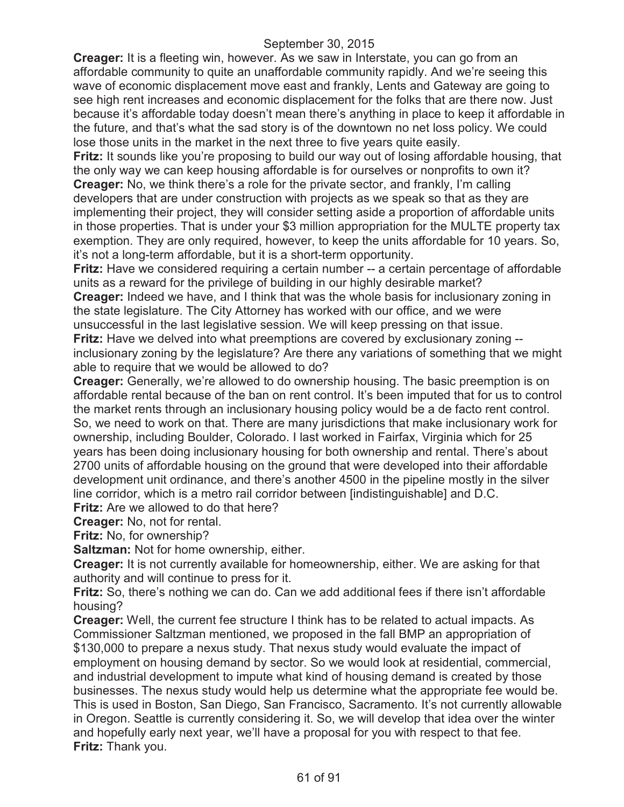**Creager:** It is a fleeting win, however. As we saw in Interstate, you can go from an affordable community to quite an unaffordable community rapidly. And we're seeing this wave of economic displacement move east and frankly, Lents and Gateway are going to see high rent increases and economic displacement for the folks that are there now. Just because it's affordable today doesn't mean there's anything in place to keep it affordable in the future, and that's what the sad story is of the downtown no net loss policy. We could lose those units in the market in the next three to five years quite easily.

**Fritz:** It sounds like you're proposing to build our way out of losing affordable housing, that the only way we can keep housing affordable is for ourselves or nonprofits to own it? **Creager:** No, we think there's a role for the private sector, and frankly, I'm calling developers that are under construction with projects as we speak so that as they are implementing their project, they will consider setting aside a proportion of affordable units in those properties. That is under your \$3 million appropriation for the MULTE property tax exemption. They are only required, however, to keep the units affordable for 10 years. So, it's not a long-term affordable, but it is a short-term opportunity.

**Fritz:** Have we considered requiring a certain number -- a certain percentage of affordable units as a reward for the privilege of building in our highly desirable market?

**Creager:** Indeed we have, and I think that was the whole basis for inclusionary zoning in the state legislature. The City Attorney has worked with our office, and we were unsuccessful in the last legislative session. We will keep pressing on that issue.

**Fritz:** Have we delved into what preemptions are covered by exclusionary zoning - inclusionary zoning by the legislature? Are there any variations of something that we might able to require that we would be allowed to do?

**Creager:** Generally, we're allowed to do ownership housing. The basic preemption is on affordable rental because of the ban on rent control. It's been imputed that for us to control the market rents through an inclusionary housing policy would be a de facto rent control. So, we need to work on that. There are many jurisdictions that make inclusionary work for ownership, including Boulder, Colorado. I last worked in Fairfax, Virginia which for 25 years has been doing inclusionary housing for both ownership and rental. There's about 2700 units of affordable housing on the ground that were developed into their affordable development unit ordinance, and there's another 4500 in the pipeline mostly in the silver line corridor, which is a metro rail corridor between [indistinguishable] and D.C.

**Fritz:** Are we allowed to do that here?

**Creager:** No, not for rental.

**Fritz:** No, for ownership?

**Saltzman:** Not for home ownership, either.

**Creager:** It is not currently available for homeownership, either. We are asking for that authority and will continue to press for it.

**Fritz:** So, there's nothing we can do. Can we add additional fees if there isn't affordable housing?

**Creager:** Well, the current fee structure I think has to be related to actual impacts. As Commissioner Saltzman mentioned, we proposed in the fall BMP an appropriation of \$130,000 to prepare a nexus study. That nexus study would evaluate the impact of employment on housing demand by sector. So we would look at residential, commercial, and industrial development to impute what kind of housing demand is created by those businesses. The nexus study would help us determine what the appropriate fee would be. This is used in Boston, San Diego, San Francisco, Sacramento. It's not currently allowable in Oregon. Seattle is currently considering it. So, we will develop that idea over the winter and hopefully early next year, we'll have a proposal for you with respect to that fee. **Fritz:** Thank you.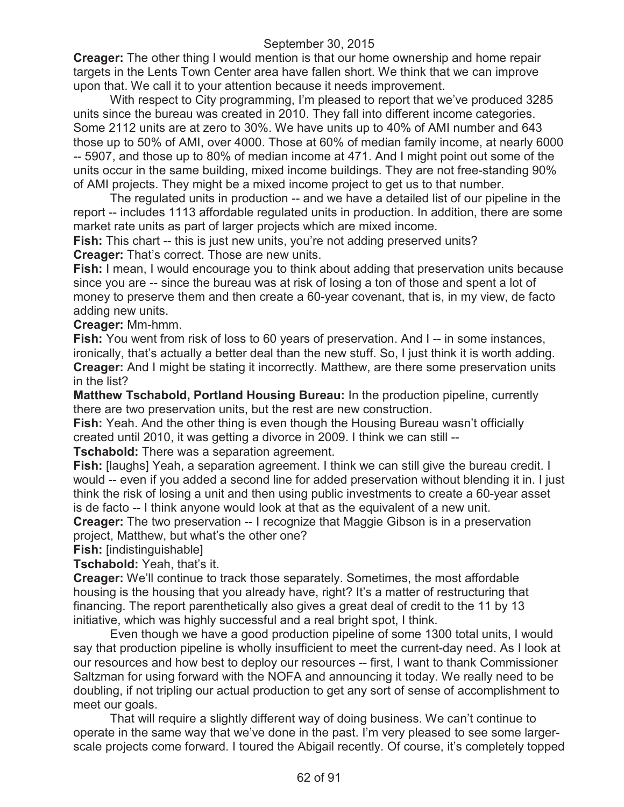**Creager:** The other thing I would mention is that our home ownership and home repair targets in the Lents Town Center area have fallen short. We think that we can improve upon that. We call it to your attention because it needs improvement.

With respect to City programming, I'm pleased to report that we've produced 3285 units since the bureau was created in 2010. They fall into different income categories. Some 2112 units are at zero to 30%. We have units up to 40% of AMI number and 643 those up to 50% of AMI, over 4000. Those at 60% of median family income, at nearly 6000 -- 5907, and those up to 80% of median income at 471. And I might point out some of the units occur in the same building, mixed income buildings. They are not free-standing 90% of AMI projects. They might be a mixed income project to get us to that number.

The regulated units in production -- and we have a detailed list of our pipeline in the report -- includes 1113 affordable regulated units in production. In addition, there are some market rate units as part of larger projects which are mixed income.

**Fish:** This chart -- this is just new units, you're not adding preserved units? **Creager:** That's correct. Those are new units.

**Fish:** I mean, I would encourage you to think about adding that preservation units because since you are -- since the bureau was at risk of losing a ton of those and spent a lot of money to preserve them and then create a 60-year covenant, that is, in my view, de facto adding new units.

**Creager:** Mm-hmm.

**Fish:** You went from risk of loss to 60 years of preservation. And I -- in some instances, ironically, that's actually a better deal than the new stuff. So, I just think it is worth adding. **Creager:** And I might be stating it incorrectly. Matthew, are there some preservation units in the list?

**Matthew Tschabold, Portland Housing Bureau:** In the production pipeline, currently there are two preservation units, but the rest are new construction.

**Fish:** Yeah. And the other thing is even though the Housing Bureau wasn't officially created until 2010, it was getting a divorce in 2009. I think we can still --

**Tschabold:** There was a separation agreement.

**Fish:** [laughs] Yeah, a separation agreement. I think we can still give the bureau credit. I would -- even if you added a second line for added preservation without blending it in. I just think the risk of losing a unit and then using public investments to create a 60-year asset is de facto -- I think anyone would look at that as the equivalent of a new unit.

**Creager:** The two preservation -- I recognize that Maggie Gibson is in a preservation project, Matthew, but what's the other one?

**Fish:** [indistinguishable]

**Tschabold:** Yeah, that's it.

**Creager:** We'll continue to track those separately. Sometimes, the most affordable housing is the housing that you already have, right? It's a matter of restructuring that financing. The report parenthetically also gives a great deal of credit to the 11 by 13 initiative, which was highly successful and a real bright spot, I think.

Even though we have a good production pipeline of some 1300 total units, I would say that production pipeline is wholly insufficient to meet the current-day need. As I look at our resources and how best to deploy our resources -- first, I want to thank Commissioner Saltzman for using forward with the NOFA and announcing it today. We really need to be doubling, if not tripling our actual production to get any sort of sense of accomplishment to meet our goals.

That will require a slightly different way of doing business. We can't continue to operate in the same way that we've done in the past. I'm very pleased to see some largerscale projects come forward. I toured the Abigail recently. Of course, it's completely topped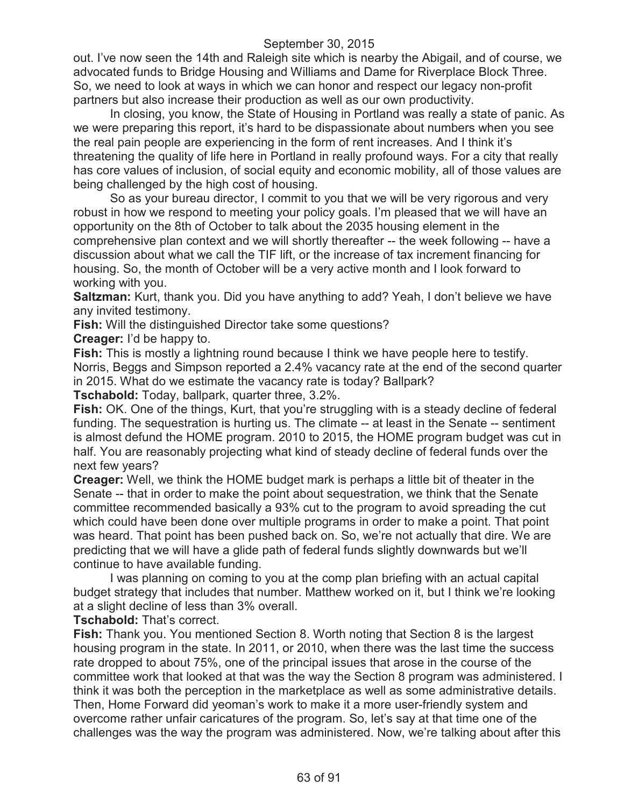out. I've now seen the 14th and Raleigh site which is nearby the Abigail, and of course, we advocated funds to Bridge Housing and Williams and Dame for Riverplace Block Three. So, we need to look at ways in which we can honor and respect our legacy non-profit partners but also increase their production as well as our own productivity.

In closing, you know, the State of Housing in Portland was really a state of panic. As we were preparing this report, it's hard to be dispassionate about numbers when you see the real pain people are experiencing in the form of rent increases. And I think it's threatening the quality of life here in Portland in really profound ways. For a city that really has core values of inclusion, of social equity and economic mobility, all of those values are being challenged by the high cost of housing.

So as your bureau director, I commit to you that we will be very rigorous and very robust in how we respond to meeting your policy goals. I'm pleased that we will have an opportunity on the 8th of October to talk about the 2035 housing element in the comprehensive plan context and we will shortly thereafter -- the week following -- have a discussion about what we call the TIF lift, or the increase of tax increment financing for housing. So, the month of October will be a very active month and I look forward to working with you.

**Saltzman:** Kurt, thank you. Did you have anything to add? Yeah, I don't believe we have any invited testimony.

**Fish:** Will the distinguished Director take some questions?

**Creager:** I'd be happy to.

**Fish:** This is mostly a lightning round because I think we have people here to testify. Norris, Beggs and Simpson reported a 2.4% vacancy rate at the end of the second quarter in 2015. What do we estimate the vacancy rate is today? Ballpark?

**Tschabold:** Today, ballpark, quarter three, 3.2%.

**Fish:** OK. One of the things, Kurt, that you're struggling with is a steady decline of federal funding. The sequestration is hurting us. The climate -- at least in the Senate -- sentiment is almost defund the HOME program. 2010 to 2015, the HOME program budget was cut in half. You are reasonably projecting what kind of steady decline of federal funds over the next few years?

**Creager:** Well, we think the HOME budget mark is perhaps a little bit of theater in the Senate -- that in order to make the point about sequestration, we think that the Senate committee recommended basically a 93% cut to the program to avoid spreading the cut which could have been done over multiple programs in order to make a point. That point was heard. That point has been pushed back on. So, we're not actually that dire. We are predicting that we will have a glide path of federal funds slightly downwards but we'll continue to have available funding.

I was planning on coming to you at the comp plan briefing with an actual capital budget strategy that includes that number. Matthew worked on it, but I think we're looking at a slight decline of less than 3% overall.

**Tschabold:** That's correct.

**Fish:** Thank you. You mentioned Section 8. Worth noting that Section 8 is the largest housing program in the state. In 2011, or 2010, when there was the last time the success rate dropped to about 75%, one of the principal issues that arose in the course of the committee work that looked at that was the way the Section 8 program was administered. I think it was both the perception in the marketplace as well as some administrative details. Then, Home Forward did yeoman's work to make it a more user-friendly system and overcome rather unfair caricatures of the program. So, let's say at that time one of the challenges was the way the program was administered. Now, we're talking about after this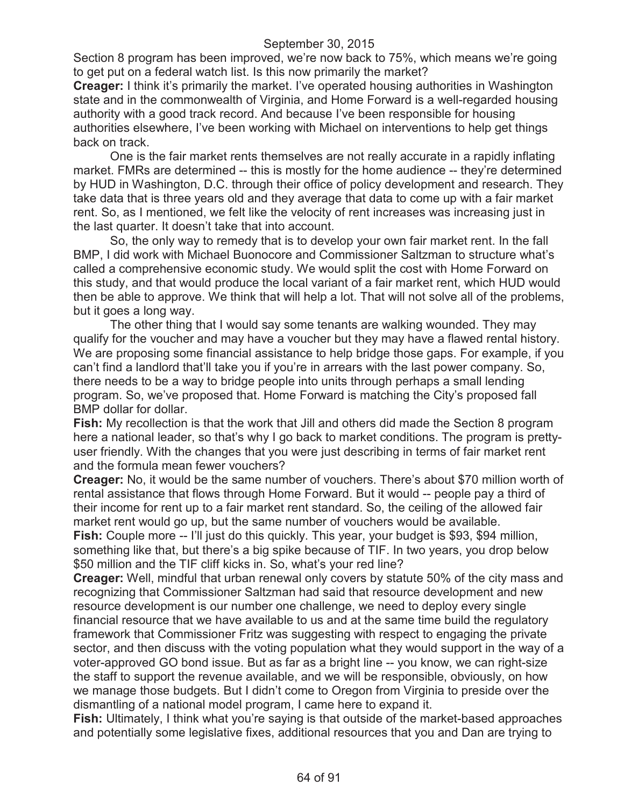Section 8 program has been improved, we're now back to 75%, which means we're going to get put on a federal watch list. Is this now primarily the market?

**Creager:** I think it's primarily the market. I've operated housing authorities in Washington state and in the commonwealth of Virginia, and Home Forward is a well-regarded housing authority with a good track record. And because I've been responsible for housing authorities elsewhere, I've been working with Michael on interventions to help get things back on track.

One is the fair market rents themselves are not really accurate in a rapidly inflating market. FMRs are determined -- this is mostly for the home audience -- they're determined by HUD in Washington, D.C. through their office of policy development and research. They take data that is three years old and they average that data to come up with a fair market rent. So, as I mentioned, we felt like the velocity of rent increases was increasing just in the last quarter. It doesn't take that into account.

So, the only way to remedy that is to develop your own fair market rent. In the fall BMP, I did work with Michael Buonocore and Commissioner Saltzman to structure what's called a comprehensive economic study. We would split the cost with Home Forward on this study, and that would produce the local variant of a fair market rent, which HUD would then be able to approve. We think that will help a lot. That will not solve all of the problems, but it goes a long way.

The other thing that I would say some tenants are walking wounded. They may qualify for the voucher and may have a voucher but they may have a flawed rental history. We are proposing some financial assistance to help bridge those gaps. For example, if you can't find a landlord that'll take you if you're in arrears with the last power company. So, there needs to be a way to bridge people into units through perhaps a small lending program. So, we've proposed that. Home Forward is matching the City's proposed fall BMP dollar for dollar.

**Fish:** My recollection is that the work that Jill and others did made the Section 8 program here a national leader, so that's why I go back to market conditions. The program is prettyuser friendly. With the changes that you were just describing in terms of fair market rent and the formula mean fewer vouchers?

**Creager:** No, it would be the same number of vouchers. There's about \$70 million worth of rental assistance that flows through Home Forward. But it would -- people pay a third of their income for rent up to a fair market rent standard. So, the ceiling of the allowed fair market rent would go up, but the same number of vouchers would be available.

**Fish:** Couple more -- I'll just do this quickly. This year, your budget is \$93, \$94 million, something like that, but there's a big spike because of TIF. In two years, you drop below \$50 million and the TIF cliff kicks in. So, what's your red line?

**Creager:** Well, mindful that urban renewal only covers by statute 50% of the city mass and recognizing that Commissioner Saltzman had said that resource development and new resource development is our number one challenge, we need to deploy every single financial resource that we have available to us and at the same time build the regulatory framework that Commissioner Fritz was suggesting with respect to engaging the private sector, and then discuss with the voting population what they would support in the way of a voter-approved GO bond issue. But as far as a bright line -- you know, we can right-size the staff to support the revenue available, and we will be responsible, obviously, on how we manage those budgets. But I didn't come to Oregon from Virginia to preside over the dismantling of a national model program, I came here to expand it.

**Fish:** Ultimately, I think what you're saying is that outside of the market-based approaches and potentially some legislative fixes, additional resources that you and Dan are trying to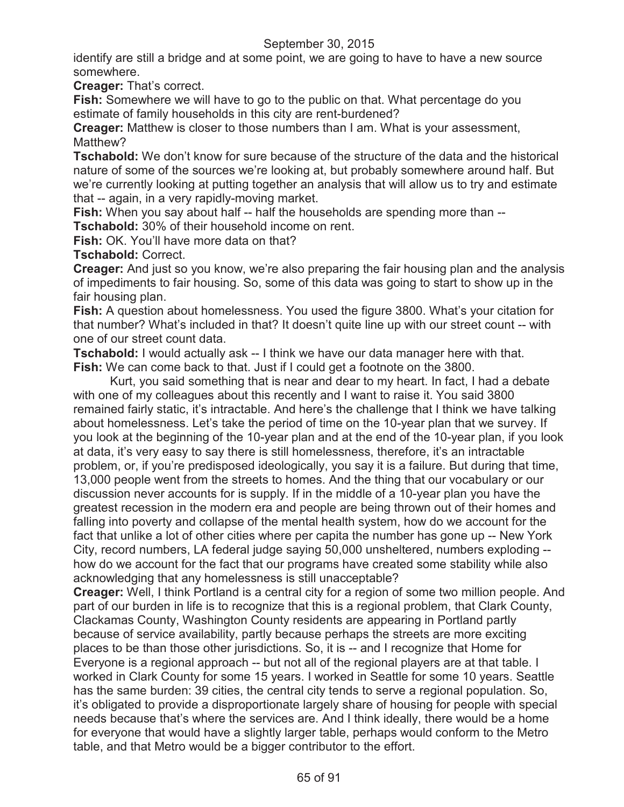identify are still a bridge and at some point, we are going to have to have a new source somewhere.

**Creager:** That's correct.

**Fish:** Somewhere we will have to go to the public on that. What percentage do you estimate of family households in this city are rent-burdened?

**Creager:** Matthew is closer to those numbers than I am. What is your assessment, Matthew?

**Tschabold:** We don't know for sure because of the structure of the data and the historical nature of some of the sources we're looking at, but probably somewhere around half. But we're currently looking at putting together an analysis that will allow us to try and estimate that -- again, in a very rapidly-moving market.

**Fish:** When you say about half -- half the households are spending more than --**Tschabold:** 30% of their household income on rent.

**Fish:** OK. You'll have more data on that?

**Tschabold:** Correct.

**Creager:** And just so you know, we're also preparing the fair housing plan and the analysis of impediments to fair housing. So, some of this data was going to start to show up in the fair housing plan.

**Fish:** A question about homelessness. You used the figure 3800. What's your citation for that number? What's included in that? It doesn't quite line up with our street count -- with one of our street count data.

**Tschabold:** I would actually ask -- I think we have our data manager here with that. **Fish:** We can come back to that. Just if I could get a footnote on the 3800.

Kurt, you said something that is near and dear to my heart. In fact, I had a debate with one of my colleagues about this recently and I want to raise it. You said 3800 remained fairly static, it's intractable. And here's the challenge that I think we have talking about homelessness. Let's take the period of time on the 10-year plan that we survey. If you look at the beginning of the 10-year plan and at the end of the 10-year plan, if you look at data, it's very easy to say there is still homelessness, therefore, it's an intractable problem, or, if you're predisposed ideologically, you say it is a failure. But during that time, 13,000 people went from the streets to homes. And the thing that our vocabulary or our discussion never accounts for is supply. If in the middle of a 10-year plan you have the greatest recession in the modern era and people are being thrown out of their homes and falling into poverty and collapse of the mental health system, how do we account for the fact that unlike a lot of other cities where per capita the number has gone up -- New York City, record numbers, LA federal judge saying 50,000 unsheltered, numbers exploding - how do we account for the fact that our programs have created some stability while also acknowledging that any homelessness is still unacceptable?

**Creager:** Well, I think Portland is a central city for a region of some two million people. And part of our burden in life is to recognize that this is a regional problem, that Clark County, Clackamas County, Washington County residents are appearing in Portland partly because of service availability, partly because perhaps the streets are more exciting places to be than those other jurisdictions. So, it is -- and I recognize that Home for Everyone is a regional approach -- but not all of the regional players are at that table. I worked in Clark County for some 15 years. I worked in Seattle for some 10 years. Seattle has the same burden: 39 cities, the central city tends to serve a regional population. So, it's obligated to provide a disproportionate largely share of housing for people with special needs because that's where the services are. And I think ideally, there would be a home for everyone that would have a slightly larger table, perhaps would conform to the Metro table, and that Metro would be a bigger contributor to the effort.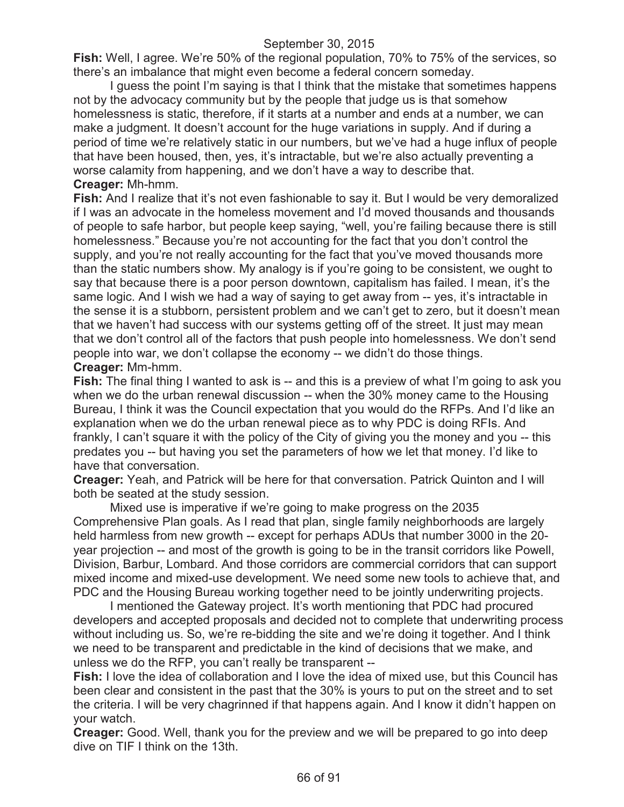**Fish:** Well, I agree. We're 50% of the regional population, 70% to 75% of the services, so there's an imbalance that might even become a federal concern someday.

I guess the point I'm saying is that I think that the mistake that sometimes happens not by the advocacy community but by the people that judge us is that somehow homelessness is static, therefore, if it starts at a number and ends at a number, we can make a judgment. It doesn't account for the huge variations in supply. And if during a period of time we're relatively static in our numbers, but we've had a huge influx of people that have been housed, then, yes, it's intractable, but we're also actually preventing a worse calamity from happening, and we don't have a way to describe that. **Creager:** Mh-hmm.

**Fish:** And I realize that it's not even fashionable to say it. But I would be very demoralized if I was an advocate in the homeless movement and I'd moved thousands and thousands of people to safe harbor, but people keep saying, "well, you're failing because there is still homelessness." Because you're not accounting for the fact that you don't control the supply, and you're not really accounting for the fact that you've moved thousands more than the static numbers show. My analogy is if you're going to be consistent, we ought to say that because there is a poor person downtown, capitalism has failed. I mean, it's the same logic. And I wish we had a way of saying to get away from -- yes, it's intractable in the sense it is a stubborn, persistent problem and we can't get to zero, but it doesn't mean that we haven't had success with our systems getting off of the street. It just may mean that we don't control all of the factors that push people into homelessness. We don't send people into war, we don't collapse the economy -- we didn't do those things. **Creager:** Mm-hmm.

**Fish:** The final thing I wanted to ask is -- and this is a preview of what I'm going to ask you when we do the urban renewal discussion -- when the 30% money came to the Housing Bureau, I think it was the Council expectation that you would do the RFPs. And I'd like an explanation when we do the urban renewal piece as to why PDC is doing RFIs. And frankly, I can't square it with the policy of the City of giving you the money and you -- this predates you -- but having you set the parameters of how we let that money. I'd like to have that conversation.

**Creager:** Yeah, and Patrick will be here for that conversation. Patrick Quinton and I will both be seated at the study session.

Mixed use is imperative if we're going to make progress on the 2035 Comprehensive Plan goals. As I read that plan, single family neighborhoods are largely held harmless from new growth -- except for perhaps ADUs that number 3000 in the 20year projection -- and most of the growth is going to be in the transit corridors like Powell, Division, Barbur, Lombard. And those corridors are commercial corridors that can support mixed income and mixed-use development. We need some new tools to achieve that, and PDC and the Housing Bureau working together need to be jointly underwriting projects.

I mentioned the Gateway project. It's worth mentioning that PDC had procured developers and accepted proposals and decided not to complete that underwriting process without including us. So, we're re-bidding the site and we're doing it together. And I think we need to be transparent and predictable in the kind of decisions that we make, and unless we do the RFP, you can't really be transparent --

**Fish:** I love the idea of collaboration and I love the idea of mixed use, but this Council has been clear and consistent in the past that the 30% is yours to put on the street and to set the criteria. I will be very chagrinned if that happens again. And I know it didn't happen on your watch.

**Creager:** Good. Well, thank you for the preview and we will be prepared to go into deep dive on TIF I think on the 13th.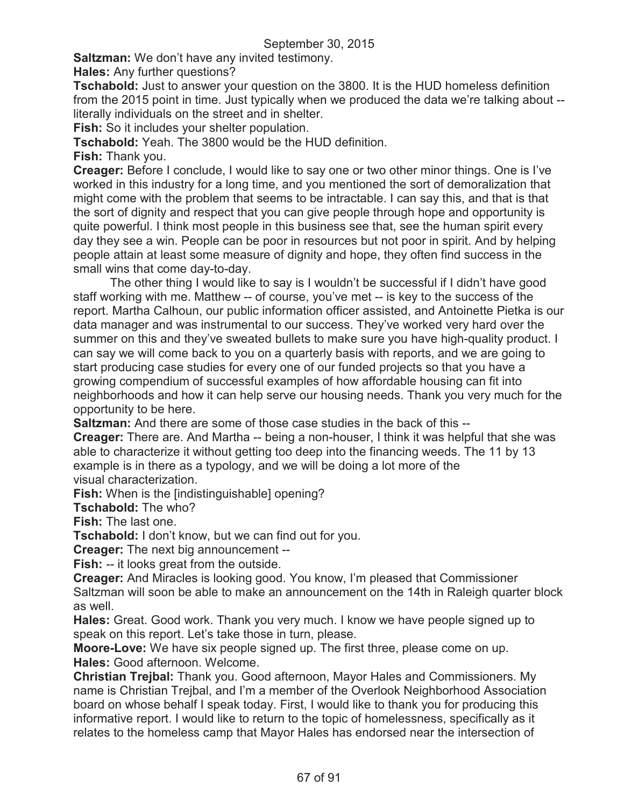**Saltzman:** We don't have any invited testimony.

**Hales:** Any further questions?

**Tschabold:** Just to answer your question on the 3800. It is the HUD homeless definition from the 2015 point in time. Just typically when we produced the data we're talking about - literally individuals on the street and in shelter.

**Fish:** So it includes your shelter population.

**Tschabold:** Yeah. The 3800 would be the HUD definition.

**Fish:** Thank you.

**Creager:** Before I conclude, I would like to say one or two other minor things. One is I've worked in this industry for a long time, and you mentioned the sort of demoralization that might come with the problem that seems to be intractable. I can say this, and that is that the sort of dignity and respect that you can give people through hope and opportunity is quite powerful. I think most people in this business see that, see the human spirit every day they see a win. People can be poor in resources but not poor in spirit. And by helping people attain at least some measure of dignity and hope, they often find success in the small wins that come day-to-day.

The other thing I would like to say is I wouldn't be successful if I didn't have good staff working with me. Matthew -- of course, you've met -- is key to the success of the report. Martha Calhoun, our public information officer assisted, and Antoinette Pietka is our data manager and was instrumental to our success. They've worked very hard over the summer on this and they've sweated bullets to make sure you have high-quality product. I can say we will come back to you on a quarterly basis with reports, and we are going to start producing case studies for every one of our funded projects so that you have a growing compendium of successful examples of how affordable housing can fit into neighborhoods and how it can help serve our housing needs. Thank you very much for the opportunity to be here.

**Saltzman:** And there are some of those case studies in the back of this --

**Creager:** There are. And Martha -- being a non-houser, I think it was helpful that she was able to characterize it without getting too deep into the financing weeds. The 11 by 13 example is in there as a typology, and we will be doing a lot more of the visual characterization.

**Fish:** When is the [indistinguishable] opening?

**Tschabold:** The who?

**Fish:** The last one.

**Tschabold:** I don't know, but we can find out for you.

**Creager:** The next big announcement --

**Fish:** -- it looks great from the outside.

**Creager:** And Miracles is looking good. You know, I'm pleased that Commissioner Saltzman will soon be able to make an announcement on the 14th in Raleigh quarter block as well.

**Hales:** Great. Good work. Thank you very much. I know we have people signed up to speak on this report. Let's take those in turn, please.

**Moore-Love:** We have six people signed up. The first three, please come on up. **Hales:** Good afternoon. Welcome.

**Christian Trejbal:** Thank you. Good afternoon, Mayor Hales and Commissioners. My name is Christian Trejbal, and I'm a member of the Overlook Neighborhood Association board on whose behalf I speak today. First, I would like to thank you for producing this informative report. I would like to return to the topic of homelessness, specifically as it relates to the homeless camp that Mayor Hales has endorsed near the intersection of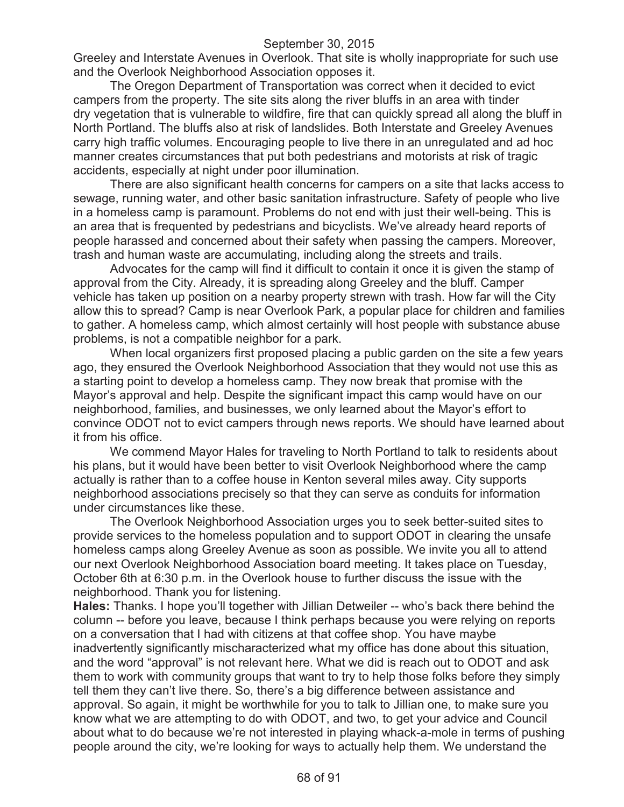Greeley and Interstate Avenues in Overlook. That site is wholly inappropriate for such use and the Overlook Neighborhood Association opposes it.

The Oregon Department of Transportation was correct when it decided to evict campers from the property. The site sits along the river bluffs in an area with tinder dry vegetation that is vulnerable to wildfire, fire that can quickly spread all along the bluff in North Portland. The bluffs also at risk of landslides. Both Interstate and Greeley Avenues carry high traffic volumes. Encouraging people to live there in an unregulated and ad hoc manner creates circumstances that put both pedestrians and motorists at risk of tragic accidents, especially at night under poor illumination.

There are also significant health concerns for campers on a site that lacks access to sewage, running water, and other basic sanitation infrastructure. Safety of people who live in a homeless camp is paramount. Problems do not end with just their well-being. This is an area that is frequented by pedestrians and bicyclists. We've already heard reports of people harassed and concerned about their safety when passing the campers. Moreover, trash and human waste are accumulating, including along the streets and trails.

Advocates for the camp will find it difficult to contain it once it is given the stamp of approval from the City. Already, it is spreading along Greeley and the bluff. Camper vehicle has taken up position on a nearby property strewn with trash. How far will the City allow this to spread? Camp is near Overlook Park, a popular place for children and families to gather. A homeless camp, which almost certainly will host people with substance abuse problems, is not a compatible neighbor for a park.

When local organizers first proposed placing a public garden on the site a few years ago, they ensured the Overlook Neighborhood Association that they would not use this as a starting point to develop a homeless camp. They now break that promise with the Mayor's approval and help. Despite the significant impact this camp would have on our neighborhood, families, and businesses, we only learned about the Mayor's effort to convince ODOT not to evict campers through news reports. We should have learned about it from his office.

We commend Mayor Hales for traveling to North Portland to talk to residents about his plans, but it would have been better to visit Overlook Neighborhood where the camp actually is rather than to a coffee house in Kenton several miles away. City supports neighborhood associations precisely so that they can serve as conduits for information under circumstances like these.

The Overlook Neighborhood Association urges you to seek better-suited sites to provide services to the homeless population and to support ODOT in clearing the unsafe homeless camps along Greeley Avenue as soon as possible. We invite you all to attend our next Overlook Neighborhood Association board meeting. It takes place on Tuesday, October 6th at 6:30 p.m. in the Overlook house to further discuss the issue with the neighborhood. Thank you for listening.

**Hales:** Thanks. I hope you'll together with Jillian Detweiler -- who's back there behind the column -- before you leave, because I think perhaps because you were relying on reports on a conversation that I had with citizens at that coffee shop. You have maybe inadvertently significantly mischaracterized what my office has done about this situation, and the word "approval" is not relevant here. What we did is reach out to ODOT and ask them to work with community groups that want to try to help those folks before they simply tell them they can't live there. So, there's a big difference between assistance and approval. So again, it might be worthwhile for you to talk to Jillian one, to make sure you know what we are attempting to do with ODOT, and two, to get your advice and Council about what to do because we're not interested in playing whack-a-mole in terms of pushing people around the city, we're looking for ways to actually help them. We understand the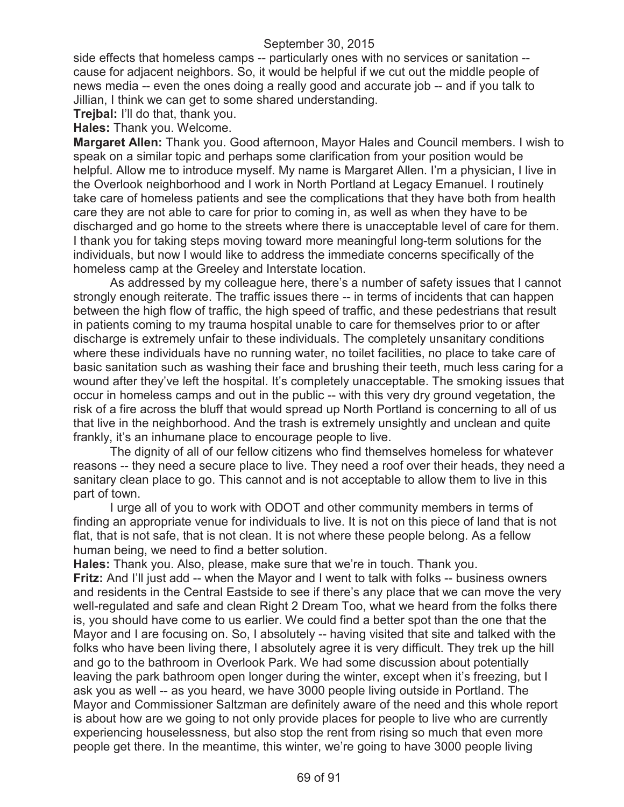side effects that homeless camps -- particularly ones with no services or sanitation - cause for adjacent neighbors. So, it would be helpful if we cut out the middle people of news media -- even the ones doing a really good and accurate job -- and if you talk to Jillian, I think we can get to some shared understanding.

**Trejbal:** I'll do that, thank you.

**Hales:** Thank you. Welcome.

**Margaret Allen:** Thank you. Good afternoon, Mayor Hales and Council members. I wish to speak on a similar topic and perhaps some clarification from your position would be helpful. Allow me to introduce myself. My name is Margaret Allen. I'm a physician, I live in the Overlook neighborhood and I work in North Portland at Legacy Emanuel. I routinely take care of homeless patients and see the complications that they have both from health care they are not able to care for prior to coming in, as well as when they have to be discharged and go home to the streets where there is unacceptable level of care for them. I thank you for taking steps moving toward more meaningful long-term solutions for the individuals, but now I would like to address the immediate concerns specifically of the homeless camp at the Greeley and Interstate location.

As addressed by my colleague here, there's a number of safety issues that I cannot strongly enough reiterate. The traffic issues there -- in terms of incidents that can happen between the high flow of traffic, the high speed of traffic, and these pedestrians that result in patients coming to my trauma hospital unable to care for themselves prior to or after discharge is extremely unfair to these individuals. The completely unsanitary conditions where these individuals have no running water, no toilet facilities, no place to take care of basic sanitation such as washing their face and brushing their teeth, much less caring for a wound after they've left the hospital. It's completely unacceptable. The smoking issues that occur in homeless camps and out in the public -- with this very dry ground vegetation, the risk of a fire across the bluff that would spread up North Portland is concerning to all of us that live in the neighborhood. And the trash is extremely unsightly and unclean and quite frankly, it's an inhumane place to encourage people to live.

The dignity of all of our fellow citizens who find themselves homeless for whatever reasons -- they need a secure place to live. They need a roof over their heads, they need a sanitary clean place to go. This cannot and is not acceptable to allow them to live in this part of town.

I urge all of you to work with ODOT and other community members in terms of finding an appropriate venue for individuals to live. It is not on this piece of land that is not flat, that is not safe, that is not clean. It is not where these people belong. As a fellow human being, we need to find a better solution.

**Hales:** Thank you. Also, please, make sure that we're in touch. Thank you.

**Fritz:** And I'll just add -- when the Mayor and I went to talk with folks -- business owners and residents in the Central Eastside to see if there's any place that we can move the very well-regulated and safe and clean Right 2 Dream Too, what we heard from the folks there is, you should have come to us earlier. We could find a better spot than the one that the Mayor and I are focusing on. So, I absolutely -- having visited that site and talked with the folks who have been living there, I absolutely agree it is very difficult. They trek up the hill and go to the bathroom in Overlook Park. We had some discussion about potentially leaving the park bathroom open longer during the winter, except when it's freezing, but I ask you as well -- as you heard, we have 3000 people living outside in Portland. The Mayor and Commissioner Saltzman are definitely aware of the need and this whole report is about how are we going to not only provide places for people to live who are currently experiencing houselessness, but also stop the rent from rising so much that even more people get there. In the meantime, this winter, we're going to have 3000 people living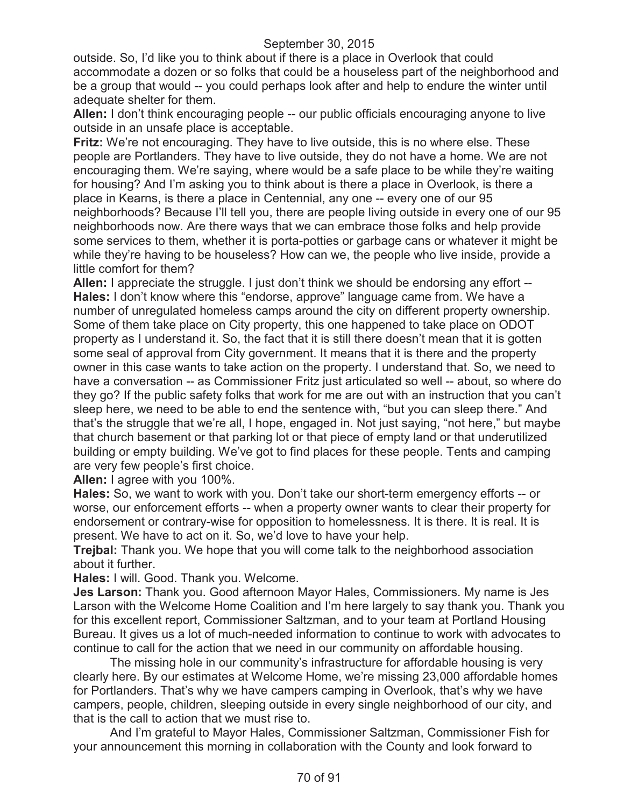outside. So, I'd like you to think about if there is a place in Overlook that could accommodate a dozen or so folks that could be a houseless part of the neighborhood and be a group that would -- you could perhaps look after and help to endure the winter until adequate shelter for them.

**Allen:** I don't think encouraging people -- our public officials encouraging anyone to live outside in an unsafe place is acceptable.

**Fritz:** We're not encouraging. They have to live outside, this is no where else. These people are Portlanders. They have to live outside, they do not have a home. We are not encouraging them. We're saying, where would be a safe place to be while they're waiting for housing? And I'm asking you to think about is there a place in Overlook, is there a place in Kearns, is there a place in Centennial, any one -- every one of our 95 neighborhoods? Because I'll tell you, there are people living outside in every one of our 95 neighborhoods now. Are there ways that we can embrace those folks and help provide some services to them, whether it is porta-potties or garbage cans or whatever it might be while they're having to be houseless? How can we, the people who live inside, provide a little comfort for them?

**Allen:** I appreciate the struggle. I just don't think we should be endorsing any effort -- **Hales:** I don't know where this "endorse, approve" language came from. We have a number of unregulated homeless camps around the city on different property ownership. Some of them take place on City property, this one happened to take place on ODOT property as I understand it. So, the fact that it is still there doesn't mean that it is gotten some seal of approval from City government. It means that it is there and the property owner in this case wants to take action on the property. I understand that. So, we need to have a conversation -- as Commissioner Fritz just articulated so well -- about, so where do they go? If the public safety folks that work for me are out with an instruction that you can't sleep here, we need to be able to end the sentence with, "but you can sleep there." And that's the struggle that we're all, I hope, engaged in. Not just saying, "not here," but maybe that church basement or that parking lot or that piece of empty land or that underutilized building or empty building. We've got to find places for these people. Tents and camping are very few people's first choice.

**Allen:** I agree with you 100%.

**Hales:** So, we want to work with you. Don't take our short-term emergency efforts -- or worse, our enforcement efforts -- when a property owner wants to clear their property for endorsement or contrary-wise for opposition to homelessness. It is there. It is real. It is present. We have to act on it. So, we'd love to have your help.

**Trejbal:** Thank you. We hope that you will come talk to the neighborhood association about it further.

**Hales:** I will. Good. Thank you. Welcome.

**Jes Larson:** Thank you. Good afternoon Mayor Hales, Commissioners. My name is Jes Larson with the Welcome Home Coalition and I'm here largely to say thank you. Thank you for this excellent report, Commissioner Saltzman, and to your team at Portland Housing Bureau. It gives us a lot of much-needed information to continue to work with advocates to continue to call for the action that we need in our community on affordable housing.

The missing hole in our community's infrastructure for affordable housing is very clearly here. By our estimates at Welcome Home, we're missing 23,000 affordable homes for Portlanders. That's why we have campers camping in Overlook, that's why we have campers, people, children, sleeping outside in every single neighborhood of our city, and that is the call to action that we must rise to.

And I'm grateful to Mayor Hales, Commissioner Saltzman, Commissioner Fish for your announcement this morning in collaboration with the County and look forward to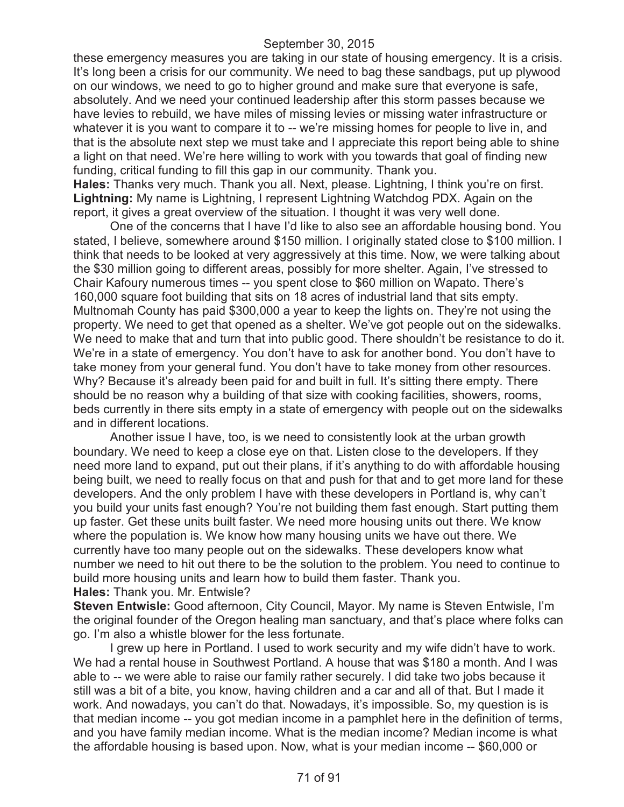these emergency measures you are taking in our state of housing emergency. It is a crisis. It's long been a crisis for our community. We need to bag these sandbags, put up plywood on our windows, we need to go to higher ground and make sure that everyone is safe, absolutely. And we need your continued leadership after this storm passes because we have levies to rebuild, we have miles of missing levies or missing water infrastructure or whatever it is you want to compare it to -- we're missing homes for people to live in, and that is the absolute next step we must take and I appreciate this report being able to shine a light on that need. We're here willing to work with you towards that goal of finding new funding, critical funding to fill this gap in our community. Thank you.

**Hales:** Thanks very much. Thank you all. Next, please. Lightning, I think you're on first. **Lightning:** My name is Lightning, I represent Lightning Watchdog PDX. Again on the report, it gives a great overview of the situation. I thought it was very well done.

One of the concerns that I have I'd like to also see an affordable housing bond. You stated, I believe, somewhere around \$150 million. I originally stated close to \$100 million. I think that needs to be looked at very aggressively at this time. Now, we were talking about the \$30 million going to different areas, possibly for more shelter. Again, I've stressed to Chair Kafoury numerous times -- you spent close to \$60 million on Wapato. There's 160,000 square foot building that sits on 18 acres of industrial land that sits empty. Multnomah County has paid \$300,000 a year to keep the lights on. They're not using the property. We need to get that opened as a shelter. We've got people out on the sidewalks. We need to make that and turn that into public good. There shouldn't be resistance to do it. We're in a state of emergency. You don't have to ask for another bond. You don't have to take money from your general fund. You don't have to take money from other resources. Why? Because it's already been paid for and built in full. It's sitting there empty. There should be no reason why a building of that size with cooking facilities, showers, rooms, beds currently in there sits empty in a state of emergency with people out on the sidewalks and in different locations.

Another issue I have, too, is we need to consistently look at the urban growth boundary. We need to keep a close eye on that. Listen close to the developers. If they need more land to expand, put out their plans, if it's anything to do with affordable housing being built, we need to really focus on that and push for that and to get more land for these developers. And the only problem I have with these developers in Portland is, why can't you build your units fast enough? You're not building them fast enough. Start putting them up faster. Get these units built faster. We need more housing units out there. We know where the population is. We know how many housing units we have out there. We currently have too many people out on the sidewalks. These developers know what number we need to hit out there to be the solution to the problem. You need to continue to build more housing units and learn how to build them faster. Thank you. **Hales:** Thank you. Mr. Entwisle?

**Steven Entwisle:** Good afternoon, City Council, Mayor. My name is Steven Entwisle, I'm the original founder of the Oregon healing man sanctuary, and that's place where folks can go. I'm also a whistle blower for the less fortunate.

I grew up here in Portland. I used to work security and my wife didn't have to work. We had a rental house in Southwest Portland. A house that was \$180 a month. And I was able to -- we were able to raise our family rather securely. I did take two jobs because it still was a bit of a bite, you know, having children and a car and all of that. But I made it work. And nowadays, you can't do that. Nowadays, it's impossible. So, my question is is that median income -- you got median income in a pamphlet here in the definition of terms, and you have family median income. What is the median income? Median income is what the affordable housing is based upon. Now, what is your median income -- \$60,000 or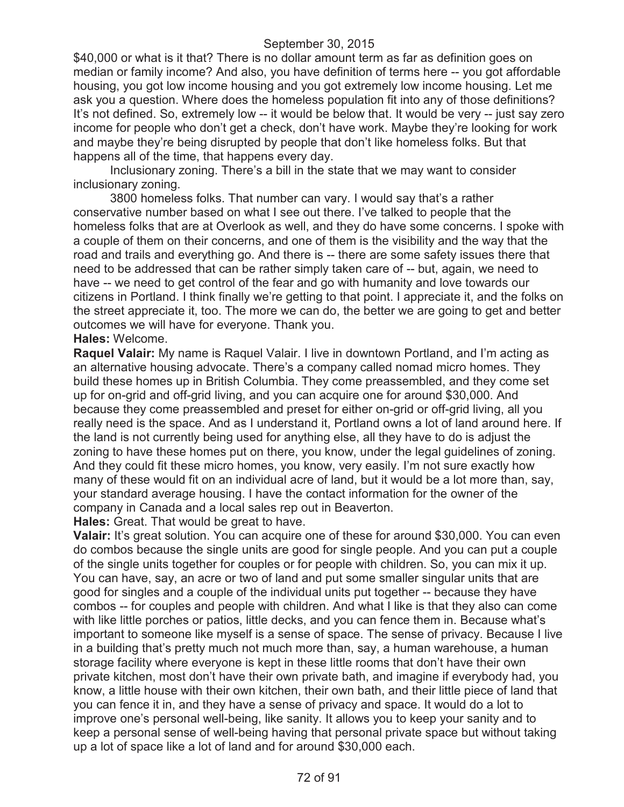\$40,000 or what is it that? There is no dollar amount term as far as definition goes on median or family income? And also, you have definition of terms here -- you got affordable housing, you got low income housing and you got extremely low income housing. Let me ask you a question. Where does the homeless population fit into any of those definitions? It's not defined. So, extremely low -- it would be below that. It would be very -- just say zero income for people who don't get a check, don't have work. Maybe they're looking for work and maybe they're being disrupted by people that don't like homeless folks. But that happens all of the time, that happens every day.

Inclusionary zoning. There's a bill in the state that we may want to consider inclusionary zoning.

3800 homeless folks. That number can vary. I would say that's a rather conservative number based on what I see out there. I've talked to people that the homeless folks that are at Overlook as well, and they do have some concerns. I spoke with a couple of them on their concerns, and one of them is the visibility and the way that the road and trails and everything go. And there is -- there are some safety issues there that need to be addressed that can be rather simply taken care of -- but, again, we need to have -- we need to get control of the fear and go with humanity and love towards our citizens in Portland. I think finally we're getting to that point. I appreciate it, and the folks on the street appreciate it, too. The more we can do, the better we are going to get and better outcomes we will have for everyone. Thank you.

# **Hales:** Welcome.

**Raquel Valair:** My name is Raquel Valair. I live in downtown Portland, and I'm acting as an alternative housing advocate. There's a company called nomad micro homes. They build these homes up in British Columbia. They come preassembled, and they come set up for on-grid and off-grid living, and you can acquire one for around \$30,000. And because they come preassembled and preset for either on-grid or off-grid living, all you really need is the space. And as I understand it, Portland owns a lot of land around here. If the land is not currently being used for anything else, all they have to do is adjust the zoning to have these homes put on there, you know, under the legal guidelines of zoning. And they could fit these micro homes, you know, very easily. I'm not sure exactly how many of these would fit on an individual acre of land, but it would be a lot more than, say, your standard average housing. I have the contact information for the owner of the company in Canada and a local sales rep out in Beaverton.

**Hales:** Great. That would be great to have.

**Valair:** It's great solution. You can acquire one of these for around \$30,000. You can even do combos because the single units are good for single people. And you can put a couple of the single units together for couples or for people with children. So, you can mix it up. You can have, say, an acre or two of land and put some smaller singular units that are good for singles and a couple of the individual units put together -- because they have combos -- for couples and people with children. And what I like is that they also can come with like little porches or patios, little decks, and you can fence them in. Because what's important to someone like myself is a sense of space. The sense of privacy. Because I live in a building that's pretty much not much more than, say, a human warehouse, a human storage facility where everyone is kept in these little rooms that don't have their own private kitchen, most don't have their own private bath, and imagine if everybody had, you know, a little house with their own kitchen, their own bath, and their little piece of land that you can fence it in, and they have a sense of privacy and space. It would do a lot to improve one's personal well-being, like sanity. It allows you to keep your sanity and to keep a personal sense of well-being having that personal private space but without taking up a lot of space like a lot of land and for around \$30,000 each.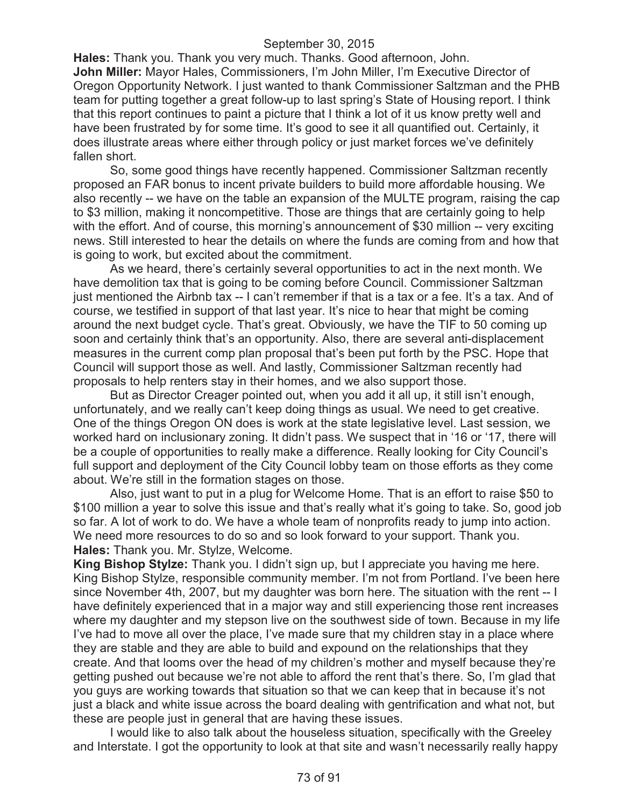**Hales:** Thank you. Thank you very much. Thanks. Good afternoon, John. **John Miller:** Mayor Hales, Commissioners, I'm John Miller, I'm Executive Director of Oregon Opportunity Network. I just wanted to thank Commissioner Saltzman and the PHB team for putting together a great follow-up to last spring's State of Housing report. I think that this report continues to paint a picture that I think a lot of it us know pretty well and have been frustrated by for some time. It's good to see it all quantified out. Certainly, it does illustrate areas where either through policy or just market forces we've definitely fallen short.

So, some good things have recently happened. Commissioner Saltzman recently proposed an FAR bonus to incent private builders to build more affordable housing. We also recently -- we have on the table an expansion of the MULTE program, raising the cap to \$3 million, making it noncompetitive. Those are things that are certainly going to help with the effort. And of course, this morning's announcement of \$30 million -- very exciting news. Still interested to hear the details on where the funds are coming from and how that is going to work, but excited about the commitment.

As we heard, there's certainly several opportunities to act in the next month. We have demolition tax that is going to be coming before Council. Commissioner Saltzman just mentioned the Airbnb tax -- I can't remember if that is a tax or a fee. It's a tax. And of course, we testified in support of that last year. It's nice to hear that might be coming around the next budget cycle. That's great. Obviously, we have the TIF to 50 coming up soon and certainly think that's an opportunity. Also, there are several anti-displacement measures in the current comp plan proposal that's been put forth by the PSC. Hope that Council will support those as well. And lastly, Commissioner Saltzman recently had proposals to help renters stay in their homes, and we also support those.

But as Director Creager pointed out, when you add it all up, it still isn't enough, unfortunately, and we really can't keep doing things as usual. We need to get creative. One of the things Oregon ON does is work at the state legislative level. Last session, we worked hard on inclusionary zoning. It didn't pass. We suspect that in '16 or '17, there will be a couple of opportunities to really make a difference. Really looking for City Council's full support and deployment of the City Council lobby team on those efforts as they come about. We're still in the formation stages on those.

Also, just want to put in a plug for Welcome Home. That is an effort to raise \$50 to \$100 million a year to solve this issue and that's really what it's going to take. So, good job so far. A lot of work to do. We have a whole team of nonprofits ready to jump into action. We need more resources to do so and so look forward to your support. Thank you. **Hales:** Thank you. Mr. Stylze, Welcome.

**King Bishop Stylze:** Thank you. I didn't sign up, but I appreciate you having me here. King Bishop Stylze, responsible community member. I'm not from Portland. I've been here since November 4th, 2007, but my daughter was born here. The situation with the rent -- I have definitely experienced that in a major way and still experiencing those rent increases where my daughter and my stepson live on the southwest side of town. Because in my life I've had to move all over the place, I've made sure that my children stay in a place where they are stable and they are able to build and expound on the relationships that they create. And that looms over the head of my children's mother and myself because they're getting pushed out because we're not able to afford the rent that's there. So, I'm glad that you guys are working towards that situation so that we can keep that in because it's not just a black and white issue across the board dealing with gentrification and what not, but these are people just in general that are having these issues.

I would like to also talk about the houseless situation, specifically with the Greeley and Interstate. I got the opportunity to look at that site and wasn't necessarily really happy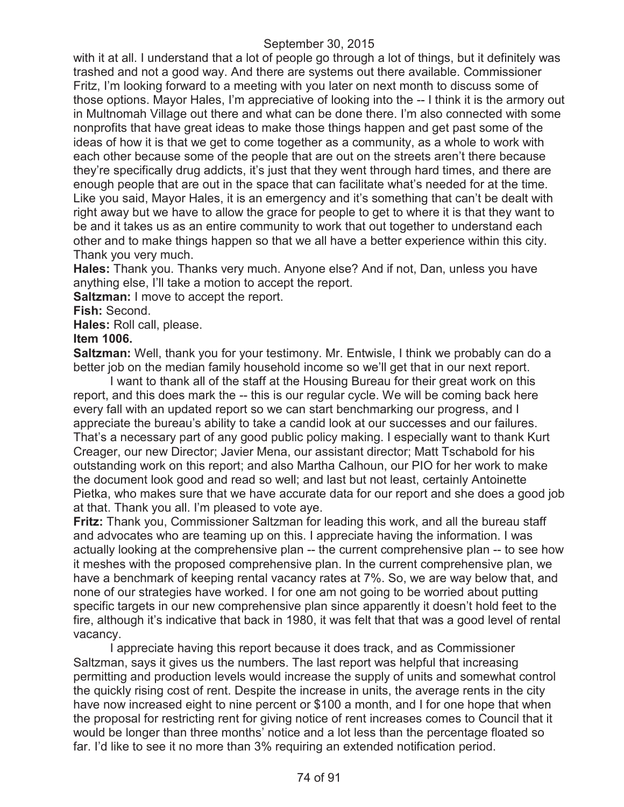with it at all. I understand that a lot of people go through a lot of things, but it definitely was trashed and not a good way. And there are systems out there available. Commissioner Fritz, I'm looking forward to a meeting with you later on next month to discuss some of those options. Mayor Hales, I'm appreciative of looking into the -- I think it is the armory out in Multnomah Village out there and what can be done there. I'm also connected with some nonprofits that have great ideas to make those things happen and get past some of the ideas of how it is that we get to come together as a community, as a whole to work with each other because some of the people that are out on the streets aren't there because they're specifically drug addicts, it's just that they went through hard times, and there are enough people that are out in the space that can facilitate what's needed for at the time. Like you said, Mayor Hales, it is an emergency and it's something that can't be dealt with right away but we have to allow the grace for people to get to where it is that they want to be and it takes us as an entire community to work that out together to understand each other and to make things happen so that we all have a better experience within this city. Thank you very much.

**Hales:** Thank you. Thanks very much. Anyone else? And if not, Dan, unless you have anything else, I'll take a motion to accept the report.

**Saltzman:** I move to accept the report.

**Fish:** Second.

**Hales:** Roll call, please.

#### **Item 1006.**

**Saltzman:** Well, thank you for your testimony. Mr. Entwisle, I think we probably can do a better job on the median family household income so we'll get that in our next report.

I want to thank all of the staff at the Housing Bureau for their great work on this report, and this does mark the -- this is our regular cycle. We will be coming back here every fall with an updated report so we can start benchmarking our progress, and I appreciate the bureau's ability to take a candid look at our successes and our failures. That's a necessary part of any good public policy making. I especially want to thank Kurt Creager, our new Director; Javier Mena, our assistant director; Matt Tschabold for his outstanding work on this report; and also Martha Calhoun, our PIO for her work to make the document look good and read so well; and last but not least, certainly Antoinette Pietka, who makes sure that we have accurate data for our report and she does a good job at that. Thank you all. I'm pleased to vote aye.

**Fritz:** Thank you, Commissioner Saltzman for leading this work, and all the bureau staff and advocates who are teaming up on this. I appreciate having the information. I was actually looking at the comprehensive plan -- the current comprehensive plan -- to see how it meshes with the proposed comprehensive plan. In the current comprehensive plan, we have a benchmark of keeping rental vacancy rates at 7%. So, we are way below that, and none of our strategies have worked. I for one am not going to be worried about putting specific targets in our new comprehensive plan since apparently it doesn't hold feet to the fire, although it's indicative that back in 1980, it was felt that that was a good level of rental vacancy.

I appreciate having this report because it does track, and as Commissioner Saltzman, says it gives us the numbers. The last report was helpful that increasing permitting and production levels would increase the supply of units and somewhat control the quickly rising cost of rent. Despite the increase in units, the average rents in the city have now increased eight to nine percent or \$100 a month, and I for one hope that when the proposal for restricting rent for giving notice of rent increases comes to Council that it would be longer than three months' notice and a lot less than the percentage floated so far. I'd like to see it no more than 3% requiring an extended notification period.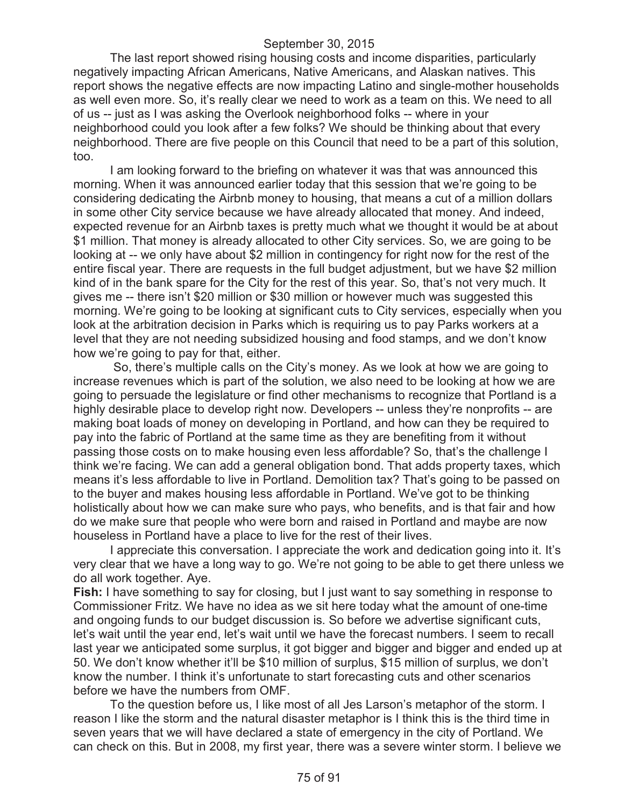The last report showed rising housing costs and income disparities, particularly negatively impacting African Americans, Native Americans, and Alaskan natives. This report shows the negative effects are now impacting Latino and single-mother households as well even more. So, it's really clear we need to work as a team on this. We need to all of us -- just as I was asking the Overlook neighborhood folks -- where in your neighborhood could you look after a few folks? We should be thinking about that every neighborhood. There are five people on this Council that need to be a part of this solution, too.

I am looking forward to the briefing on whatever it was that was announced this morning. When it was announced earlier today that this session that we're going to be considering dedicating the Airbnb money to housing, that means a cut of a million dollars in some other City service because we have already allocated that money. And indeed, expected revenue for an Airbnb taxes is pretty much what we thought it would be at about \$1 million. That money is already allocated to other City services. So, we are going to be looking at -- we only have about \$2 million in contingency for right now for the rest of the entire fiscal year. There are requests in the full budget adjustment, but we have \$2 million kind of in the bank spare for the City for the rest of this year. So, that's not very much. It gives me -- there isn't \$20 million or \$30 million or however much was suggested this morning. We're going to be looking at significant cuts to City services, especially when you look at the arbitration decision in Parks which is requiring us to pay Parks workers at a level that they are not needing subsidized housing and food stamps, and we don't know how we're going to pay for that, either.

So, there's multiple calls on the City's money. As we look at how we are going to increase revenues which is part of the solution, we also need to be looking at how we are going to persuade the legislature or find other mechanisms to recognize that Portland is a highly desirable place to develop right now. Developers -- unless they're nonprofits -- are making boat loads of money on developing in Portland, and how can they be required to pay into the fabric of Portland at the same time as they are benefiting from it without passing those costs on to make housing even less affordable? So, that's the challenge I think we're facing. We can add a general obligation bond. That adds property taxes, which means it's less affordable to live in Portland. Demolition tax? That's going to be passed on to the buyer and makes housing less affordable in Portland. We've got to be thinking holistically about how we can make sure who pays, who benefits, and is that fair and how do we make sure that people who were born and raised in Portland and maybe are now houseless in Portland have a place to live for the rest of their lives.

I appreciate this conversation. I appreciate the work and dedication going into it. It's very clear that we have a long way to go. We're not going to be able to get there unless we do all work together. Aye.

**Fish:** I have something to say for closing, but I just want to say something in response to Commissioner Fritz. We have no idea as we sit here today what the amount of one-time and ongoing funds to our budget discussion is. So before we advertise significant cuts, let's wait until the year end, let's wait until we have the forecast numbers. I seem to recall last year we anticipated some surplus, it got bigger and bigger and bigger and ended up at 50. We don't know whether it'll be \$10 million of surplus, \$15 million of surplus, we don't know the number. I think it's unfortunate to start forecasting cuts and other scenarios before we have the numbers from OMF.

To the question before us, I like most of all Jes Larson's metaphor of the storm. I reason I like the storm and the natural disaster metaphor is I think this is the third time in seven years that we will have declared a state of emergency in the city of Portland. We can check on this. But in 2008, my first year, there was a severe winter storm. I believe we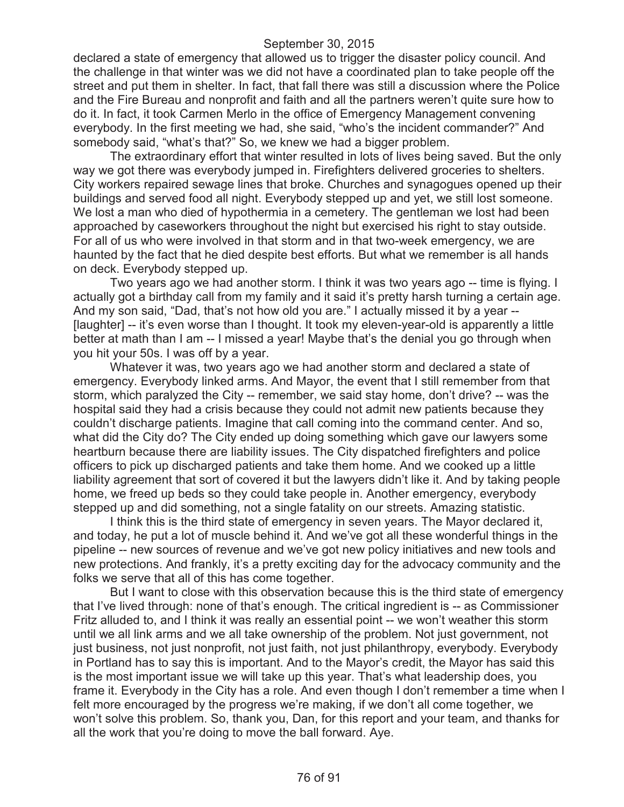declared a state of emergency that allowed us to trigger the disaster policy council. And the challenge in that winter was we did not have a coordinated plan to take people off the street and put them in shelter. In fact, that fall there was still a discussion where the Police and the Fire Bureau and nonprofit and faith and all the partners weren't quite sure how to do it. In fact, it took Carmen Merlo in the office of Emergency Management convening everybody. In the first meeting we had, she said, "who's the incident commander?" And somebody said, "what's that?" So, we knew we had a bigger problem.

The extraordinary effort that winter resulted in lots of lives being saved. But the only way we got there was everybody jumped in. Firefighters delivered groceries to shelters. City workers repaired sewage lines that broke. Churches and synagogues opened up their buildings and served food all night. Everybody stepped up and yet, we still lost someone. We lost a man who died of hypothermia in a cemetery. The gentleman we lost had been approached by caseworkers throughout the night but exercised his right to stay outside. For all of us who were involved in that storm and in that two-week emergency, we are haunted by the fact that he died despite best efforts. But what we remember is all hands on deck. Everybody stepped up.

Two years ago we had another storm. I think it was two years ago -- time is flying. I actually got a birthday call from my family and it said it's pretty harsh turning a certain age. And my son said, "Dad, that's not how old you are." I actually missed it by a year -- [laughter] -- it's even worse than I thought. It took my eleven-year-old is apparently a little better at math than I am -- I missed a year! Maybe that's the denial you go through when you hit your 50s. I was off by a year.

Whatever it was, two years ago we had another storm and declared a state of emergency. Everybody linked arms. And Mayor, the event that I still remember from that storm, which paralyzed the City -- remember, we said stay home, don't drive? -- was the hospital said they had a crisis because they could not admit new patients because they couldn't discharge patients. Imagine that call coming into the command center. And so, what did the City do? The City ended up doing something which gave our lawyers some heartburn because there are liability issues. The City dispatched firefighters and police officers to pick up discharged patients and take them home. And we cooked up a little liability agreement that sort of covered it but the lawyers didn't like it. And by taking people home, we freed up beds so they could take people in. Another emergency, everybody stepped up and did something, not a single fatality on our streets. Amazing statistic.

I think this is the third state of emergency in seven years. The Mayor declared it, and today, he put a lot of muscle behind it. And we've got all these wonderful things in the pipeline -- new sources of revenue and we've got new policy initiatives and new tools and new protections. And frankly, it's a pretty exciting day for the advocacy community and the folks we serve that all of this has come together.

But I want to close with this observation because this is the third state of emergency that I've lived through: none of that's enough. The critical ingredient is -- as Commissioner Fritz alluded to, and I think it was really an essential point -- we won't weather this storm until we all link arms and we all take ownership of the problem. Not just government, not just business, not just nonprofit, not just faith, not just philanthropy, everybody. Everybody in Portland has to say this is important. And to the Mayor's credit, the Mayor has said this is the most important issue we will take up this year. That's what leadership does, you frame it. Everybody in the City has a role. And even though I don't remember a time when I felt more encouraged by the progress we're making, if we don't all come together, we won't solve this problem. So, thank you, Dan, for this report and your team, and thanks for all the work that you're doing to move the ball forward. Aye.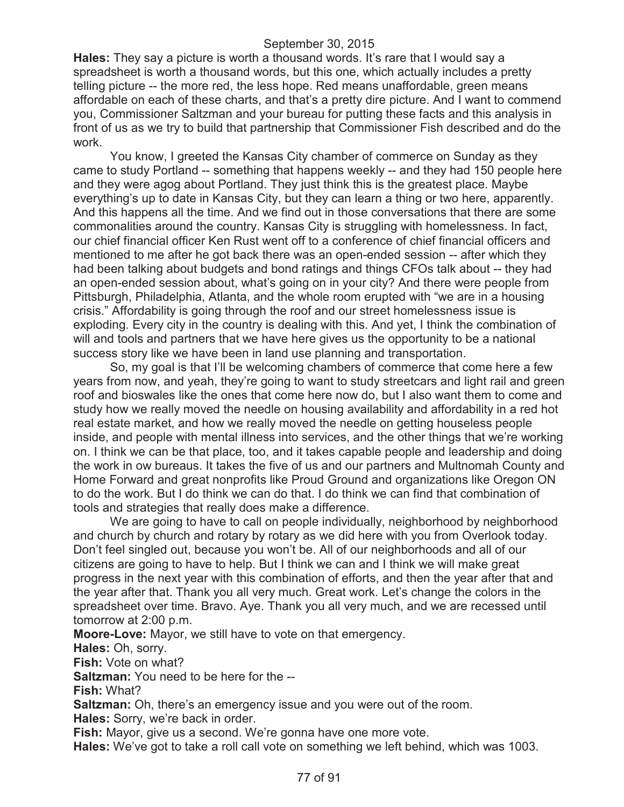**Hales:** They say a picture is worth a thousand words. It's rare that I would say a spreadsheet is worth a thousand words, but this one, which actually includes a pretty telling picture -- the more red, the less hope. Red means unaffordable, green means affordable on each of these charts, and that's a pretty dire picture. And I want to commend you, Commissioner Saltzman and your bureau for putting these facts and this analysis in front of us as we try to build that partnership that Commissioner Fish described and do the work.

You know, I greeted the Kansas City chamber of commerce on Sunday as they came to study Portland -- something that happens weekly -- and they had 150 people here and they were agog about Portland. They just think this is the greatest place. Maybe everything's up to date in Kansas City, but they can learn a thing or two here, apparently. And this happens all the time. And we find out in those conversations that there are some commonalities around the country. Kansas City is struggling with homelessness. In fact, our chief financial officer Ken Rust went off to a conference of chief financial officers and mentioned to me after he got back there was an open-ended session -- after which they had been talking about budgets and bond ratings and things CFOs talk about -- they had an open-ended session about, what's going on in your city? And there were people from Pittsburgh, Philadelphia, Atlanta, and the whole room erupted with "we are in a housing crisis." Affordability is going through the roof and our street homelessness issue is exploding. Every city in the country is dealing with this. And yet, I think the combination of will and tools and partners that we have here gives us the opportunity to be a national success story like we have been in land use planning and transportation.

So, my goal is that I'll be welcoming chambers of commerce that come here a few years from now, and yeah, they're going to want to study streetcars and light rail and green roof and bioswales like the ones that come here now do, but I also want them to come and study how we really moved the needle on housing availability and affordability in a red hot real estate market, and how we really moved the needle on getting houseless people inside, and people with mental illness into services, and the other things that we're working on. I think we can be that place, too, and it takes capable people and leadership and doing the work in ow bureaus. It takes the five of us and our partners and Multnomah County and Home Forward and great nonprofits like Proud Ground and organizations like Oregon ON to do the work. But I do think we can do that. I do think we can find that combination of tools and strategies that really does make a difference.

We are going to have to call on people individually, neighborhood by neighborhood and church by church and rotary by rotary as we did here with you from Overlook today. Don't feel singled out, because you won't be. All of our neighborhoods and all of our citizens are going to have to help. But I think we can and I think we will make great progress in the next year with this combination of efforts, and then the year after that and the year after that. Thank you all very much. Great work. Let's change the colors in the spreadsheet over time. Bravo. Aye. Thank you all very much, and we are recessed until tomorrow at 2:00 p.m.

**Moore-Love:** Mayor, we still have to vote on that emergency.

**Hales:** Oh, sorry.

**Fish:** Vote on what?

**Saltzman:** You need to be here for the --

**Fish:** What?

**Saltzman:** Oh, there's an emergency issue and you were out of the room.

**Hales:** Sorry, we're back in order.

**Fish:** Mayor, give us a second. We're gonna have one more vote.

**Hales:** We've got to take a roll call vote on something we left behind, which was 1003.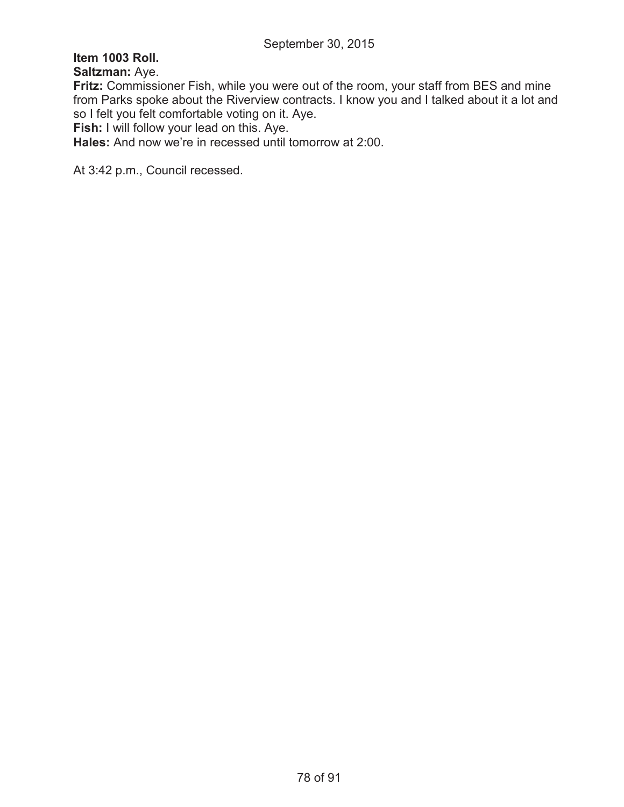# **Item 1003 Roll.**

**Saltzman:** Aye.

**Fritz:** Commissioner Fish, while you were out of the room, your staff from BES and mine from Parks spoke about the Riverview contracts. I know you and I talked about it a lot and so I felt you felt comfortable voting on it. Aye.

**Fish:** I will follow your lead on this. Aye.

**Hales:** And now we're in recessed until tomorrow at 2:00.

At 3:42 p.m., Council recessed.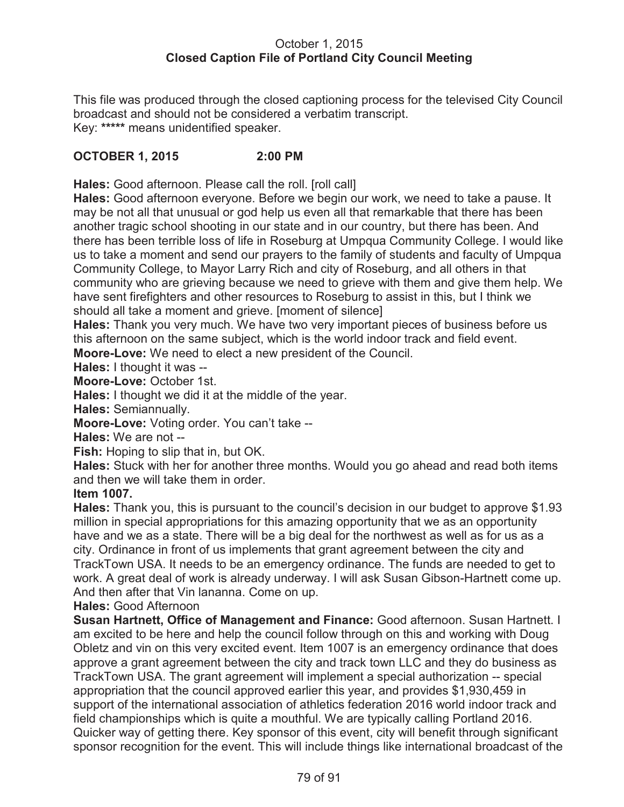#### October 1, 2015 **Closed Caption File of Portland City Council Meeting**

This file was produced through the closed captioning process for the televised City Council broadcast and should not be considered a verbatim transcript. Key: **\*\*\*\*\*** means unidentified speaker.

## **OCTOBER 1, 2015 2:00 PM**

**Hales:** Good afternoon. Please call the roll. [roll call]

**Hales:** Good afternoon everyone. Before we begin our work, we need to take a pause. It may be not all that unusual or god help us even all that remarkable that there has been another tragic school shooting in our state and in our country, but there has been. And there has been terrible loss of life in Roseburg at Umpqua Community College. I would like us to take a moment and send our prayers to the family of students and faculty of Umpqua Community College, to Mayor Larry Rich and city of Roseburg, and all others in that community who are grieving because we need to grieve with them and give them help. We have sent firefighters and other resources to Roseburg to assist in this, but I think we should all take a moment and grieve. [moment of silence]

**Hales:** Thank you very much. We have two very important pieces of business before us this afternoon on the same subject, which is the world indoor track and field event.

**Moore-Love:** We need to elect a new president of the Council.

**Hales:** I thought it was --

**Moore-Love:** October 1st.

**Hales:** I thought we did it at the middle of the year.

**Hales:** Semiannually.

**Moore-Love:** Voting order. You can't take --

**Hales:** We are not --

**Fish:** Hoping to slip that in, but OK.

**Hales:** Stuck with her for another three months. Would you go ahead and read both items and then we will take them in order.

#### **Item 1007.**

**Hales:** Thank you, this is pursuant to the council's decision in our budget to approve \$1.93 million in special appropriations for this amazing opportunity that we as an opportunity have and we as a state. There will be a big deal for the northwest as well as for us as a city. Ordinance in front of us implements that grant agreement between the city and TrackTown USA. It needs to be an emergency ordinance. The funds are needed to get to work. A great deal of work is already underway. I will ask Susan Gibson-Hartnett come up. And then after that Vin lananna. Come on up.

#### **Hales:** Good Afternoon

**Susan Hartnett, Office of Management and Finance:** Good afternoon. Susan Hartnett. I am excited to be here and help the council follow through on this and working with Doug Obletz and vin on this very excited event. Item 1007 is an emergency ordinance that does approve a grant agreement between the city and track town LLC and they do business as TrackTown USA. The grant agreement will implement a special authorization -- special appropriation that the council approved earlier this year, and provides \$1,930,459 in support of the international association of athletics federation 2016 world indoor track and field championships which is quite a mouthful. We are typically calling Portland 2016. Quicker way of getting there. Key sponsor of this event, city will benefit through significant sponsor recognition for the event. This will include things like international broadcast of the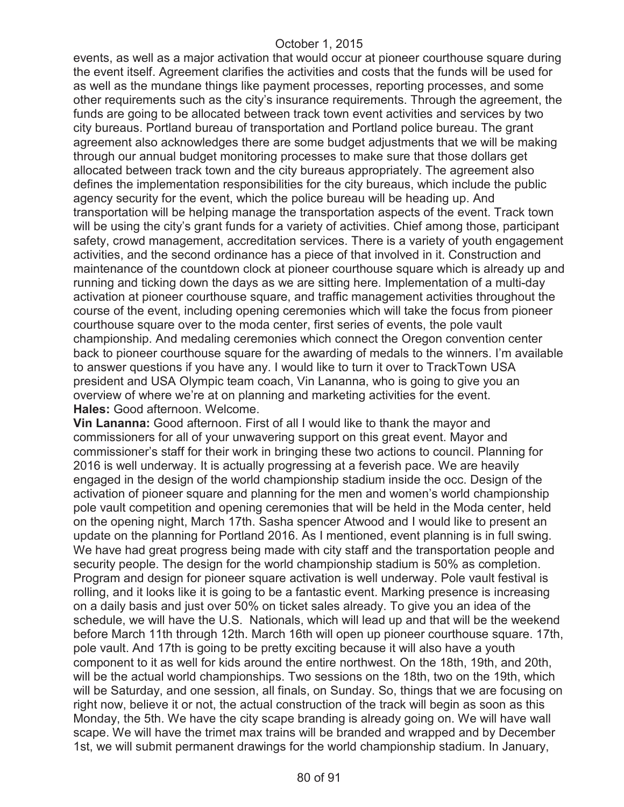events, as well as a major activation that would occur at pioneer courthouse square during the event itself. Agreement clarifies the activities and costs that the funds will be used for as well as the mundane things like payment processes, reporting processes, and some other requirements such as the city's insurance requirements. Through the agreement, the funds are going to be allocated between track town event activities and services by two city bureaus. Portland bureau of transportation and Portland police bureau. The grant agreement also acknowledges there are some budget adjustments that we will be making through our annual budget monitoring processes to make sure that those dollars get allocated between track town and the city bureaus appropriately. The agreement also defines the implementation responsibilities for the city bureaus, which include the public agency security for the event, which the police bureau will be heading up. And transportation will be helping manage the transportation aspects of the event. Track town will be using the city's grant funds for a variety of activities. Chief among those, participant safety, crowd management, accreditation services. There is a variety of youth engagement activities, and the second ordinance has a piece of that involved in it. Construction and maintenance of the countdown clock at pioneer courthouse square which is already up and running and ticking down the days as we are sitting here. Implementation of a multi-day activation at pioneer courthouse square, and traffic management activities throughout the course of the event, including opening ceremonies which will take the focus from pioneer courthouse square over to the moda center, first series of events, the pole vault championship. And medaling ceremonies which connect the Oregon convention center back to pioneer courthouse square for the awarding of medals to the winners. I'm available to answer questions if you have any. I would like to turn it over to TrackTown USA president and USA Olympic team coach, Vin Lananna, who is going to give you an overview of where we're at on planning and marketing activities for the event. **Hales:** Good afternoon. Welcome.

**Vin Lananna:** Good afternoon. First of all I would like to thank the mayor and commissioners for all of your unwavering support on this great event. Mayor and commissioner's staff for their work in bringing these two actions to council. Planning for 2016 is well underway. It is actually progressing at a feverish pace. We are heavily engaged in the design of the world championship stadium inside the occ. Design of the activation of pioneer square and planning for the men and women's world championship pole vault competition and opening ceremonies that will be held in the Moda center, held on the opening night, March 17th. Sasha spencer Atwood and I would like to present an update on the planning for Portland 2016. As I mentioned, event planning is in full swing. We have had great progress being made with city staff and the transportation people and security people. The design for the world championship stadium is 50% as completion. Program and design for pioneer square activation is well underway. Pole vault festival is rolling, and it looks like it is going to be a fantastic event. Marking presence is increasing on a daily basis and just over 50% on ticket sales already. To give you an idea of the schedule, we will have the U.S. Nationals, which will lead up and that will be the weekend before March 11th through 12th. March 16th will open up pioneer courthouse square. 17th, pole vault. And 17th is going to be pretty exciting because it will also have a youth component to it as well for kids around the entire northwest. On the 18th, 19th, and 20th, will be the actual world championships. Two sessions on the 18th, two on the 19th, which will be Saturday, and one session, all finals, on Sunday. So, things that we are focusing on right now, believe it or not, the actual construction of the track will begin as soon as this Monday, the 5th. We have the city scape branding is already going on. We will have wall scape. We will have the trimet max trains will be branded and wrapped and by December 1st, we will submit permanent drawings for the world championship stadium. In January,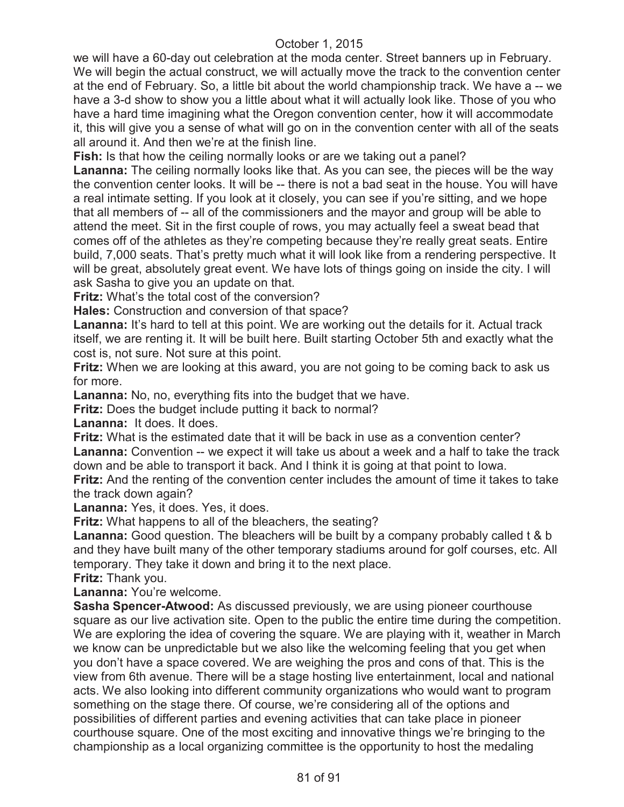we will have a 60-day out celebration at the moda center. Street banners up in February. We will begin the actual construct, we will actually move the track to the convention center at the end of February. So, a little bit about the world championship track. We have a -- we have a 3-d show to show you a little about what it will actually look like. Those of you who have a hard time imagining what the Oregon convention center, how it will accommodate it, this will give you a sense of what will go on in the convention center with all of the seats all around it. And then we're at the finish line.

**Fish:** Is that how the ceiling normally looks or are we taking out a panel?

**Lananna:** The ceiling normally looks like that. As you can see, the pieces will be the way the convention center looks. It will be -- there is not a bad seat in the house. You will have a real intimate setting. If you look at it closely, you can see if you're sitting, and we hope that all members of -- all of the commissioners and the mayor and group will be able to attend the meet. Sit in the first couple of rows, you may actually feel a sweat bead that comes off of the athletes as they're competing because they're really great seats. Entire build, 7,000 seats. That's pretty much what it will look like from a rendering perspective. It will be great, absolutely great event. We have lots of things going on inside the city. I will ask Sasha to give you an update on that.

**Fritz:** What's the total cost of the conversion?

**Hales:** Construction and conversion of that space?

Lananna: It's hard to tell at this point. We are working out the details for it. Actual track itself, we are renting it. It will be built here. Built starting October 5th and exactly what the cost is, not sure. Not sure at this point.

**Fritz:** When we are looking at this award, you are not going to be coming back to ask us for more.

**Lananna:** No, no, everything fits into the budget that we have.

**Fritz:** Does the budget include putting it back to normal?

**Lananna:** It does. It does.

**Fritz:** What is the estimated date that it will be back in use as a convention center? **Lananna:** Convention -- we expect it will take us about a week and a half to take the track down and be able to transport it back. And I think it is going at that point to Iowa.

**Fritz:** And the renting of the convention center includes the amount of time it takes to take the track down again?

**Lananna:** Yes, it does. Yes, it does.

**Fritz:** What happens to all of the bleachers, the seating?

**Lananna:** Good question. The bleachers will be built by a company probably called t & b and they have built many of the other temporary stadiums around for golf courses, etc. All temporary. They take it down and bring it to the next place.

**Fritz:** Thank you.

**Lananna:** You're welcome.

**Sasha Spencer-Atwood:** As discussed previously, we are using pioneer courthouse square as our live activation site. Open to the public the entire time during the competition. We are exploring the idea of covering the square. We are playing with it, weather in March we know can be unpredictable but we also like the welcoming feeling that you get when you don't have a space covered. We are weighing the pros and cons of that. This is the view from 6th avenue. There will be a stage hosting live entertainment, local and national acts. We also looking into different community organizations who would want to program something on the stage there. Of course, we're considering all of the options and possibilities of different parties and evening activities that can take place in pioneer courthouse square. One of the most exciting and innovative things we're bringing to the championship as a local organizing committee is the opportunity to host the medaling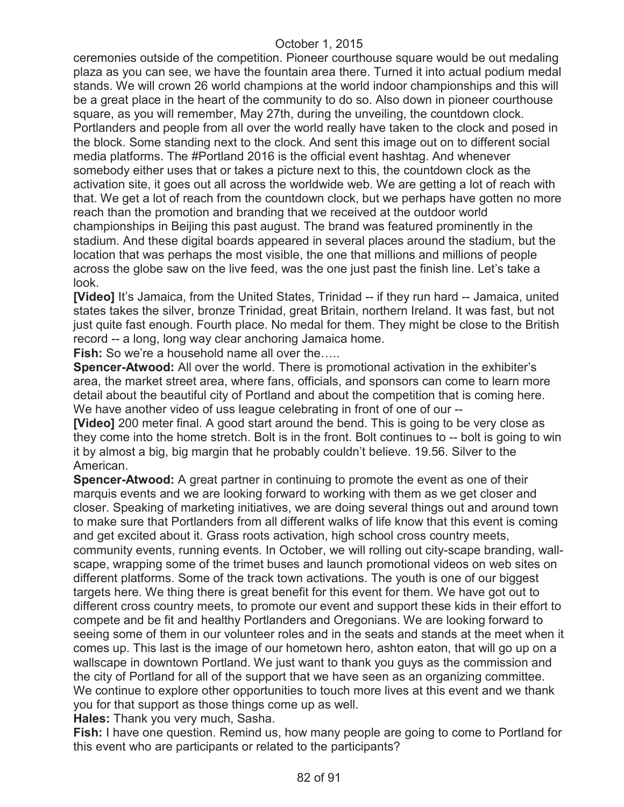ceremonies outside of the competition. Pioneer courthouse square would be out medaling plaza as you can see, we have the fountain area there. Turned it into actual podium medal stands. We will crown 26 world champions at the world indoor championships and this will be a great place in the heart of the community to do so. Also down in pioneer courthouse square, as you will remember, May 27th, during the unveiling, the countdown clock. Portlanders and people from all over the world really have taken to the clock and posed in the block. Some standing next to the clock. And sent this image out on to different social media platforms. The #Portland 2016 is the official event hashtag. And whenever somebody either uses that or takes a picture next to this, the countdown clock as the activation site, it goes out all across the worldwide web. We are getting a lot of reach with that. We get a lot of reach from the countdown clock, but we perhaps have gotten no more reach than the promotion and branding that we received at the outdoor world championships in Beijing this past august. The brand was featured prominently in the stadium. And these digital boards appeared in several places around the stadium, but the location that was perhaps the most visible, the one that millions and millions of people across the globe saw on the live feed, was the one just past the finish line. Let's take a look.

**[Video]** It's Jamaica, from the United States, Trinidad -- if they run hard -- Jamaica, united states takes the silver, bronze Trinidad, great Britain, northern Ireland. It was fast, but not just quite fast enough. Fourth place. No medal for them. They might be close to the British record -- a long, long way clear anchoring Jamaica home.

Fish: So we're a household name all over the.....

**Spencer-Atwood:** All over the world. There is promotional activation in the exhibiter's area, the market street area, where fans, officials, and sponsors can come to learn more detail about the beautiful city of Portland and about the competition that is coming here. We have another video of uss league celebrating in front of one of our --

**[Video]** 200 meter final. A good start around the bend. This is going to be very close as they come into the home stretch. Bolt is in the front. Bolt continues to -- bolt is going to win it by almost a big, big margin that he probably couldn't believe. 19.56. Silver to the American.

**Spencer-Atwood:** A great partner in continuing to promote the event as one of their marquis events and we are looking forward to working with them as we get closer and closer. Speaking of marketing initiatives, we are doing several things out and around town to make sure that Portlanders from all different walks of life know that this event is coming and get excited about it. Grass roots activation, high school cross country meets, community events, running events. In October, we will rolling out city-scape branding, wallscape, wrapping some of the trimet buses and launch promotional videos on web sites on different platforms. Some of the track town activations. The youth is one of our biggest targets here. We thing there is great benefit for this event for them. We have got out to different cross country meets, to promote our event and support these kids in their effort to compete and be fit and healthy Portlanders and Oregonians. We are looking forward to seeing some of them in our volunteer roles and in the seats and stands at the meet when it comes up. This last is the image of our hometown hero, ashton eaton, that will go up on a wallscape in downtown Portland. We just want to thank you guys as the commission and the city of Portland for all of the support that we have seen as an organizing committee. We continue to explore other opportunities to touch more lives at this event and we thank you for that support as those things come up as well.

**Hales:** Thank you very much, Sasha.

**Fish:** I have one question. Remind us, how many people are going to come to Portland for this event who are participants or related to the participants?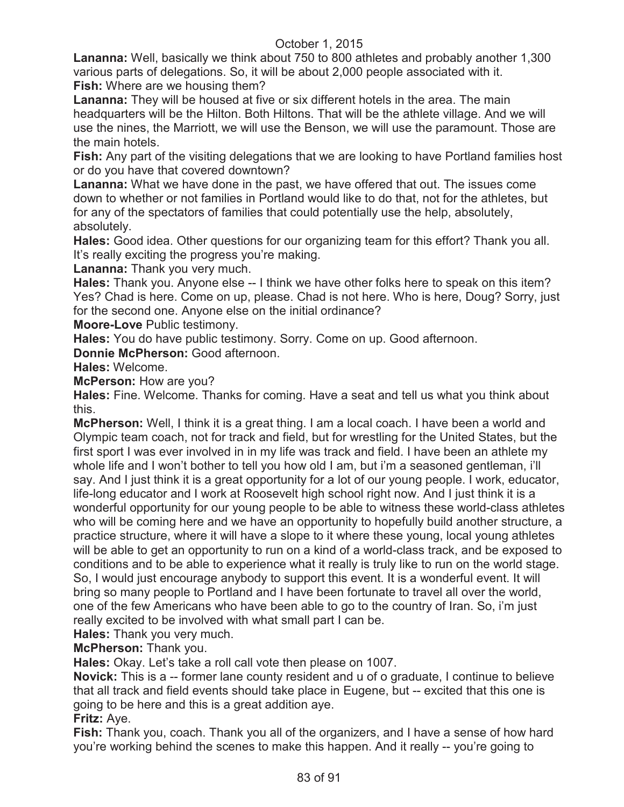**Lananna:** Well, basically we think about 750 to 800 athletes and probably another 1,300 various parts of delegations. So, it will be about 2,000 people associated with it. **Fish:** Where are we housing them?

**Lananna:** They will be housed at five or six different hotels in the area. The main headquarters will be the Hilton. Both Hiltons. That will be the athlete village. And we will use the nines, the Marriott, we will use the Benson, we will use the paramount. Those are the main hotels.

**Fish:** Any part of the visiting delegations that we are looking to have Portland families host or do you have that covered downtown?

**Lananna:** What we have done in the past, we have offered that out. The issues come down to whether or not families in Portland would like to do that, not for the athletes, but for any of the spectators of families that could potentially use the help, absolutely, absolutely.

**Hales:** Good idea. Other questions for our organizing team for this effort? Thank you all. It's really exciting the progress you're making.

**Lananna:** Thank you very much.

**Hales:** Thank you. Anyone else -- I think we have other folks here to speak on this item? Yes? Chad is here. Come on up, please. Chad is not here. Who is here, Doug? Sorry, just for the second one. Anyone else on the initial ordinance?

**Moore-Love** Public testimony.

**Hales:** You do have public testimony. Sorry. Come on up. Good afternoon.

**Donnie McPherson:** Good afternoon.

**Hales:** Welcome.

**McPerson: How are you?** 

**Hales:** Fine. Welcome. Thanks for coming. Have a seat and tell us what you think about this.

**McPherson:** Well, I think it is a great thing. I am a local coach. I have been a world and Olympic team coach, not for track and field, but for wrestling for the United States, but the first sport I was ever involved in in my life was track and field. I have been an athlete my whole life and I won't bother to tell you how old I am, but i'm a seasoned gentleman, i'll say. And I just think it is a great opportunity for a lot of our young people. I work, educator, life-long educator and I work at Roosevelt high school right now. And I just think it is a wonderful opportunity for our young people to be able to witness these world-class athletes who will be coming here and we have an opportunity to hopefully build another structure, a practice structure, where it will have a slope to it where these young, local young athletes will be able to get an opportunity to run on a kind of a world-class track, and be exposed to conditions and to be able to experience what it really is truly like to run on the world stage. So, I would just encourage anybody to support this event. It is a wonderful event. It will bring so many people to Portland and I have been fortunate to travel all over the world, one of the few Americans who have been able to go to the country of Iran. So, i'm just really excited to be involved with what small part I can be.

**Hales:** Thank you very much.

**McPherson:** Thank you.

**Hales:** Okay. Let's take a roll call vote then please on 1007.

**Novick:** This is a -- former lane county resident and u of o graduate, I continue to believe that all track and field events should take place in Eugene, but -- excited that this one is going to be here and this is a great addition aye.

**Fritz:** Aye.

**Fish:** Thank you, coach. Thank you all of the organizers, and I have a sense of how hard you're working behind the scenes to make this happen. And it really -- you're going to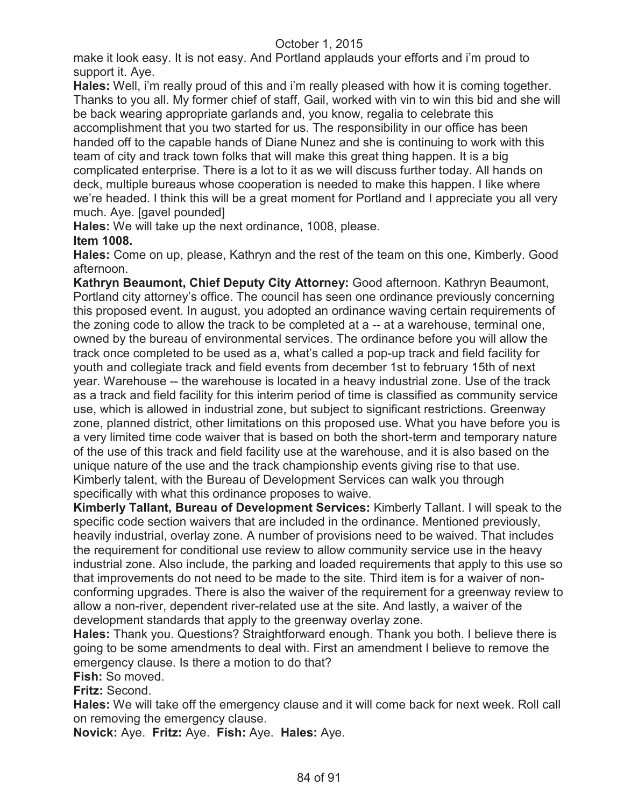make it look easy. It is not easy. And Portland applauds your efforts and i'm proud to support it. Aye.

**Hales:** Well, i'm really proud of this and i'm really pleased with how it is coming together. Thanks to you all. My former chief of staff, Gail, worked with vin to win this bid and she will be back wearing appropriate garlands and, you know, regalia to celebrate this accomplishment that you two started for us. The responsibility in our office has been handed off to the capable hands of Diane Nunez and she is continuing to work with this team of city and track town folks that will make this great thing happen. It is a big complicated enterprise. There is a lot to it as we will discuss further today. All hands on deck, multiple bureaus whose cooperation is needed to make this happen. I like where we're headed. I think this will be a great moment for Portland and I appreciate you all very much. Aye. [gavel pounded]

**Hales:** We will take up the next ordinance, 1008, please. **Item 1008.** 

**Hales:** Come on up, please, Kathryn and the rest of the team on this one, Kimberly. Good afternoon.

**Kathryn Beaumont, Chief Deputy City Attorney:** Good afternoon. Kathryn Beaumont, Portland city attorney's office. The council has seen one ordinance previously concerning this proposed event. In august, you adopted an ordinance waving certain requirements of the zoning code to allow the track to be completed at a -- at a warehouse, terminal one, owned by the bureau of environmental services. The ordinance before you will allow the track once completed to be used as a, what's called a pop-up track and field facility for youth and collegiate track and field events from december 1st to february 15th of next year. Warehouse -- the warehouse is located in a heavy industrial zone. Use of the track as a track and field facility for this interim period of time is classified as community service use, which is allowed in industrial zone, but subject to significant restrictions. Greenway zone, planned district, other limitations on this proposed use. What you have before you is a very limited time code waiver that is based on both the short-term and temporary nature of the use of this track and field facility use at the warehouse, and it is also based on the unique nature of the use and the track championship events giving rise to that use. Kimberly talent, with the Bureau of Development Services can walk you through specifically with what this ordinance proposes to waive.

**Kimberly Tallant, Bureau of Development Services:** Kimberly Tallant. I will speak to the specific code section waivers that are included in the ordinance. Mentioned previously, heavily industrial, overlay zone. A number of provisions need to be waived. That includes the requirement for conditional use review to allow community service use in the heavy industrial zone. Also include, the parking and loaded requirements that apply to this use so that improvements do not need to be made to the site. Third item is for a waiver of nonconforming upgrades. There is also the waiver of the requirement for a greenway review to allow a non-river, dependent river-related use at the site. And lastly, a waiver of the development standards that apply to the greenway overlay zone.

**Hales:** Thank you. Questions? Straightforward enough. Thank you both. I believe there is going to be some amendments to deal with. First an amendment I believe to remove the emergency clause. Is there a motion to do that?

**Fish:** So moved.

**Fritz:** Second.

**Hales:** We will take off the emergency clause and it will come back for next week. Roll call on removing the emergency clause.

**Novick:** Aye. **Fritz:** Aye. **Fish:** Aye. **Hales:** Aye.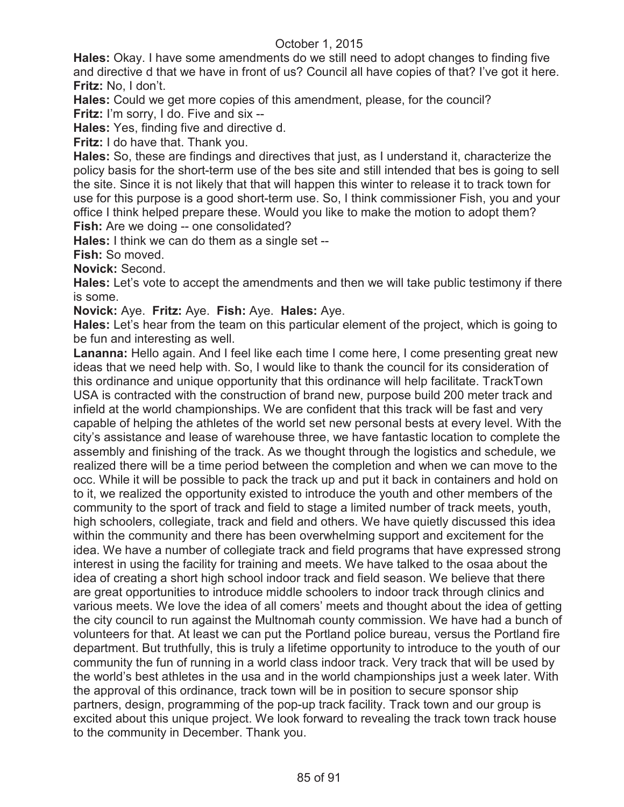**Hales:** Okay. I have some amendments do we still need to adopt changes to finding five and directive d that we have in front of us? Council all have copies of that? I've got it here. **Fritz:** No, I don't.

**Hales:** Could we get more copies of this amendment, please, for the council? **Fritz:** I'm sorry, I do. Five and six --

**Hales:** Yes, finding five and directive d.

**Fritz:** I do have that. Thank you.

**Hales:** So, these are findings and directives that just, as I understand it, characterize the policy basis for the short-term use of the bes site and still intended that bes is going to sell the site. Since it is not likely that that will happen this winter to release it to track town for use for this purpose is a good short-term use. So, I think commissioner Fish, you and your office I think helped prepare these. Would you like to make the motion to adopt them? **Fish:** Are we doing -- one consolidated?

**Hales:** I think we can do them as a single set --

**Fish:** So moved.

**Novick:** Second.

**Hales:** Let's vote to accept the amendments and then we will take public testimony if there is some.

**Novick:** Aye. **Fritz:** Aye. **Fish:** Aye. **Hales:** Aye.

**Hales:** Let's hear from the team on this particular element of the project, which is going to be fun and interesting as well.

**Lananna:** Hello again. And I feel like each time I come here, I come presenting great new ideas that we need help with. So, I would like to thank the council for its consideration of this ordinance and unique opportunity that this ordinance will help facilitate. TrackTown USA is contracted with the construction of brand new, purpose build 200 meter track and infield at the world championships. We are confident that this track will be fast and very capable of helping the athletes of the world set new personal bests at every level. With the city's assistance and lease of warehouse three, we have fantastic location to complete the assembly and finishing of the track. As we thought through the logistics and schedule, we realized there will be a time period between the completion and when we can move to the occ. While it will be possible to pack the track up and put it back in containers and hold on to it, we realized the opportunity existed to introduce the youth and other members of the community to the sport of track and field to stage a limited number of track meets, youth, high schoolers, collegiate, track and field and others. We have quietly discussed this idea within the community and there has been overwhelming support and excitement for the idea. We have a number of collegiate track and field programs that have expressed strong interest in using the facility for training and meets. We have talked to the osaa about the idea of creating a short high school indoor track and field season. We believe that there are great opportunities to introduce middle schoolers to indoor track through clinics and various meets. We love the idea of all comers' meets and thought about the idea of getting the city council to run against the Multnomah county commission. We have had a bunch of volunteers for that. At least we can put the Portland police bureau, versus the Portland fire department. But truthfully, this is truly a lifetime opportunity to introduce to the youth of our community the fun of running in a world class indoor track. Very track that will be used by the world's best athletes in the usa and in the world championships just a week later. With the approval of this ordinance, track town will be in position to secure sponsor ship partners, design, programming of the pop-up track facility. Track town and our group is excited about this unique project. We look forward to revealing the track town track house to the community in December. Thank you.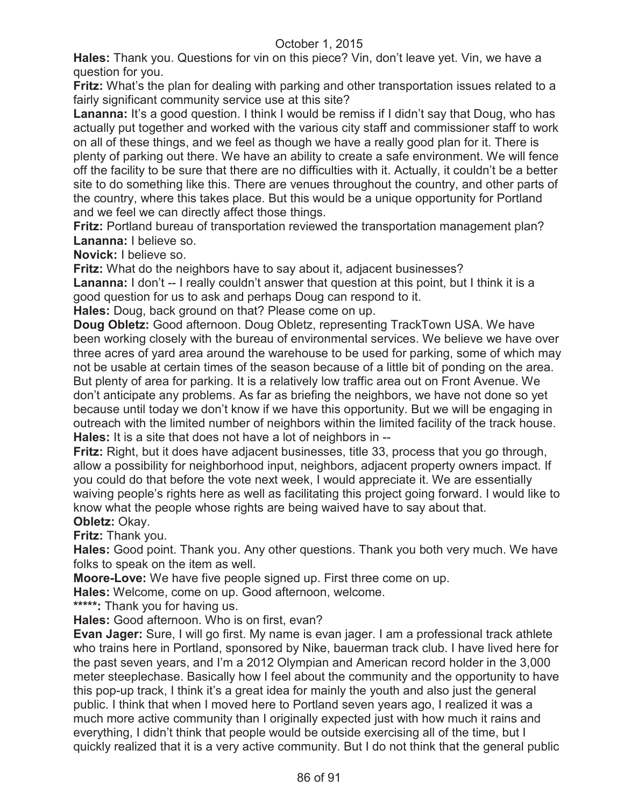**Hales:** Thank you. Questions for vin on this piece? Vin, don't leave yet. Vin, we have a question for you.

**Fritz:** What's the plan for dealing with parking and other transportation issues related to a fairly significant community service use at this site?

**Lananna:** It's a good question. I think I would be remiss if I didn't say that Doug, who has actually put together and worked with the various city staff and commissioner staff to work on all of these things, and we feel as though we have a really good plan for it. There is plenty of parking out there. We have an ability to create a safe environment. We will fence off the facility to be sure that there are no difficulties with it. Actually, it couldn't be a better site to do something like this. There are venues throughout the country, and other parts of the country, where this takes place. But this would be a unique opportunity for Portland and we feel we can directly affect those things.

**Fritz:** Portland bureau of transportation reviewed the transportation management plan? **Lananna:** I believe so.

**Novick:** I believe so.

**Fritz:** What do the neighbors have to say about it, adjacent businesses?

Lananna: I don't -- I really couldn't answer that question at this point, but I think it is a good question for us to ask and perhaps Doug can respond to it.

**Hales:** Doug, back ground on that? Please come on up.

**Doug Obletz:** Good afternoon. Doug Obletz, representing TrackTown USA. We have been working closely with the bureau of environmental services. We believe we have over three acres of yard area around the warehouse to be used for parking, some of which may not be usable at certain times of the season because of a little bit of ponding on the area. But plenty of area for parking. It is a relatively low traffic area out on Front Avenue. We don't anticipate any problems. As far as briefing the neighbors, we have not done so yet because until today we don't know if we have this opportunity. But we will be engaging in outreach with the limited number of neighbors within the limited facility of the track house. **Hales:** It is a site that does not have a lot of neighbors in --

**Fritz:** Right, but it does have adjacent businesses, title 33, process that you go through, allow a possibility for neighborhood input, neighbors, adjacent property owners impact. If you could do that before the vote next week, I would appreciate it. We are essentially waiving people's rights here as well as facilitating this project going forward. I would like to know what the people whose rights are being waived have to say about that. **Obletz:** Okay.

**Fritz:** Thank you.

**Hales:** Good point. Thank you. Any other questions. Thank you both very much. We have folks to speak on the item as well.

**Moore-Love:** We have five people signed up. First three come on up.

**Hales:** Welcome, come on up. Good afternoon, welcome.

**\*\*\*\*\*:** Thank you for having us.

**Hales:** Good afternoon. Who is on first, evan?

**Evan Jager:** Sure, I will go first. My name is evan jager. I am a professional track athlete who trains here in Portland, sponsored by Nike, bauerman track club. I have lived here for the past seven years, and I'm a 2012 Olympian and American record holder in the 3,000 meter steeplechase. Basically how I feel about the community and the opportunity to have this pop-up track, I think it's a great idea for mainly the youth and also just the general public. I think that when I moved here to Portland seven years ago, I realized it was a much more active community than I originally expected just with how much it rains and everything, I didn't think that people would be outside exercising all of the time, but I quickly realized that it is a very active community. But I do not think that the general public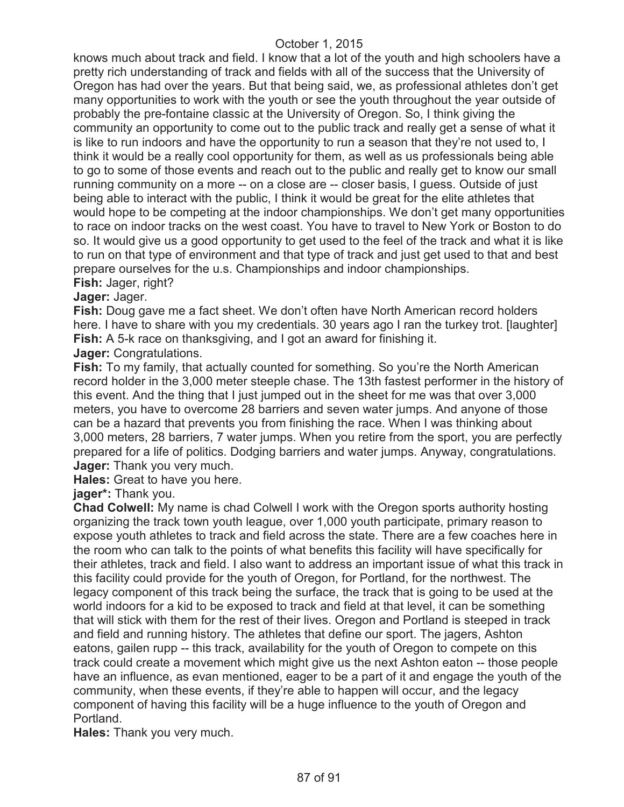knows much about track and field. I know that a lot of the youth and high schoolers have a pretty rich understanding of track and fields with all of the success that the University of Oregon has had over the years. But that being said, we, as professional athletes don't get many opportunities to work with the youth or see the youth throughout the year outside of probably the pre-fontaine classic at the University of Oregon. So, I think giving the community an opportunity to come out to the public track and really get a sense of what it is like to run indoors and have the opportunity to run a season that they're not used to, I think it would be a really cool opportunity for them, as well as us professionals being able to go to some of those events and reach out to the public and really get to know our small running community on a more -- on a close are -- closer basis, I guess. Outside of just being able to interact with the public, I think it would be great for the elite athletes that would hope to be competing at the indoor championships. We don't get many opportunities to race on indoor tracks on the west coast. You have to travel to New York or Boston to do so. It would give us a good opportunity to get used to the feel of the track and what it is like to run on that type of environment and that type of track and just get used to that and best prepare ourselves for the u.s. Championships and indoor championships.

# **Fish:** Jager, right?

# **Jager:** Jager.

**Fish:** Doug gave me a fact sheet. We don't often have North American record holders here. I have to share with you my credentials. 30 years ago I ran the turkey trot. [laughter] **Fish:** A 5-k race on thanksgiving, and I got an award for finishing it.

#### **Jager:** Congratulations.

**Fish:** To my family, that actually counted for something. So you're the North American record holder in the 3,000 meter steeple chase. The 13th fastest performer in the history of this event. And the thing that I just jumped out in the sheet for me was that over 3,000 meters, you have to overcome 28 barriers and seven water jumps. And anyone of those can be a hazard that prevents you from finishing the race. When I was thinking about 3,000 meters, 28 barriers, 7 water jumps. When you retire from the sport, you are perfectly prepared for a life of politics. Dodging barriers and water jumps. Anyway, congratulations. **Jager:** Thank you very much.

**Hales:** Great to have you here.

#### **jager\*:** Thank you.

**Chad Colwell:** My name is chad Colwell I work with the Oregon sports authority hosting organizing the track town youth league, over 1,000 youth participate, primary reason to expose youth athletes to track and field across the state. There are a few coaches here in the room who can talk to the points of what benefits this facility will have specifically for their athletes, track and field. I also want to address an important issue of what this track in this facility could provide for the youth of Oregon, for Portland, for the northwest. The legacy component of this track being the surface, the track that is going to be used at the world indoors for a kid to be exposed to track and field at that level, it can be something that will stick with them for the rest of their lives. Oregon and Portland is steeped in track and field and running history. The athletes that define our sport. The jagers, Ashton eatons, gailen rupp -- this track, availability for the youth of Oregon to compete on this track could create a movement which might give us the next Ashton eaton -- those people have an influence, as evan mentioned, eager to be a part of it and engage the youth of the community, when these events, if they're able to happen will occur, and the legacy component of having this facility will be a huge influence to the youth of Oregon and Portland.

**Hales:** Thank you very much.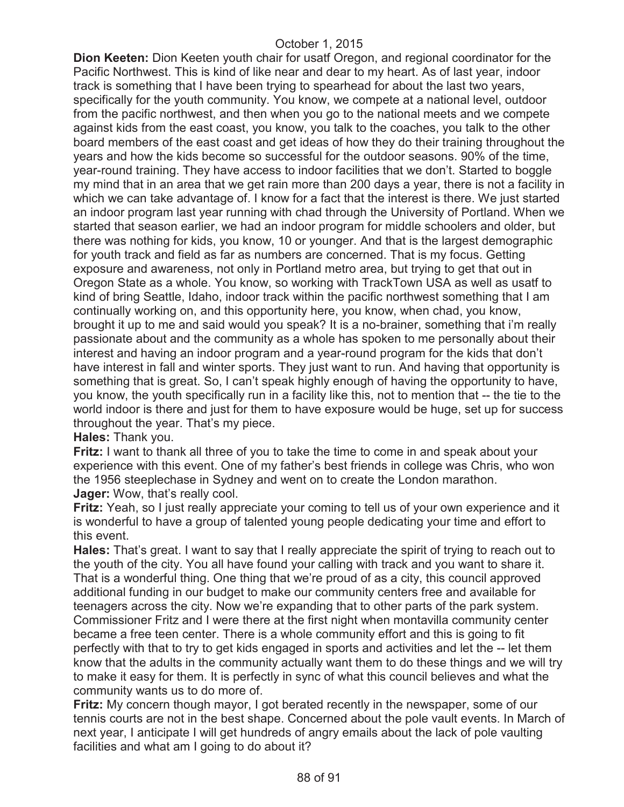**Dion Keeten:** Dion Keeten youth chair for usatf Oregon, and regional coordinator for the Pacific Northwest. This is kind of like near and dear to my heart. As of last year, indoor track is something that I have been trying to spearhead for about the last two years, specifically for the youth community. You know, we compete at a national level, outdoor from the pacific northwest, and then when you go to the national meets and we compete against kids from the east coast, you know, you talk to the coaches, you talk to the other board members of the east coast and get ideas of how they do their training throughout the years and how the kids become so successful for the outdoor seasons. 90% of the time, year-round training. They have access to indoor facilities that we don't. Started to boggle my mind that in an area that we get rain more than 200 days a year, there is not a facility in which we can take advantage of. I know for a fact that the interest is there. We just started an indoor program last year running with chad through the University of Portland. When we started that season earlier, we had an indoor program for middle schoolers and older, but there was nothing for kids, you know, 10 or younger. And that is the largest demographic for youth track and field as far as numbers are concerned. That is my focus. Getting exposure and awareness, not only in Portland metro area, but trying to get that out in Oregon State as a whole. You know, so working with TrackTown USA as well as usatf to kind of bring Seattle, Idaho, indoor track within the pacific northwest something that I am continually working on, and this opportunity here, you know, when chad, you know, brought it up to me and said would you speak? It is a no-brainer, something that i'm really passionate about and the community as a whole has spoken to me personally about their interest and having an indoor program and a year-round program for the kids that don't have interest in fall and winter sports. They just want to run. And having that opportunity is something that is great. So, I can't speak highly enough of having the opportunity to have, you know, the youth specifically run in a facility like this, not to mention that -- the tie to the world indoor is there and just for them to have exposure would be huge, set up for success throughout the year. That's my piece.

**Hales:** Thank you.

**Fritz:** I want to thank all three of you to take the time to come in and speak about your experience with this event. One of my father's best friends in college was Chris, who won the 1956 steeplechase in Sydney and went on to create the London marathon. **Jager:** Wow, that's really cool.

**Fritz:** Yeah, so I just really appreciate your coming to tell us of your own experience and it is wonderful to have a group of talented young people dedicating your time and effort to this event.

**Hales:** That's great. I want to say that I really appreciate the spirit of trying to reach out to the youth of the city. You all have found your calling with track and you want to share it. That is a wonderful thing. One thing that we're proud of as a city, this council approved additional funding in our budget to make our community centers free and available for teenagers across the city. Now we're expanding that to other parts of the park system. Commissioner Fritz and I were there at the first night when montavilla community center became a free teen center. There is a whole community effort and this is going to fit perfectly with that to try to get kids engaged in sports and activities and let the -- let them know that the adults in the community actually want them to do these things and we will try to make it easy for them. It is perfectly in sync of what this council believes and what the community wants us to do more of.

**Fritz:** My concern though mayor, I got berated recently in the newspaper, some of our tennis courts are not in the best shape. Concerned about the pole vault events. In March of next year, I anticipate I will get hundreds of angry emails about the lack of pole vaulting facilities and what am I going to do about it?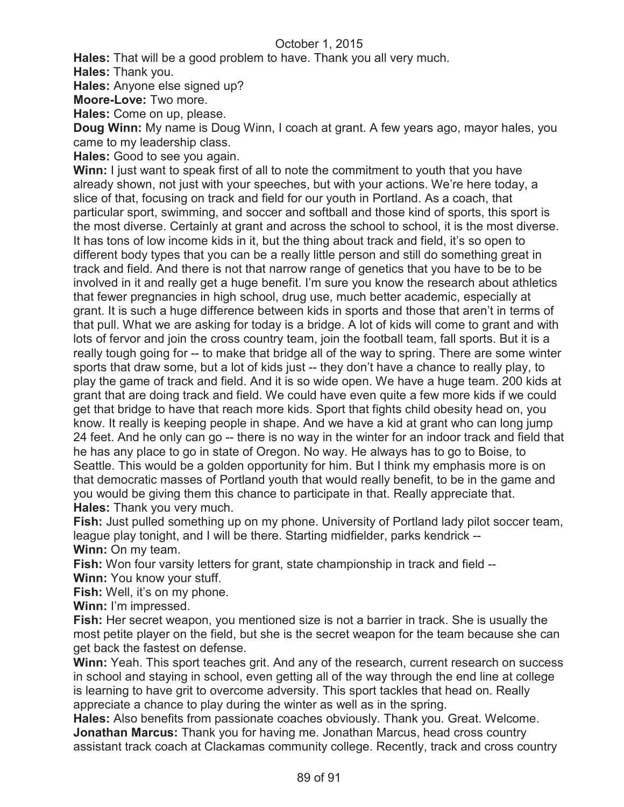**Hales:** That will be a good problem to have. Thank you all very much.

**Hales:** Thank you.

**Hales:** Anyone else signed up?

**Moore-Love:** Two more.

**Hales:** Come on up, please.

**Doug Winn:** My name is Doug Winn, I coach at grant. A few years ago, mayor hales, you came to my leadership class.

**Hales:** Good to see you again.

**Winn:** I just want to speak first of all to note the commitment to youth that you have already shown, not just with your speeches, but with your actions. We're here today, a slice of that, focusing on track and field for our youth in Portland. As a coach, that particular sport, swimming, and soccer and softball and those kind of sports, this sport is the most diverse. Certainly at grant and across the school to school, it is the most diverse. It has tons of low income kids in it, but the thing about track and field, it's so open to different body types that you can be a really little person and still do something great in track and field. And there is not that narrow range of genetics that you have to be to be involved in it and really get a huge benefit. I'm sure you know the research about athletics that fewer pregnancies in high school, drug use, much better academic, especially at grant. It is such a huge difference between kids in sports and those that aren't in terms of that pull. What we are asking for today is a bridge. A lot of kids will come to grant and with lots of fervor and join the cross country team, join the football team, fall sports. But it is a really tough going for -- to make that bridge all of the way to spring. There are some winter sports that draw some, but a lot of kids just -- they don't have a chance to really play, to play the game of track and field. And it is so wide open. We have a huge team. 200 kids at grant that are doing track and field. We could have even quite a few more kids if we could get that bridge to have that reach more kids. Sport that fights child obesity head on, you know. It really is keeping people in shape. And we have a kid at grant who can long jump 24 feet. And he only can go -- there is no way in the winter for an indoor track and field that he has any place to go in state of Oregon. No way. He always has to go to Boise, to Seattle. This would be a golden opportunity for him. But I think my emphasis more is on that democratic masses of Portland youth that would really benefit, to be in the game and you would be giving them this chance to participate in that. Really appreciate that. **Hales:** Thank you very much.

**Fish:** Just pulled something up on my phone. University of Portland lady pilot soccer team, league play tonight, and I will be there. Starting midfielder, parks kendrick -- **Winn:** On my team.

**Fish:** Won four varsity letters for grant, state championship in track and field -- **Winn:** You know your stuff.

Fish: Well, it's on my phone.

**Winn:** I'm impressed.

**Fish:** Her secret weapon, you mentioned size is not a barrier in track. She is usually the most petite player on the field, but she is the secret weapon for the team because she can get back the fastest on defense.

**Winn:** Yeah. This sport teaches grit. And any of the research, current research on success in school and staying in school, even getting all of the way through the end line at college is learning to have grit to overcome adversity. This sport tackles that head on. Really appreciate a chance to play during the winter as well as in the spring.

**Hales:** Also benefits from passionate coaches obviously. Thank you. Great. Welcome. **Jonathan Marcus:** Thank you for having me. Jonathan Marcus, head cross country assistant track coach at Clackamas community college. Recently, track and cross country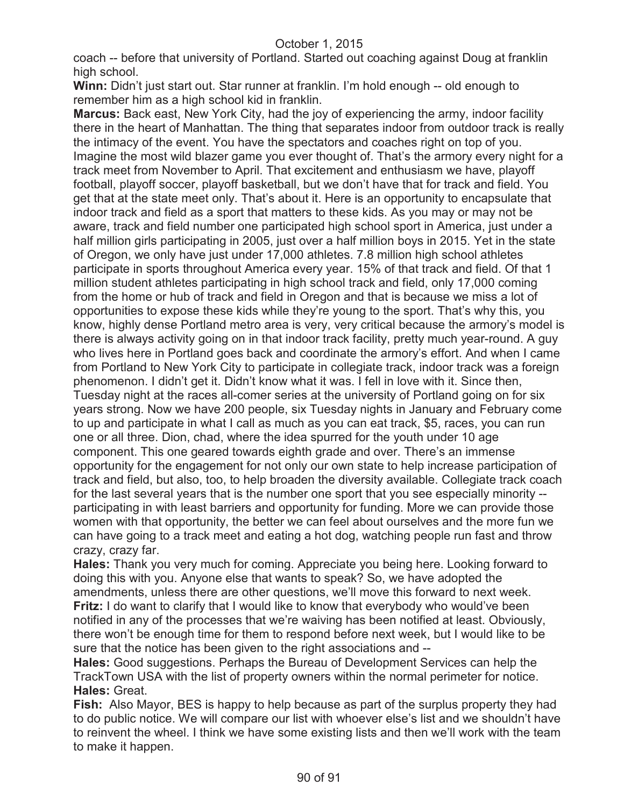coach -- before that university of Portland. Started out coaching against Doug at franklin high school.

**Winn:** Didn't just start out. Star runner at franklin. I'm hold enough -- old enough to remember him as a high school kid in franklin.

**Marcus:** Back east, New York City, had the joy of experiencing the army, indoor facility there in the heart of Manhattan. The thing that separates indoor from outdoor track is really the intimacy of the event. You have the spectators and coaches right on top of you. Imagine the most wild blazer game you ever thought of. That's the armory every night for a track meet from November to April. That excitement and enthusiasm we have, playoff football, playoff soccer, playoff basketball, but we don't have that for track and field. You get that at the state meet only. That's about it. Here is an opportunity to encapsulate that indoor track and field as a sport that matters to these kids. As you may or may not be aware, track and field number one participated high school sport in America, just under a half million girls participating in 2005, just over a half million boys in 2015. Yet in the state of Oregon, we only have just under 17,000 athletes. 7.8 million high school athletes participate in sports throughout America every year. 15% of that track and field. Of that 1 million student athletes participating in high school track and field, only 17,000 coming from the home or hub of track and field in Oregon and that is because we miss a lot of opportunities to expose these kids while they're young to the sport. That's why this, you know, highly dense Portland metro area is very, very critical because the armory's model is there is always activity going on in that indoor track facility, pretty much year-round. A guy who lives here in Portland goes back and coordinate the armory's effort. And when I came from Portland to New York City to participate in collegiate track, indoor track was a foreign phenomenon. I didn't get it. Didn't know what it was. I fell in love with it. Since then, Tuesday night at the races all-comer series at the university of Portland going on for six years strong. Now we have 200 people, six Tuesday nights in January and February come to up and participate in what I call as much as you can eat track, \$5, races, you can run one or all three. Dion, chad, where the idea spurred for the youth under 10 age component. This one geared towards eighth grade and over. There's an immense opportunity for the engagement for not only our own state to help increase participation of track and field, but also, too, to help broaden the diversity available. Collegiate track coach for the last several years that is the number one sport that you see especially minority - participating in with least barriers and opportunity for funding. More we can provide those women with that opportunity, the better we can feel about ourselves and the more fun we can have going to a track meet and eating a hot dog, watching people run fast and throw crazy, crazy far.

**Hales:** Thank you very much for coming. Appreciate you being here. Looking forward to doing this with you. Anyone else that wants to speak? So, we have adopted the amendments, unless there are other questions, we'll move this forward to next week. **Fritz:** I do want to clarify that I would like to know that everybody who would've been notified in any of the processes that we're waiving has been notified at least. Obviously, there won't be enough time for them to respond before next week, but I would like to be sure that the notice has been given to the right associations and --

**Hales:** Good suggestions. Perhaps the Bureau of Development Services can help the TrackTown USA with the list of property owners within the normal perimeter for notice. **Hales:** Great.

**Fish:** Also Mayor, BES is happy to help because as part of the surplus property they had to do public notice. We will compare our list with whoever else's list and we shouldn't have to reinvent the wheel. I think we have some existing lists and then we'll work with the team to make it happen.